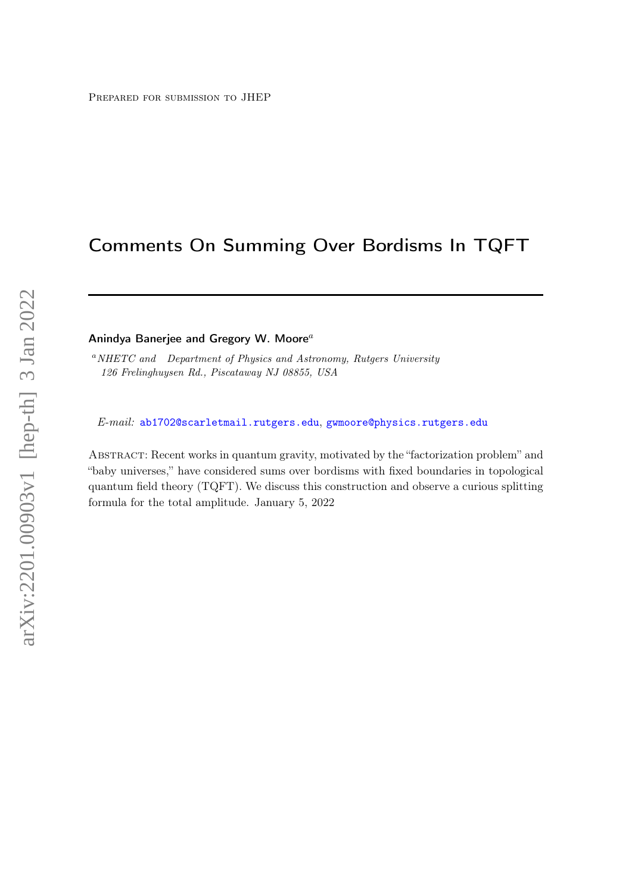# Comments On Summing Over Bordisms In TQFT

Anindya Banerjee and Gregory W. Moore $^a$ 

<sup>a</sup>NHETC and Department of Physics and Astronomy, Rutgers University 126 Frelinghuysen Rd., Piscataway NJ 08855, USA

E-mail: [ab1702@scarletmail.rutgers.edu](mailto:ab1702@scarletmail.rutgers.edu), [gwmoore@physics.rutgers.edu](mailto:gwmoore@physics.rutgers.edu)

Abstract: Recent works in quantum gravity, motivated by the "factorization problem" and "baby universes," have considered sums over bordisms with fixed boundaries in topological quantum field theory (TQFT). We discuss this construction and observe a curious splitting formula for the total amplitude. January 5, 2022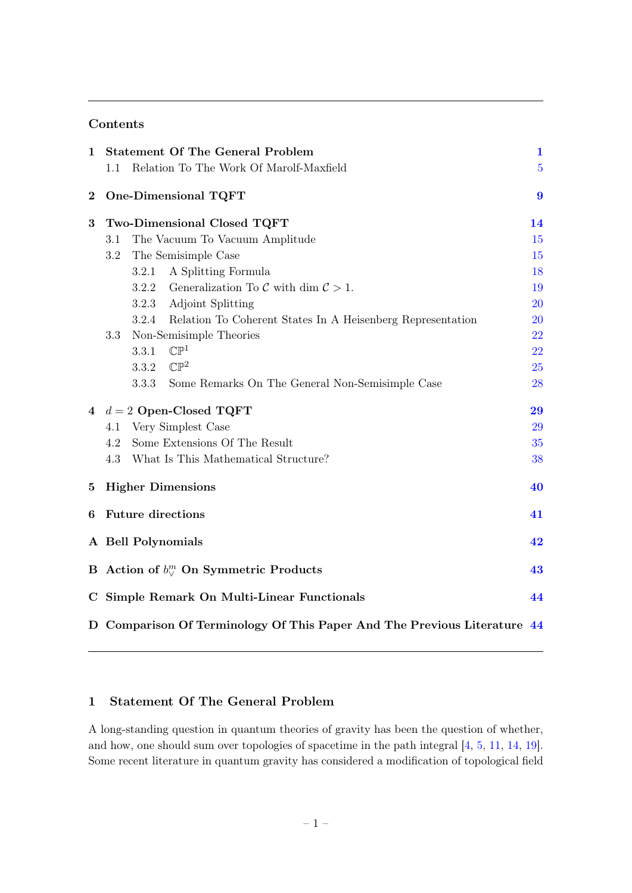### Contents

| 1           |                                                                          |       | <b>Statement Of The General Problem</b>                          | $\mathbf{1}$     |  |
|-------------|--------------------------------------------------------------------------|-------|------------------------------------------------------------------|------------------|--|
|             | 1.1                                                                      |       | Relation To The Work Of Marolf-Maxfield                          | $\overline{5}$   |  |
| $\bf{2}$    |                                                                          |       | One-Dimensional TQFT                                             | $\boldsymbol{9}$ |  |
| 3           |                                                                          |       | Two-Dimensional Closed TQFT                                      | 14               |  |
|             | 3.1                                                                      |       | The Vacuum To Vacuum Amplitude                                   | 15               |  |
|             | 3.2                                                                      |       | The Semisimple Case                                              | 15               |  |
|             |                                                                          | 3.2.1 | A Splitting Formula                                              | 18               |  |
|             |                                                                          | 3.2.2 | Generalization To C with dim $\mathcal{C} > 1$ .                 | 19               |  |
|             |                                                                          | 3.2.3 | <b>Adjoint Splitting</b>                                         | <b>20</b>        |  |
|             |                                                                          |       | 3.2.4 Relation To Coherent States In A Heisenberg Representation | <b>20</b>        |  |
|             | 3.3                                                                      |       | Non-Semisimple Theories                                          | 22               |  |
|             |                                                                          | 3.3.1 | $\mathbb{CP}^1$                                                  | 22               |  |
|             |                                                                          | 3.3.2 | $\mathbb{CP}^2$                                                  | 25               |  |
|             |                                                                          | 3.3.3 | Some Remarks On The General Non-Semisimple Case                  | 28               |  |
| 4           |                                                                          |       | $d=2$ Open-Closed TQFT                                           | 29               |  |
|             | 4.1                                                                      |       | Very Simplest Case                                               | 29               |  |
|             | 4.2                                                                      |       | Some Extensions Of The Result                                    | 35               |  |
|             | 4.3                                                                      |       | What Is This Mathematical Structure?                             | 38               |  |
| $\bf{5}$    | <b>Higher Dimensions</b>                                                 |       |                                                                  | 40               |  |
| 6           | <b>Future directions</b><br>41                                           |       |                                                                  |                  |  |
|             | A Bell Polynomials<br>42                                                 |       |                                                                  |                  |  |
|             | B Action of $b_{\vee}^m$ On Symmetric Products<br>43                     |       |                                                                  |                  |  |
| $\mathbf C$ | Simple Remark On Multi-Linear Functionals<br>44                          |       |                                                                  |                  |  |
|             | D Comparison Of Terminology Of This Paper And The Previous Literature 44 |       |                                                                  |                  |  |

### <span id="page-1-0"></span>1 Statement Of The General Problem

A long-standing question in quantum theories of gravity has been the question of whether, and how, one should sum over topologies of spacetime in the path integral [\[4,](#page-46-0) [5,](#page-46-1) [11,](#page-47-0) [14,](#page-47-1) [19\]](#page-47-2). Some recent literature in quantum gravity has considered a modification of topological field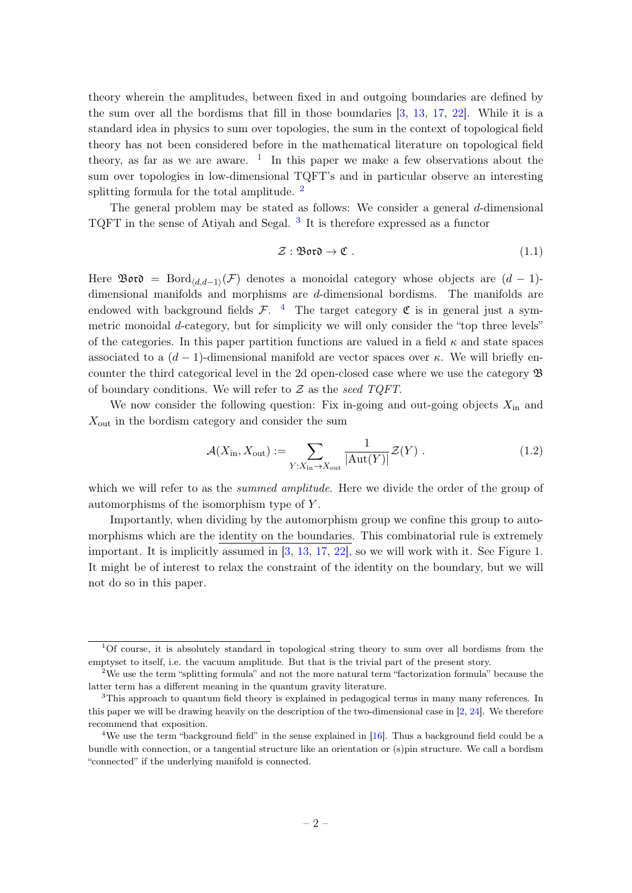theory wherein the amplitudes, between fixed in and outgoing boundaries are defined by the sum over all the bordisms that fill in those boundaries [\[3,](#page-46-2) [13,](#page-47-3) [17,](#page-47-4) [22\]](#page-47-5). While it is a standard idea in physics to sum over topologies, the sum in the context of topological field theory has not been considered before in the mathematical literature on topological field theory, as far as we are aware.  $\frac{1}{1}$  $\frac{1}{1}$  $\frac{1}{1}$  In this paper we make a few observations about the sum over topologies in low-dimensional TQFT's and in particular observe an interesting splitting formula for the total amplitude.<sup>[2](#page-2-1)</sup>

The general problem may be stated as follows: We consider a general d-dimensional TQFT in the sense of Atiyah and Segal.<sup>[3](#page-2-2)</sup> It is therefore expressed as a functor

$$
\mathcal{Z}: \mathfrak{B}\mathfrak{ov} \to \mathfrak{C} \tag{1.1}
$$

Here  $\mathfrak{B}$ or $\mathfrak{d} = \text{Bord}_{\langle d,d-1 \rangle}(\mathcal{F})$  denotes a monoidal category whose objects are  $(d-1)$ dimensional manifolds and morphisms are d-dimensional bordisms. The manifolds are endowed with background fields  $\mathcal{F}$ . <sup>[4](#page-2-3)</sup> The target category  $\mathfrak C$  is in general just a symmetric monoidal d-category, but for simplicity we will only consider the "top three levels" of the categories. In this paper partition functions are valued in a field  $\kappa$  and state spaces associated to a  $(d-1)$ -dimensional manifold are vector spaces over  $\kappa$ . We will briefly encounter the third categorical level in the 2d open-closed case where we use the category B of boundary conditions. We will refer to  $Z$  as the seed TQFT.

We now consider the following question: Fix in-going and out-going objects  $X_{\text{in}}$  and  $X_{\text{out}}$  in the bordism category and consider the sum

<span id="page-2-4"></span>
$$
\mathcal{A}(X_{\text{in}}, X_{\text{out}}) := \sum_{Y:X_{\text{in}} \to X_{\text{out}}} \frac{1}{|\text{Aut}(Y)|} \mathcal{Z}(Y) . \tag{1.2}
$$

which we will refer to as the *summed amplitude*. Here we divide the order of the group of automorphisms of the isomorphism type of Y .

Importantly, when dividing by the automorphism group we confine this group to automorphisms which are the identity on the boundaries. This combinatorial rule is extremely important. It is implicitly assumed in [\[3,](#page-46-2) [13,](#page-47-3) [17,](#page-47-4) [22\]](#page-47-5), so we will work with it. See Figure 1. It might be of interest to relax the constraint of the identity on the boundary, but we will not do so in this paper.

<span id="page-2-0"></span> $1$ Of course, it is absolutely standard in topological string theory to sum over all bordisms from the emptyset to itself, i.e. the vacuum amplitude. But that is the trivial part of the present story.

<span id="page-2-1"></span><sup>&</sup>lt;sup>2</sup>We use the term "splitting formula" and not the more natural term "factorization formula" because the latter term has a different meaning in the quantum gravity literature.

<span id="page-2-2"></span><sup>3</sup>This approach to quantum field theory is explained in pedagogical terms in many many references. In this paper we will be drawing heavily on the description of the two-dimensional case in [\[2,](#page-46-3) [24\]](#page-48-0). We therefore recommend that exposition.

<span id="page-2-3"></span><sup>&</sup>lt;sup>4</sup>We use the term "background field" in the sense explained in [\[16\]](#page-47-6). Thus a background field could be a bundle with connection, or a tangential structure like an orientation or (s)pin structure. We call a bordism "connected" if the underlying manifold is connected.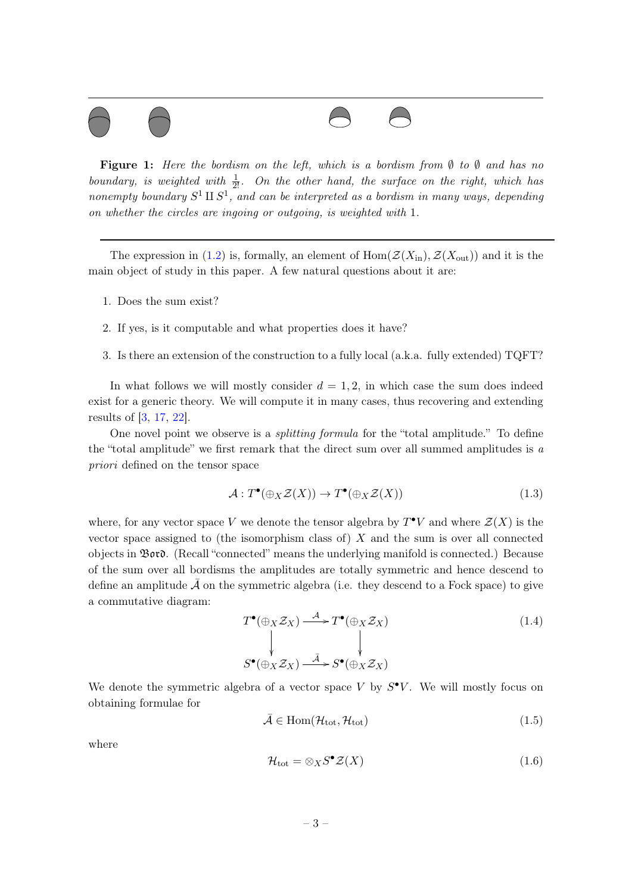

**Figure 1:** Here the bordism on the left, which is a bordism from  $\emptyset$  to  $\emptyset$  and has no boundary, is weighted with  $\frac{1}{2!}$ . On the other hand, the surface on the right, which has nonempty boundary  $S^1 \amalg S^1$ , and can be interpreted as a bordism in many ways, depending on whether the circles are ingoing or outgoing, is weighted with 1.

The expression in [\(1.2\)](#page-2-4) is, formally, an element of  $Hom(\mathcal{Z}(X_{\text{in}}), \mathcal{Z}(X_{\text{out}}))$  and it is the main object of study in this paper. A few natural questions about it are:

- 1. Does the sum exist?
- 2. If yes, is it computable and what properties does it have?
- 3. Is there an extension of the construction to a fully local (a.k.a. fully extended) TQFT?

In what follows we will mostly consider  $d = 1, 2$ , in which case the sum does indeed exist for a generic theory. We will compute it in many cases, thus recovering and extending results of [\[3,](#page-46-2) [17,](#page-47-4) [22\]](#page-47-5).

One novel point we observe is a splitting formula for the "total amplitude." To define the "total amplitude" we first remark that the direct sum over all summed amplitudes is  $a$ priori defined on the tensor space

$$
\mathcal{A} : T^{\bullet}(\oplus_X \mathcal{Z}(X)) \to T^{\bullet}(\oplus_X \mathcal{Z}(X)) \tag{1.3}
$$

where, for any vector space V we denote the tensor algebra by  $T^{\bullet}V$  and where  $\mathcal{Z}(X)$  is the vector space assigned to (the isomorphism class of)  $X$  and the sum is over all connected objects in Bord. (Recall "connected" means the underlying manifold is connected.) Because of the sum over all bordisms the amplitudes are totally symmetric and hence descend to define an amplitude  $\bar{\mathcal{A}}$  on the symmetric algebra (i.e. they descend to a Fock space) to give a commutative diagram:

<span id="page-3-1"></span>
$$
T^{\bullet}(\oplus_X \mathcal{Z}_X) \xrightarrow{\mathcal{A}} T^{\bullet}(\oplus_X \mathcal{Z}_X)
$$
  
\n
$$
\downarrow \qquad \qquad \downarrow
$$
  
\n
$$
S^{\bullet}(\oplus_X \mathcal{Z}_X) \xrightarrow{\bar{\mathcal{A}}} S^{\bullet}(\oplus_X \mathcal{Z}_X)
$$
  
\n
$$
(1.4)
$$

We denote the symmetric algebra of a vector space V by  $S^{\bullet}V$ . We will mostly focus on obtaining formulae for

$$
\bar{\mathcal{A}} \in \text{Hom}(\mathcal{H}_{\text{tot}}, \mathcal{H}_{\text{tot}}) \tag{1.5}
$$

where

<span id="page-3-0"></span>
$$
\mathcal{H}_{\text{tot}} = \otimes_X S^{\bullet} \mathcal{Z}(X) \tag{1.6}
$$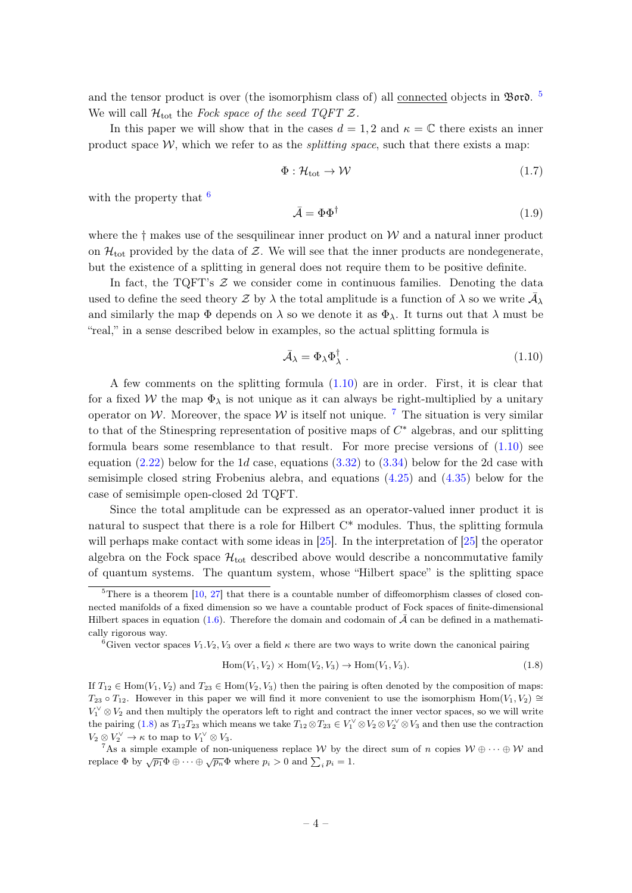and the tensor product is over (the isomorphism class of) all <u>connected</u> objects in  $\mathfrak{B}$ ord. <sup>[5](#page-4-0)</sup> We will call  $\mathcal{H}_{\text{tot}}$  the Fock space of the seed TQFT  $\mathcal{Z}$ .

In this paper we will show that in the cases  $d = 1, 2$  and  $\kappa = \mathbb{C}$  there exists an inner product space  $W$ , which we refer to as the *splitting space*, such that there exists a map:

$$
\Phi: \mathcal{H}_{\text{tot}} \to \mathcal{W} \tag{1.7}
$$

with the property that  $\frac{6}{5}$  $\frac{6}{5}$  $\frac{6}{5}$ 

$$
\bar{\mathcal{A}} = \Phi \Phi^{\dagger} \tag{1.9}
$$

where the  $\dagger$  makes use of the sesquilinear inner product on W and a natural inner product on  $\mathcal{H}_{\text{tot}}$  provided by the data of Z. We will see that the inner products are nondegenerate, but the existence of a splitting in general does not require them to be positive definite.

In fact, the TQFT's  $\mathcal Z$  we consider come in continuous families. Denoting the data used to define the seed theory  $\mathcal Z$  by  $\lambda$  the total amplitude is a function of  $\lambda$  so we write  $\bar{\mathcal A}_\lambda$ and similarly the map  $\Phi$  depends on  $\lambda$  so we denote it as  $\Phi_{\lambda}$ . It turns out that  $\lambda$  must be "real," in a sense described below in examples, so the actual splitting formula is

<span id="page-4-2"></span>
$$
\bar{\mathcal{A}}_{\lambda} = \Phi_{\lambda} \Phi_{\lambda}^{\dagger} \tag{1.10}
$$

A few comments on the splitting formula [\(1.10\)](#page-4-2) are in order. First, it is clear that for a fixed W the map  $\Phi_{\lambda}$  is not unique as it can always be right-multiplied by a unitary operator on W. Moreover, the space W is itself not unique. <sup>[7](#page-4-3)</sup> The situation is very similar to that of the Stinespring representation of positive maps of  $C^*$  algebras, and our splitting formula bears some resemblance to that result. For more precise versions of  $(1.10)$  see equation  $(2.22)$  below for the 1d case, equations  $(3.32)$  to  $(3.34)$  below for the 2d case with semisimple closed string Frobenius alebra, and equations [\(4.25\)](#page-34-0) and [\(4.35\)](#page-35-1) below for the case of semisimple open-closed 2d TQFT.

Since the total amplitude can be expressed as an operator-valued inner product it is natural to suspect that there is a role for Hilbert C\* modules. Thus, the splitting formula will perhaps make contact with some ideas in [\[25\]](#page-48-1). In the interpretation of [\[25\]](#page-48-1) the operator algebra on the Fock space  $\mathcal{H}_{\text{tot}}$  described above would describe a noncommutative family of quantum systems. The quantum system, whose "Hilbert space" is the splitting space

<span id="page-4-4"></span>
$$
Hom(V_1, V_2) \times Hom(V_2, V_3) \to Hom(V_1, V_3). \tag{1.8}
$$

<span id="page-4-0"></span> $5$ There is a theorem  $[10, 27]$  $[10, 27]$  $[10, 27]$  that there is a countable number of diffeomorphism classes of closed connected manifolds of a fixed dimension so we have a countable product of Fock spaces of finite-dimensional Hilbert spaces in equation [\(1.6\)](#page-3-0). Therefore the domain and codomain of  $\bar{\mathcal{A}}$  can be defined in a mathematically rigorous way.

<span id="page-4-1"></span><sup>&</sup>lt;sup>6</sup>Given vector spaces  $V_1 \, V_2 \, V_3$  over a field  $\kappa$  there are two ways to write down the canonical pairing

If  $T_{12} \in \text{Hom}(V_1, V_2)$  and  $T_{23} \in \text{Hom}(V_2, V_3)$  then the pairing is often denoted by the composition of maps:  $T_{23} \circ T_{12}$ . However in this paper we will find it more convenient to use the isomorphism Hom(V<sub>1</sub>, V<sub>2</sub>) ≅  $V_1^{\vee} \otimes V_2$  and then multiply the operators left to right and contract the inner vector spaces, so we will write the pairing [\(1.8\)](#page-4-4) as  $T_{12}T_{23}$  which means we take  $T_{12}\otimes T_{23} \in V_1^{\vee} \otimes V_2 \otimes V_2^{\vee} \otimes V_3$  and then use the contraction  $V_2 \otimes V_2^{\vee} \to \kappa$  to map to  $V_1^{\vee} \otimes V_3$ .

<span id="page-4-3"></span><sup>&</sup>lt;sup>7</sup>As a simple example of non-uniqueness replace W by the direct sum of n copies  $W \oplus \cdots \oplus W$  and replace  $\Phi$  by  $\sqrt{p_1}\Phi \oplus \cdots \oplus \sqrt{p_n}\Phi$  where  $p_i > 0$  and  $\sum_i p_i = 1$ .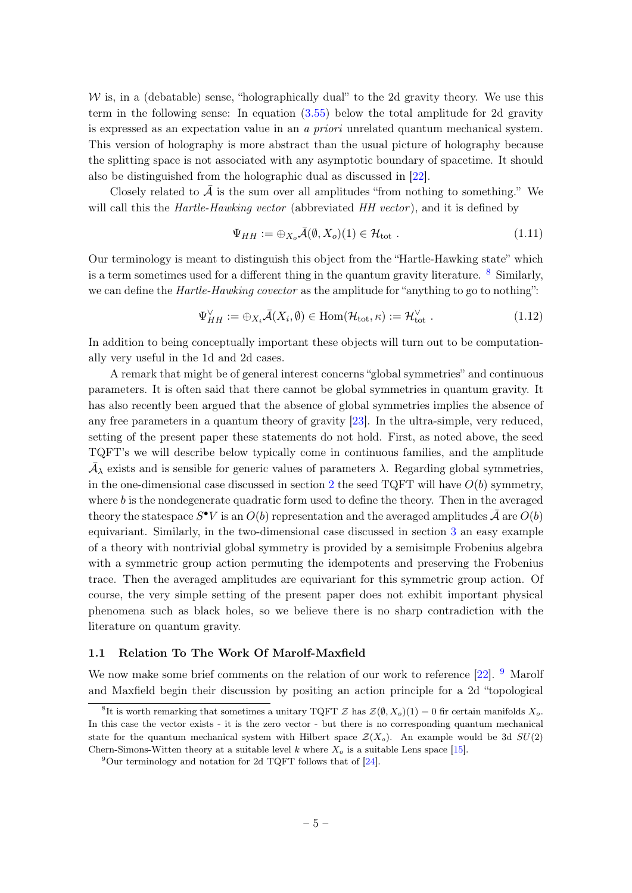$W$  is, in a (debatable) sense, "holographically dual" to the 2d gravity theory. We use this term in the following sense: In equation [\(3.55\)](#page-22-2) below the total amplitude for 2d gravity is expressed as an expectation value in an a priori unrelated quantum mechanical system. This version of holography is more abstract than the usual picture of holography because the splitting space is not associated with any asymptotic boundary of spacetime. It should also be distinguished from the holographic dual as discussed in [\[22\]](#page-47-5).

Closely related to  $\bar{\mathcal{A}}$  is the sum over all amplitudes "from nothing to something." We will call this the *Hartle-Hawking vector* (abbreviated *HH vector*), and it is defined by

$$
\Psi_{HH} := \bigoplus_{X_o} \bar{\mathcal{A}}(\emptyset, X_o)(1) \in \mathcal{H}_{\text{tot}}.
$$
\n(1.11)

Our terminology is meant to distinguish this object from the "Hartle-Hawking state" which is a term sometimes used for a different thing in the quantum gravity literature.  $8$  Similarly, we can define the *Hartle-Hawking covector* as the amplitude for "anything to go to nothing":

$$
\Psi_{HH}^{\vee} := \bigoplus_{X_i} \bar{\mathcal{A}}(X_i, \emptyset) \in \text{Hom}(\mathcal{H}_{\text{tot}}, \kappa) := \mathcal{H}_{\text{tot}}^{\vee} . \tag{1.12}
$$

In addition to being conceptually important these objects will turn out to be computationally very useful in the 1d and 2d cases.

A remark that might be of general interest concerns "global symmetries" and continuous parameters. It is often said that there cannot be global symmetries in quantum gravity. It has also recently been argued that the absence of global symmetries implies the absence of any free parameters in a quantum theory of gravity [\[23\]](#page-47-8). In the ultra-simple, very reduced, setting of the present paper these statements do not hold. First, as noted above, the seed TQFT's we will describe below typically come in continuous families, and the amplitude  $\bar{\mathcal{A}}_{\lambda}$  exists and is sensible for generic values of parameters  $\lambda$ . Regarding global symmetries, in the one-dimensional case discussed in section [2](#page-9-0) the seed  $TQFT$  will have  $O(b)$  symmetry, where  $b$  is the nondegenerate quadratic form used to define the theory. Then in the averaged theory the statespace  $S^{\bullet}V$  is an  $O(b)$  representation and the averaged amplitudes  $\bar{\mathcal{A}}$  are  $O(b)$ equivariant. Similarly, in the two-dimensional case discussed in section [3](#page-14-0) an easy example of a theory with nontrivial global symmetry is provided by a semisimple Frobenius algebra with a symmetric group action permuting the idempotents and preserving the Frobenius trace. Then the averaged amplitudes are equivariant for this symmetric group action. Of course, the very simple setting of the present paper does not exhibit important physical phenomena such as black holes, so we believe there is no sharp contradiction with the literature on quantum gravity.

#### <span id="page-5-0"></span>1.1 Relation To The Work Of Marolf-Maxfield

We now make some brief comments on the relation of our work to reference  $[22]$ . <sup>[9](#page-5-2)</sup> Marolf and Maxfield begin their discussion by positing an action principle for a 2d "topological

<span id="page-5-1"></span><sup>&</sup>lt;sup>8</sup>It is worth remarking that sometimes a unitary TQFT  $\mathcal{Z}$  has  $\mathcal{Z}(\emptyset, X_o)(1) = 0$  fir certain manifolds  $X_o$ . In this case the vector exists - it is the zero vector - but there is no corresponding quantum mechanical state for the quantum mechanical system with Hilbert space  $\mathcal{Z}(X_o)$ . An example would be 3d  $SU(2)$ Chern-Simons-Witten theory at a suitable level k where  $X_0$  is a suitable Lens space [\[15\]](#page-47-9).

<span id="page-5-2"></span> $^{9}$ Our terminology and notation for 2d TQFT follows that of [\[24\]](#page-48-0).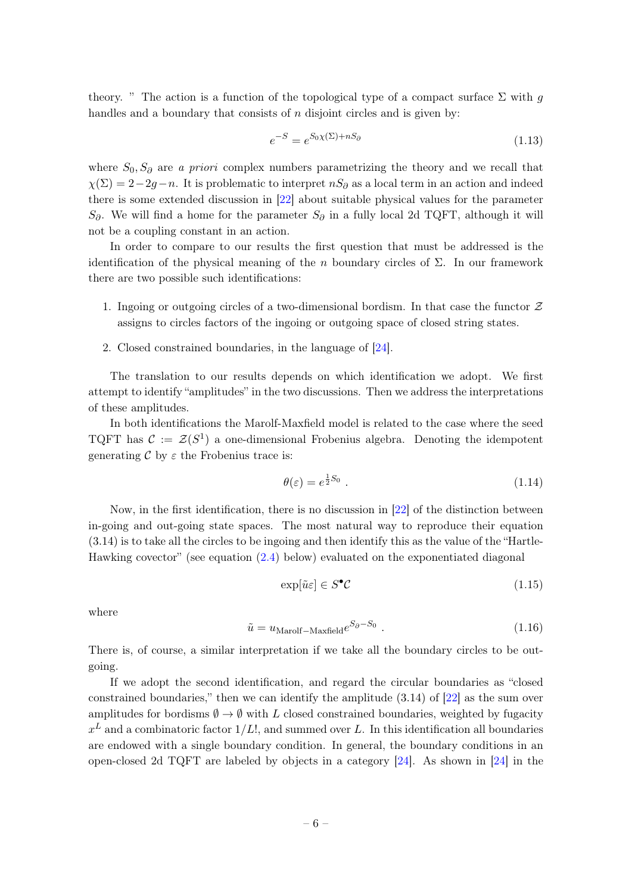theory. " The action is a function of the topological type of a compact surface  $\Sigma$  with g handles and a boundary that consists of  $n$  disjoint circles and is given by:

$$
e^{-S} = e^{S_0 \chi(\Sigma) + nS_\partial} \tag{1.13}
$$

where  $S_0, S_{\partial}$  are a priori complex numbers parametrizing the theory and we recall that  $\chi(\Sigma) = 2-2g-n$ . It is problematic to interpret  $nS_{\partial}$  as a local term in an action and indeed there is some extended discussion in [\[22\]](#page-47-5) about suitable physical values for the parameter  $S_{\partial}$ . We will find a home for the parameter  $S_{\partial}$  in a fully local 2d TQFT, although it will not be a coupling constant in an action.

In order to compare to our results the first question that must be addressed is the identification of the physical meaning of the n boundary circles of  $\Sigma$ . In our framework there are two possible such identifications:

- 1. Ingoing or outgoing circles of a two-dimensional bordism. In that case the functor  $\mathcal Z$ assigns to circles factors of the ingoing or outgoing space of closed string states.
- 2. Closed constrained boundaries, in the language of [\[24\]](#page-48-0).

The translation to our results depends on which identification we adopt. We first attempt to identify "amplitudes" in the two discussions. Then we address the interpretations of these amplitudes.

In both identifications the Marolf-Maxfield model is related to the case where the seed TQFT has  $\mathcal{C} := \mathcal{Z}(S^1)$  a one-dimensional Frobenius algebra. Denoting the idempotent generating C by  $\varepsilon$  the Frobenius trace is:

$$
\theta(\varepsilon) = e^{\frac{1}{2}S_0} \tag{1.14}
$$

Now, in the first identification, there is no discussion in [\[22\]](#page-47-5) of the distinction between in-going and out-going state spaces. The most natural way to reproduce their equation (3.14) is to take all the circles to be ingoing and then identify this as the value of the "Hartle-Hawking covector" (see equation [\(2.4\)](#page-9-1) below) evaluated on the exponentiated diagonal

$$
\exp[\tilde{u}\varepsilon] \in S^{\bullet} \mathcal{C}
$$
\n(1.15)

where

<span id="page-6-0"></span>
$$
\tilde{u} = u_{\text{Marolf}-\text{Maxfield}} e^{S_{\partial} - S_0} \tag{1.16}
$$

There is, of course, a similar interpretation if we take all the boundary circles to be outgoing.

If we adopt the second identification, and regard the circular boundaries as "closed constrained boundaries," then we can identify the amplitude (3.14) of [\[22\]](#page-47-5) as the sum over amplitudes for bordisms  $\emptyset \to \emptyset$  with L closed constrained boundaries, weighted by fugacity  $x^L$  and a combinatoric factor  $1/L!$ , and summed over L. In this identification all boundaries are endowed with a single boundary condition. In general, the boundary conditions in an open-closed 2d TQFT are labeled by objects in a category [\[24\]](#page-48-0). As shown in [\[24\]](#page-48-0) in the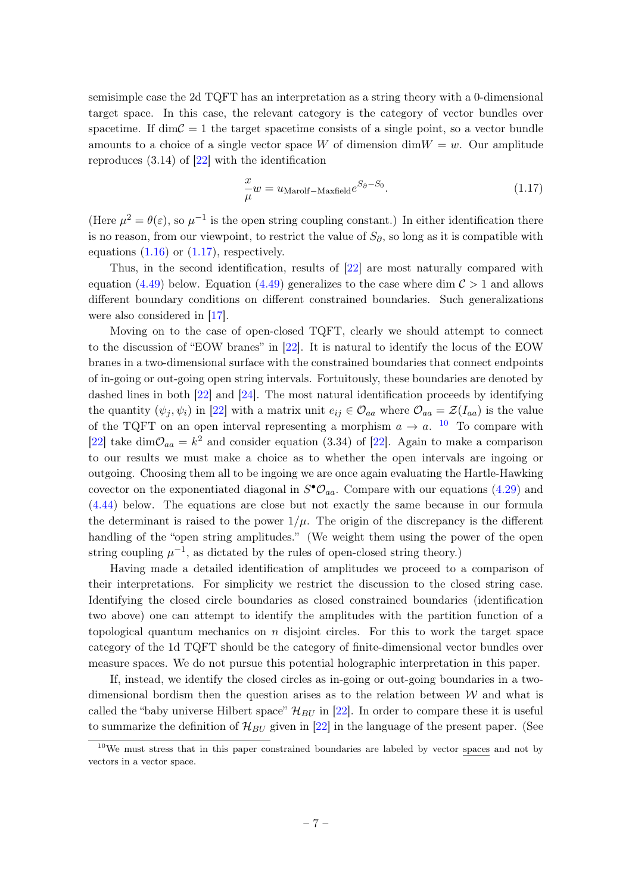semisimple case the 2d TQFT has an interpretation as a string theory with a 0-dimensional target space. In this case, the relevant category is the category of vector bundles over spacetime. If dim $\mathcal{C} = 1$  the target spacetime consists of a single point, so a vector bundle amounts to a choice of a single vector space W of dimension  $\dim W = w$ . Our amplitude reproduces  $(3.14)$  of  $[22]$  with the identification

<span id="page-7-0"></span>
$$
\frac{x}{\mu}w = u_{\text{Marolf}-\text{Maxfield}}e^{S_{\partial}-S_{0}}.\tag{1.17}
$$

(Here  $\mu^2 = \theta(\varepsilon)$ , so  $\mu^{-1}$  is the open string coupling constant.) In either identification there is no reason, from our viewpoint, to restrict the value of  $S_{\partial}$ , so long as it is compatible with equations  $(1.16)$  or  $(1.17)$ , respectively.

Thus, in the second identification, results of [\[22\]](#page-47-5) are most naturally compared with equation [\(4.49\)](#page-38-1) below. Equation (4.49) generalizes to the case where dim  $\mathcal{C} > 1$  and allows different boundary conditions on different constrained boundaries. Such generalizations were also considered in [\[17\]](#page-47-4).

Moving on to the case of open-closed TQFT, clearly we should attempt to connect to the discussion of "EOW branes" in [\[22\]](#page-47-5). It is natural to identify the locus of the EOW branes in a two-dimensional surface with the constrained boundaries that connect endpoints of in-going or out-going open string intervals. Fortuitously, these boundaries are denoted by dashed lines in both [\[22\]](#page-47-5) and [\[24\]](#page-48-0). The most natural identification proceeds by identifying the quantity  $(\psi_j, \psi_i)$  in [\[22\]](#page-47-5) with a matrix unit  $e_{ij} \in \mathcal{O}_{aa}$  where  $\mathcal{O}_{aa} = \mathcal{Z}(I_{aa})$  is the value of the TQFT on an open interval representing a morphism  $a \to a$ . <sup>[10](#page-7-1)</sup> To compare with [\[22\]](#page-47-5) take dim $\mathcal{O}_{aa} = k^2$  and consider equation (3.34) of [22]. Again to make a comparison to our results we must make a choice as to whether the open intervals are ingoing or outgoing. Choosing them all to be ingoing we are once again evaluating the Hartle-Hawking covector on the exponentiated diagonal in  $S^{\bullet} \mathcal{O}_{aa}$ . Compare with our equations [\(4.29\)](#page-34-1) and [\(4.44\)](#page-37-0) below. The equations are close but not exactly the same because in our formula the determinant is raised to the power  $1/\mu$ . The origin of the discrepancy is the different handling of the "open string amplitudes." (We weight them using the power of the open string coupling  $\mu^{-1}$ , as dictated by the rules of open-closed string theory.)

Having made a detailed identification of amplitudes we proceed to a comparison of their interpretations. For simplicity we restrict the discussion to the closed string case. Identifying the closed circle boundaries as closed constrained boundaries (identification two above) one can attempt to identify the amplitudes with the partition function of a topological quantum mechanics on  $n$  disjoint circles. For this to work the target space category of the 1d TQFT should be the category of finite-dimensional vector bundles over measure spaces. We do not pursue this potential holographic interpretation in this paper.

If, instead, we identify the closed circles as in-going or out-going boundaries in a twodimensional bordism then the question arises as to the relation between  $\mathcal W$  and what is called the "baby universe Hilbert space"  $\mathcal{H}_{BU}$  in [\[22\]](#page-47-5). In order to compare these it is useful to summarize the definition of  $\mathcal{H}_{BU}$  given in [\[22\]](#page-47-5) in the language of the present paper. (See

<span id="page-7-1"></span><sup>&</sup>lt;sup>10</sup>We must stress that in this paper constrained boundaries are labeled by vector spaces and not by vectors in a vector space.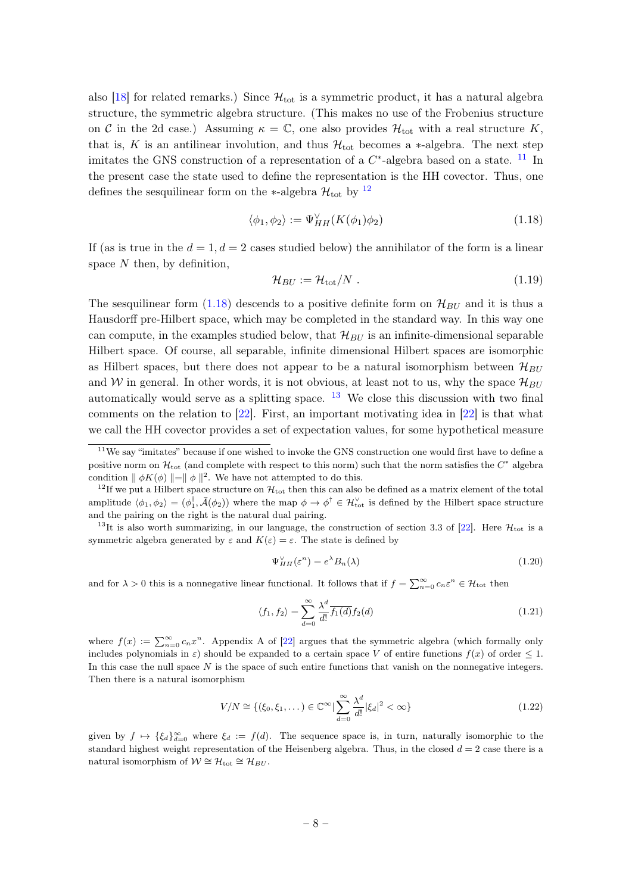also [\[18\]](#page-47-10) for related remarks.) Since  $\mathcal{H}_{\text{tot}}$  is a symmetric product, it has a natural algebra structure, the symmetric algebra structure. (This makes no use of the Frobenius structure on C in the 2d case.) Assuming  $\kappa = \mathbb{C}$ , one also provides  $\mathcal{H}_{\text{tot}}$  with a real structure K, that is, K is an antilinear involution, and thus  $\mathcal{H}_{\text{tot}}$  becomes a  $*$ -algebra. The next step imitates the GNS construction of a representation of a  $C^*$ -algebra based on a state. <sup>[11](#page-8-0)</sup> In the present case the state used to define the representation is the HH covector. Thus, one defines the sesquilinear form on the ∗-algebra  $\mathcal{H}_{\text{tot}}$  by  $^{12}$  $^{12}$  $^{12}$ 

<span id="page-8-2"></span>
$$
\langle \phi_1, \phi_2 \rangle := \Psi_{HH}^{\vee}(K(\phi_1)\phi_2)
$$
\n(1.18)

If (as is true in the  $d = 1, d = 2$  cases studied below) the annihilator of the form is a linear space  $N$  then, by definition,

$$
\mathcal{H}_{BU} := \mathcal{H}_{\text{tot}}/N \tag{1.19}
$$

The sesquilinear form  $(1.18)$  descends to a positive definite form on  $\mathcal{H}_{BU}$  and it is thus a Hausdorff pre-Hilbert space, which may be completed in the standard way. In this way one can compute, in the examples studied below, that  $\mathcal{H}_{BH}$  is an infinite-dimensional separable Hilbert space. Of course, all separable, infinite dimensional Hilbert spaces are isomorphic as Hilbert spaces, but there does not appear to be a natural isomorphism between  $\mathcal{H}_{BU}$ and W in general. In other words, it is not obvious, at least not to us, why the space  $\mathcal{H}_{BU}$ automatically would serve as a splitting space.  $13$  We close this discussion with two final comments on the relation to [\[22\]](#page-47-5). First, an important motivating idea in [\[22\]](#page-47-5) is that what we call the HH covector provides a set of expectation values, for some hypothetical measure

<span id="page-8-3"></span><sup>13</sup>It is also worth summarizing, in our language, the construction of section 3.3 of [\[22\]](#page-47-5). Here  $\mathcal{H}_{\text{tot}}$  is a symmetric algebra generated by  $\varepsilon$  and  $K(\varepsilon) = \varepsilon$ . The state is defined by

$$
\Psi_{HH}^{\vee}(\varepsilon^n) = e^{\lambda} B_n(\lambda) \tag{1.20}
$$

and for  $\lambda > 0$  this is a nonnegative linear functional. It follows that if  $f = \sum_{n=0}^{\infty} c_n \varepsilon^n \in \mathcal{H}_{\text{tot}}$  then

$$
\langle f_1, f_2 \rangle = \sum_{d=0}^{\infty} \frac{\lambda^d}{d!} \overline{f_1(d)} f_2(d)
$$
\n(1.21)

where  $f(x) := \sum_{n=0}^{\infty} c_n x^n$ . Appendix A of [\[22\]](#page-47-5) argues that the symmetric algebra (which formally only includes polynomials in  $\varepsilon$ ) should be expanded to a certain space V of entire functions  $f(x)$  of order  $\leq 1$ . In this case the null space  $N$  is the space of such entire functions that vanish on the nonnegative integers. Then there is a natural isomorphism

$$
V/N \cong \{(\xi_0, \xi_1, \dots) \in \mathbb{C}^\infty \mid \sum_{d=0}^\infty \frac{\lambda^d}{d!} |\xi_d|^2 < \infty\} \tag{1.22}
$$

given by  $f \mapsto {\xi_d}_{d=0}^{\infty}$  where  $\xi_d := f(d)$ . The sequence space is, in turn, naturally isomorphic to the standard highest weight representation of the Heisenberg algebra. Thus, in the closed  $d = 2$  case there is a natural isomorphism of  $W \cong H_{\text{tot}} \cong H_{BU}$ .

<span id="page-8-0"></span> $11$ We say "imitates" because if one wished to invoke the GNS construction one would first have to define a positive norm on  $\mathcal{H}_{\text{tot}}$  (and complete with respect to this norm) such that the norm satisfies the  $C^*$  algebra condition  $|| \phi K(\phi) ||=|| \phi ||^2$ . We have not attempted to do this.

<span id="page-8-1"></span><sup>&</sup>lt;sup>12</sup>If we put a Hilbert space structure on  $\mathcal{H}_{\text{tot}}$  then this can also be defined as a matrix element of the total amplitude  $\langle \phi_1, \phi_2 \rangle = (\phi_1^{\dagger}, \bar{\mathcal{A}}(\phi_2))$  where the map  $\phi \to \phi^{\dagger} \in \mathcal{H}_{\text{tot}}^{\vee}$  is defined by the Hilbert space structure and the pairing on the right is the natural dual pairing.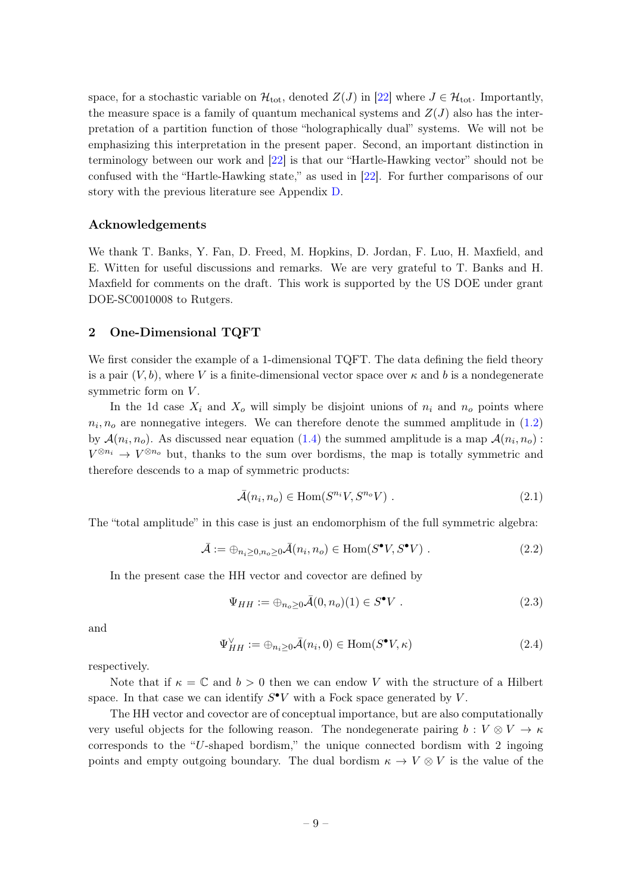space, for a stochastic variable on  $\mathcal{H}_{\text{tot}}$ , denoted  $Z(J)$  in [\[22\]](#page-47-5) where  $J \in \mathcal{H}_{\text{tot}}$ . Importantly, the measure space is a family of quantum mechanical systems and  $Z(J)$  also has the interpretation of a partition function of those "holographically dual" systems. We will not be emphasizing this interpretation in the present paper. Second, an important distinction in terminology between our work and [\[22\]](#page-47-5) is that our "Hartle-Hawking vector" should not be confused with the "Hartle-Hawking state," as used in [\[22\]](#page-47-5). For further comparisons of our story with the previous literature see Appendix [D.](#page-44-1)

#### Acknowledgements

We thank T. Banks, Y. Fan, D. Freed, M. Hopkins, D. Jordan, F. Luo, H. Maxfield, and E. Witten for useful discussions and remarks. We are very grateful to T. Banks and H. Maxfield for comments on the draft. This work is supported by the US DOE under grant DOE-SC0010008 to Rutgers.

#### <span id="page-9-0"></span>2 One-Dimensional TQFT

We first consider the example of a 1-dimensional TQFT. The data defining the field theory is a pair  $(V, b)$ , where V is a finite-dimensional vector space over  $\kappa$  and b is a nondegenerate symmetric form on  $V$ .

In the 1d case  $X_i$  and  $X_o$  will simply be disjoint unions of  $n_i$  and  $n_o$  points where  $n_i, n_o$  are nonnegative integers. We can therefore denote the summed amplitude in  $(1.2)$ by  $\mathcal{A}(n_i, n_o)$ . As discussed near equation [\(1.4\)](#page-3-1) the summed amplitude is a map  $\mathcal{A}(n_i, n_o)$ :  $V^{\otimes n_i} \to V^{\otimes n_o}$  but, thanks to the sum over bordisms, the map is totally symmetric and therefore descends to a map of symmetric products:

$$
\bar{\mathcal{A}}(n_i, n_o) \in \text{Hom}(S^{n_i}V, S^{n_o}V) . \tag{2.1}
$$

The "total amplitude" in this case is just an endomorphism of the full symmetric algebra:

$$
\bar{\mathcal{A}} := \bigoplus_{n_i \ge 0, n_o \ge 0} \bar{\mathcal{A}}(n_i, n_o) \in \text{Hom}(S^{\bullet}V, S^{\bullet}V) . \tag{2.2}
$$

In the present case the HH vector and covector are defined by

$$
\Psi_{HH} := \oplus_{n_o \ge 0} \bar{\mathcal{A}}(0, n_o)(1) \in S^{\bullet} V . \tag{2.3}
$$

and

<span id="page-9-1"></span>
$$
\Psi_{HH}^{\vee} := \oplus_{n_i \ge 0} \bar{\mathcal{A}}(n_i, 0) \in \text{Hom}(S^{\bullet}V, \kappa)
$$
\n(2.4)

respectively.

Note that if  $\kappa = \mathbb{C}$  and  $b > 0$  then we can endow V with the structure of a Hilbert space. In that case we can identify  $S^{\bullet}V$  with a Fock space generated by V.

The HH vector and covector are of conceptual importance, but are also computationally very useful objects for the following reason. The nondegenerate pairing  $b: V \otimes V \to \kappa$ corresponds to the "U-shaped bordism," the unique connected bordism with 2 ingoing points and empty outgoing boundary. The dual bordism  $\kappa \to V \otimes V$  is the value of the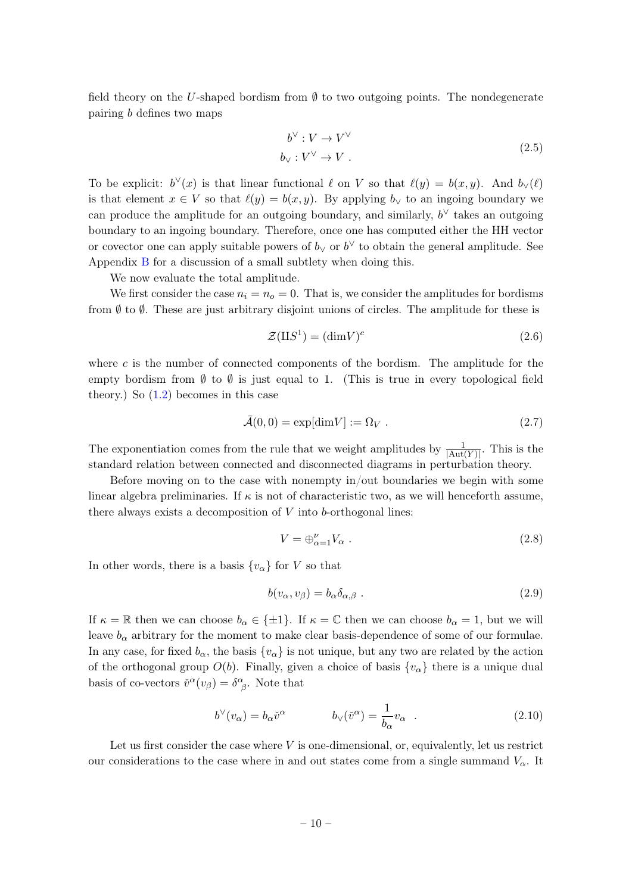field theory on the U-shaped bordism from  $\emptyset$  to two outgoing points. The nondegenerate pairing b defines two maps

$$
b^{\vee}: V \to V^{\vee}
$$
  
\n
$$
b_{\vee}: V^{\vee} \to V .
$$
\n(2.5)

To be explicit:  $b^{\vee}(x)$  is that linear functional  $\ell$  on V so that  $\ell(y) = b(x, y)$ . And  $b_{\vee}(\ell)$ is that element  $x \in V$  so that  $\ell(y) = b(x, y)$ . By applying  $b_{\vee}$  to an ingoing boundary we can produce the amplitude for an outgoing boundary, and similarly,  $b^{\vee}$  takes an outgoing boundary to an ingoing boundary. Therefore, once one has computed either the HH vector or covector one can apply suitable powers of  $b_y$  or  $b^{\vee}$  to obtain the general amplitude. See Appendix [B](#page-43-0) for a discussion of a small subtlety when doing this.

We now evaluate the total amplitude.

We first consider the case  $n_i = n_o = 0$ . That is, we consider the amplitudes for bordisms from  $\emptyset$  to  $\emptyset$ . These are just arbitrary disjoint unions of circles. The amplitude for these is

$$
\mathcal{Z}(\mathbf{I}\mathbf{I}S^1) = (\dim V)^c \tag{2.6}
$$

where  $c$  is the number of connected components of the bordism. The amplitude for the empty bordism from  $\emptyset$  to  $\emptyset$  is just equal to 1. (This is true in every topological field theory.) So [\(1.2\)](#page-2-4) becomes in this case

$$
\bar{\mathcal{A}}(0,0) = \exp[\dim V] := \Omega_V . \tag{2.7}
$$

The exponentiation comes from the rule that we weight amplitudes by  $\frac{1}{|\text{Aut}(Y)|}$ . This is the standard relation between connected and disconnected diagrams in perturbation theory.

Before moving on to the case with nonempty  $\text{in}/\text{out}$  boundaries we begin with some linear algebra preliminaries. If  $\kappa$  is not of characteristic two, as we will henceforth assume, there always exists a decomposition of  $V$  into  $b$ -orthogonal lines:

$$
V = \bigoplus_{\alpha=1}^{V} V_{\alpha} . \tag{2.8}
$$

In other words, there is a basis  $\{v_{\alpha}\}\$ for V so that

$$
b(v_{\alpha}, v_{\beta}) = b_{\alpha} \delta_{\alpha, \beta} . \tag{2.9}
$$

If  $\kappa = \mathbb{R}$  then we can choose  $b_{\alpha} \in \{\pm 1\}$ . If  $\kappa = \mathbb{C}$  then we can choose  $b_{\alpha} = 1$ , but we will leave  $b_{\alpha}$  arbitrary for the moment to make clear basis-dependence of some of our formulae. In any case, for fixed  $b_{\alpha}$ , the basis  $\{v_{\alpha}\}\$ is not unique, but any two are related by the action of the orthogonal group  $O(b)$ . Finally, given a choice of basis  $\{v_{\alpha}\}\$  there is a unique dual basis of co-vectors  $\check{v}^{\alpha}(v_{\beta}) = \delta^{\alpha}_{\beta}$ . Note that

$$
b^{\vee}(v_{\alpha}) = b_{\alpha}\check{v}^{\alpha} \qquad b_{\vee}(\check{v}^{\alpha}) = \frac{1}{b_{\alpha}}v_{\alpha} \qquad (2.10)
$$

Let us first consider the case where  $V$  is one-dimensional, or, equivalently, let us restrict our considerations to the case where in and out states come from a single summand  $V_{\alpha}$ . It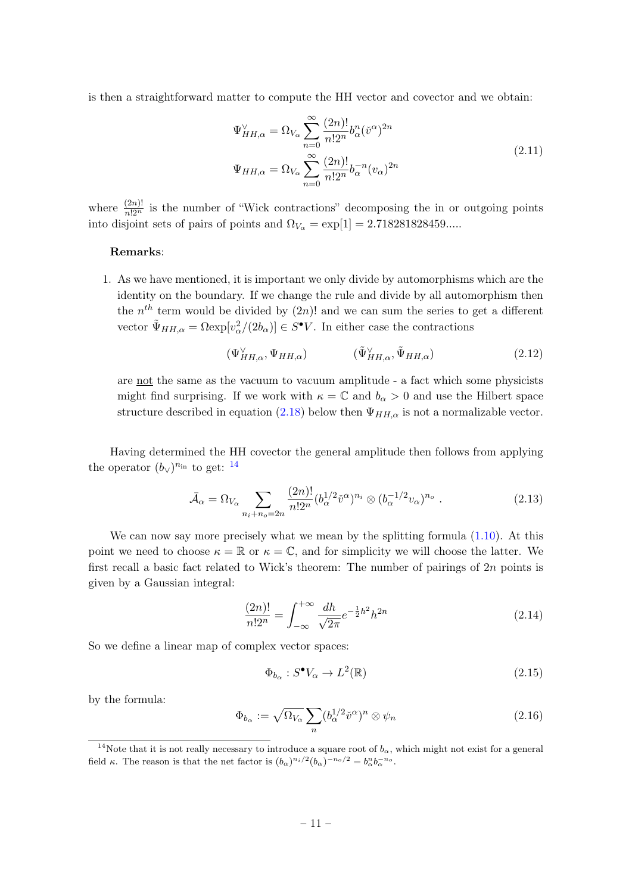is then a straightforward matter to compute the HH vector and covector and we obtain:

$$
\Psi_{HH,\alpha}^{\vee} = \Omega_{V_{\alpha}} \sum_{n=0}^{\infty} \frac{(2n)!}{n!2^n} b_{\alpha}^n (\check{v}^{\alpha})^{2n}
$$
\n
$$
\Psi_{HH,\alpha} = \Omega_{V_{\alpha}} \sum_{n=0}^{\infty} \frac{(2n)!}{n!2^n} b_{\alpha}^{-n} (v_{\alpha})^{2n}
$$
\n(2.11)

where  $\frac{(2n)!}{n!2^n}$  is the number of "Wick contractions" decomposing the in or outgoing points into disjoint sets of pairs of points and  $\Omega_{V_{\alpha}} = \exp[1] = 2.718281828459...$ 

#### Remarks:

1. As we have mentioned, it is important we only divide by automorphisms which are the identity on the boundary. If we change the rule and divide by all automorphism then the  $n^{th}$  term would be divided by  $(2n)!$  and we can sum the series to get a different vector  $\tilde{\Psi}_{HH,\alpha} = \Omega \exp[v_\alpha^2/(2b_\alpha)] \in S^{\bullet}V$ . In either case the contractions

$$
(\Psi_{HH,\alpha}^{\vee}, \Psi_{HH,\alpha}) \qquad (\tilde{\Psi}_{HH,\alpha}^{\vee}, \tilde{\Psi}_{HH,\alpha}) \qquad (2.12)
$$

are not the same as the vacuum to vacuum amplitude - a fact which some physicists might find surprising. If we work with  $\kappa = \mathbb{C}$  and  $b_{\alpha} > 0$  and use the Hilbert space structure described in equation [\(2.18\)](#page-12-1) below then  $\Psi_{HH,\alpha}$  is not a normalizable vector.

Having determined the HH covector the general amplitude then follows from applying the operator  $(b_{\vee})^{n_{\text{in}}}$  to get:  $^{14}$  $^{14}$  $^{14}$ 

$$
\bar{\mathcal{A}}_{\alpha} = \Omega_{V_{\alpha}} \sum_{n_i + n_o = 2n} \frac{(2n)!}{n! 2^n} (b_{\alpha}^{1/2} \check{v}^{\alpha})^{n_i} \otimes (b_{\alpha}^{-1/2} v_{\alpha})^{n_o} . \tag{2.13}
$$

We can now say more precisely what we mean by the splitting formula  $(1.10)$ . At this point we need to choose  $\kappa = \mathbb{R}$  or  $\kappa = \mathbb{C}$ , and for simplicity we will choose the latter. We first recall a basic fact related to Wick's theorem: The number of pairings of  $2n$  points is given by a Gaussian integral:

$$
\frac{(2n)!}{n!2^n} = \int_{-\infty}^{+\infty} \frac{dh}{\sqrt{2\pi}} e^{-\frac{1}{2}h^2} h^{2n}
$$
\n(2.14)

So we define a linear map of complex vector spaces:

$$
\Phi_{b_{\alpha}}: S^{\bullet}V_{\alpha} \to L^{2}(\mathbb{R})
$$
\n(2.15)

by the formula:

$$
\Phi_{b_{\alpha}} := \sqrt{\Omega_{V_{\alpha}}} \sum_{n} (b_{\alpha}^{1/2} \check{v}^{\alpha})^{n} \otimes \psi_{n}
$$
\n(2.16)

<span id="page-11-0"></span><sup>&</sup>lt;sup>14</sup>Note that it is not really necessary to introduce a square root of  $b_{\alpha}$ , which might not exist for a general field  $\kappa$ . The reason is that the net factor is  $(b_{\alpha})^{n_i/2}(b_{\alpha})^{-n_o/2} = b_{\alpha}^n b_{\alpha}^{-n_o}$ .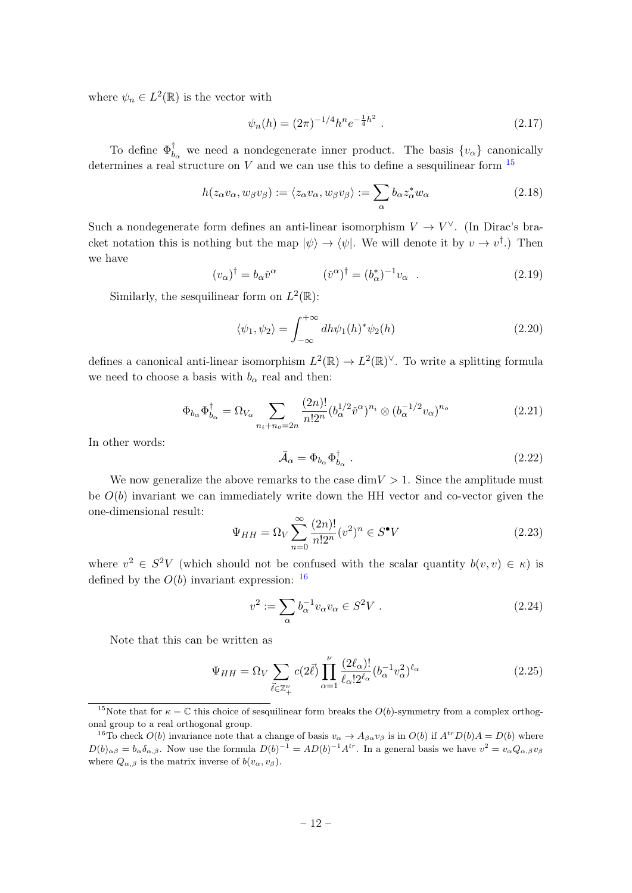where  $\psi_n \in L^2(\mathbb{R})$  is the vector with

$$
\psi_n(h) = (2\pi)^{-1/4} h^n e^{-\frac{1}{4}h^2} \ . \tag{2.17}
$$

To define  $\Phi_b^{\dagger}$  $_{b_{\alpha}}^{\dagger}$  we need a nondegenerate inner product. The basis  $\{v_{\alpha}\}\$  canonically determines a real structure on V and we can use this to define a sesquilinear form  $^{15}$  $^{15}$  $^{15}$ 

<span id="page-12-1"></span>
$$
h(z_{\alpha}v_{\alpha}, w_{\beta}v_{\beta}) := \langle z_{\alpha}v_{\alpha}, w_{\beta}v_{\beta} \rangle := \sum_{\alpha} b_{\alpha}z_{\alpha}^*w_{\alpha}
$$
 (2.18)

Such a nondegenerate form defines an anti-linear isomorphism  $V \to V^{\vee}$ . (In Dirac's bracket notation this is nothing but the map  $|\psi\rangle \rightarrow |\psi|$ . We will denote it by  $v \rightarrow v^{\dagger}$ .) Then we have

$$
(v_{\alpha})^{\dagger} = b_{\alpha} \check{v}^{\alpha} \qquad (\check{v}^{\alpha})^{\dagger} = (b_{\alpha}^{*})^{-1} v_{\alpha} \qquad (2.19)
$$

Similarly, the sesquilinear form on  $L^2(\mathbb{R})$ :

$$
\langle \psi_1, \psi_2 \rangle = \int_{-\infty}^{+\infty} dh \psi_1(h)^* \psi_2(h) \tag{2.20}
$$

defines a canonical anti-linear isomorphism  $L^2(\mathbb{R}) \to L^2(\mathbb{R})^{\vee}$ . To write a splitting formula we need to choose a basis with  $b_{\alpha}$  real and then:

$$
\Phi_{b_{\alpha}} \Phi_{b_{\alpha}}^{\dagger} = \Omega_{V_{\alpha}} \sum_{n_{i}+n_{o}=2n} \frac{(2n)!}{n!2^{n}} (b_{\alpha}^{1/2} \check{v}^{\alpha})^{n_{i}} \otimes (b_{\alpha}^{-1/2} v_{\alpha})^{n_{o}} \tag{2.21}
$$

In other words:

<span id="page-12-0"></span>
$$
\bar{\mathcal{A}}_{\alpha} = \Phi_{b_{\alpha}} \Phi_{b_{\alpha}}^{\dagger} \tag{2.22}
$$

We now generalize the above remarks to the case  $\dim V > 1$ . Since the amplitude must be  $O(b)$  invariant we can immediately write down the HH vector and co-vector given the one-dimensional result:

$$
\Psi_{HH} = \Omega_V \sum_{n=0}^{\infty} \frac{(2n)!}{n!2^n} (v^2)^n \in S^{\bullet} V
$$
\n(2.23)

where  $v^2 \in S^2V$  (which should not be confused with the scalar quantity  $b(v, v) \in \kappa$ ) is defined by the  $O(b)$  invariant expression:  $^{16}$  $^{16}$  $^{16}$ 

$$
v^2 := \sum_{\alpha} b_{\alpha}^{-1} v_{\alpha} v_{\alpha} \in S^2 V . \qquad (2.24)
$$

Note that this can be written as

<span id="page-12-4"></span>
$$
\Psi_{HH} = \Omega_V \sum_{\vec{\ell} \in \mathbb{Z}_+^{\nu}} c(2\vec{\ell}) \prod_{\alpha=1}^{\nu} \frac{(2\ell_{\alpha})!}{\ell_{\alpha}! 2^{\ell_{\alpha}}} (b_{\alpha}^{-1} v_{\alpha}^2)^{\ell_{\alpha}}
$$
(2.25)

<span id="page-12-2"></span><sup>&</sup>lt;sup>15</sup>Note that for  $\kappa = \mathbb{C}$  this choice of sesquilinear form breaks the  $O(b)$ -symmetry from a complex orthogonal group to a real orthogonal group.

<span id="page-12-3"></span><sup>&</sup>lt;sup>16</sup>To check  $O(b)$  invariance note that a change of basis  $v_{\alpha} \to A_{\beta \alpha} v_{\beta}$  is in  $O(b)$  if  $A^{tr} D(b) A = D(b)$  where  $D(b)_{\alpha\beta} = b_{\alpha}\delta_{\alpha,\beta}$ . Now use the formula  $D(b)^{-1} = AD(b)^{-1}A^{tr}$ . In a general basis we have  $v^2 = v_{\alpha}Q_{\alpha,\beta}v_{\beta}$ where  $Q_{\alpha,\beta}$  is the matrix inverse of  $b(v_{\alpha}, v_{\beta})$ .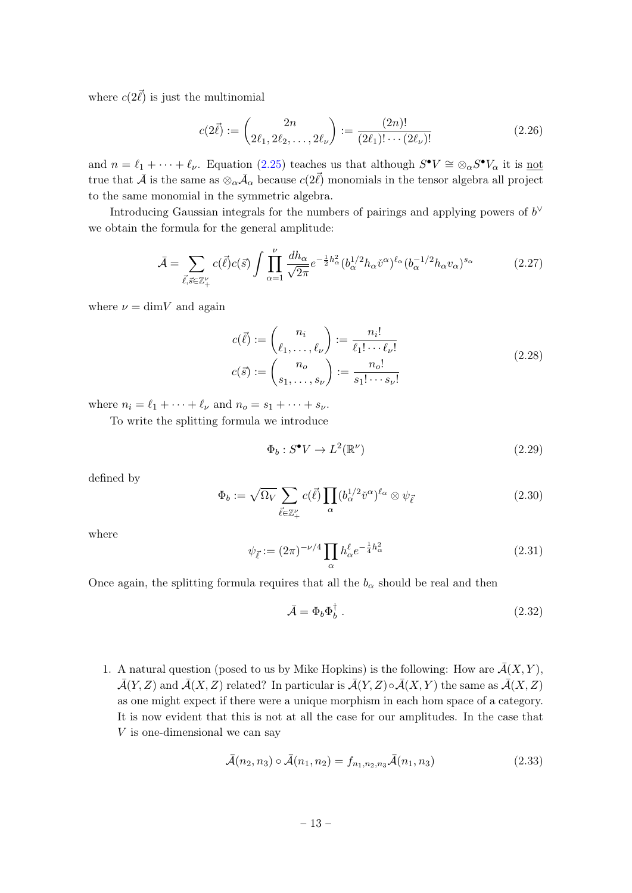where  $c(2\vec{\ell})$  is just the multinomial

$$
c(2\vec{\ell}) := \binom{2n}{2\ell_1, 2\ell_2, \dots, 2\ell_{\nu}} := \frac{(2n)!}{(2\ell_1)! \cdots (2\ell_{\nu})!}
$$
(2.26)

and  $n = \ell_1 + \cdots + \ell_{\nu}$ . Equation [\(2.25\)](#page-12-4) teaches us that although  $S^{\bullet}V \cong \otimes_{\alpha} S^{\bullet}V_{\alpha}$  it is <u>not</u> true that  $\bar{\mathcal{A}}$  is the same as  $\otimes_\alpha \bar{\mathcal{A}}_\alpha$  because  $c(2\vec{\ell})$  monomials in the tensor algebra all project to the same monomial in the symmetric algebra.

Introducing Gaussian integrals for the numbers of pairings and applying powers of  $b^{\vee}$ we obtain the formula for the general amplitude:

$$
\bar{\mathcal{A}} = \sum_{\vec{\ell}, \vec{s} \in \mathbb{Z}_+^{\nu}} c(\vec{\ell}) c(\vec{s}) \int \prod_{\alpha=1}^{\nu} \frac{dh_{\alpha}}{\sqrt{2\pi}} e^{-\frac{1}{2}h_{\alpha}^2} (b_{\alpha}^{1/2} h_{\alpha} \check{v}^{\alpha})^{\ell_{\alpha}} (b_{\alpha}^{-1/2} h_{\alpha} v_{\alpha})^{s_{\alpha}} \tag{2.27}
$$

where  $\nu = \dim V$  and again

$$
c(\vec{\ell}) := {n_i \choose \ell_1, \dots, \ell_\nu} := \frac{n_i!}{\ell_1! \cdots \ell_\nu!}
$$
  

$$
c(\vec{s}) := {n_o \choose s_1, \dots, s_\nu} := \frac{n_o!}{s_1! \cdots s_\nu!}
$$
 (2.28)

where  $n_i = \ell_1 + \cdots + \ell_{\nu}$  and  $n_o = s_1 + \cdots + s_{\nu}$ .

To write the splitting formula we introduce

$$
\Phi_b: S^{\bullet}V \to L^2(\mathbb{R}^{\nu})
$$
\n
$$
(2.29)
$$

defined by

$$
\Phi_b := \sqrt{\Omega_V} \sum_{\vec{\ell} \in \mathbb{Z}_+^{\nu}} c(\vec{\ell}) \prod_{\alpha} (b_{\alpha}^{1/2} \check{v}^{\alpha})^{\ell_{\alpha}} \otimes \psi_{\vec{\ell}}
$$
(2.30)

where

$$
\psi_{\vec{\ell}} := (2\pi)^{-\nu/4} \prod_{\alpha} h_{\alpha}^{\ell} e^{-\frac{1}{4}h_{\alpha}^2}
$$
\n(2.31)

Once again, the splitting formula requires that all the  $b_{\alpha}$  should be real and then

$$
\bar{\mathcal{A}} = \Phi_b \Phi_b^{\dagger} \tag{2.32}
$$

1. A natural question (posed to us by Mike Hopkins) is the following: How are  $\bar{\mathcal{A}}(X, Y)$ ,  $\bar{\mathcal{A}}(Y, Z)$  and  $\bar{\mathcal{A}}(X, Z)$  related? In particular is  $\bar{\mathcal{A}}(Y, Z) \circ \bar{\mathcal{A}}(X, Y)$  the same as  $\bar{\mathcal{A}}(X, Z)$ as one might expect if there were a unique morphism in each hom space of a category. It is now evident that this is not at all the case for our amplitudes. In the case that V is one-dimensional we can say

<span id="page-13-0"></span>
$$
\bar{\mathcal{A}}(n_2, n_3) \circ \bar{\mathcal{A}}(n_1, n_2) = f_{n_1, n_2, n_3} \bar{\mathcal{A}}(n_1, n_3)
$$
\n(2.33)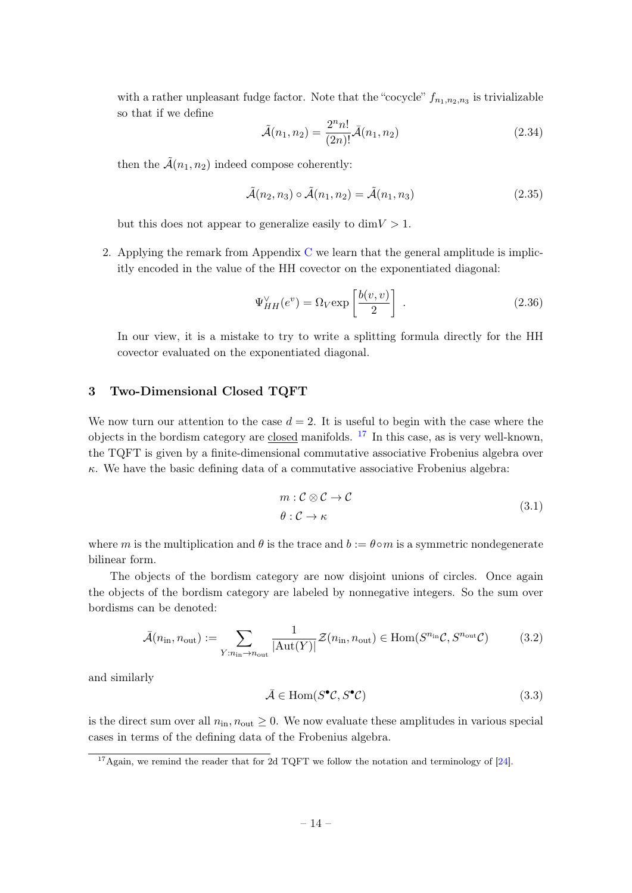with a rather unpleasant fudge factor. Note that the "cocycle"  $f_{n_1,n_2,n_3}$  is trivializable so that if we define

$$
\tilde{\mathcal{A}}(n_1, n_2) = \frac{2^n n!}{(2n)!} \bar{\mathcal{A}}(n_1, n_2)
$$
\n(2.34)

then the  $\tilde{A}(n_1, n_2)$  indeed compose coherently:

$$
\tilde{\mathcal{A}}(n_2, n_3) \circ \tilde{\mathcal{A}}(n_1, n_2) = \tilde{\mathcal{A}}(n_1, n_3)
$$
\n(2.35)

but this does not appear to generalize easily to  $\dim V > 1$ .

2. Applying the remark from Appendix  $C$  we learn that the general amplitude is implicitly encoded in the value of the HH covector on the exponentiated diagonal:

$$
\Psi_{HH}^{\vee}(e^v) = \Omega_V \exp\left[\frac{b(v,v)}{2}\right] \tag{2.36}
$$

In our view, it is a mistake to try to write a splitting formula directly for the HH covector evaluated on the exponentiated diagonal.

#### <span id="page-14-0"></span>3 Two-Dimensional Closed TQFT

We now turn our attention to the case  $d = 2$ . It is useful to begin with the case where the objects in the bordism category are closed manifolds.  $^{17}$  $^{17}$  $^{17}$  In this case, as is very well-known, the TQFT is given by a finite-dimensional commutative associative Frobenius algebra over  $\kappa$ . We have the basic defining data of a commutative associative Frobenius algebra:

$$
m: \mathcal{C} \otimes \mathcal{C} \to \mathcal{C}
$$
  

$$
\theta: \mathcal{C} \to \kappa
$$
 (3.1)

where m is the multiplication and  $\theta$  is the trace and  $b := \theta \circ m$  is a symmetric nondegenerate bilinear form.

The objects of the bordism category are now disjoint unions of circles. Once again the objects of the bordism category are labeled by nonnegative integers. So the sum over bordisms can be denoted:

$$
\bar{\mathcal{A}}(n_{\rm in}, n_{\rm out}) := \sum_{Y: n_{\rm in} \to n_{\rm out}} \frac{1}{|\text{Aut}(Y)|} \mathcal{Z}(n_{\rm in}, n_{\rm out}) \in \text{Hom}(S^{n_{\rm in}}\mathcal{C}, S^{n_{\rm out}}\mathcal{C}) \tag{3.2}
$$

and similarly

$$
\bar{\mathcal{A}} \in \text{Hom}(S^{\bullet} \mathcal{C}, S^{\bullet} \mathcal{C}) \tag{3.3}
$$

is the direct sum over all  $n_{\text{in}}$ ,  $n_{\text{out}} \geq 0$ . We now evaluate these amplitudes in various special cases in terms of the defining data of the Frobenius algebra.

<span id="page-14-1"></span> $17$ Again, we remind the reader that for 2d TQFT we follow the notation and terminology of [\[24\]](#page-48-0).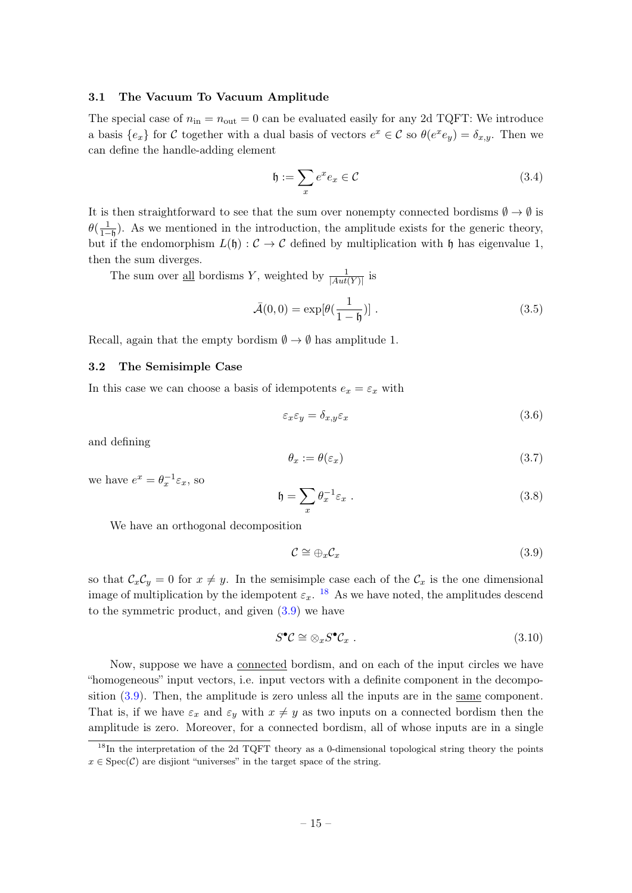#### <span id="page-15-0"></span>3.1 The Vacuum To Vacuum Amplitude

The special case of  $n_{\text{in}} = n_{\text{out}} = 0$  can be evaluated easily for any 2d TQFT: We introduce a basis  $\{e_x\}$  for C together with a dual basis of vectors  $e^x \in C$  so  $\theta(e^x e_y) = \delta_{x,y}$ . Then we can define the handle-adding element

$$
\mathfrak{h} := \sum_{x} e^x e_x \in \mathcal{C}
$$
\n(3.4)

It is then straightforward to see that the sum over nonempty connected bordisms  $\emptyset \to \emptyset$  is  $\theta(\frac{1}{1-\theta})$ . As we mentioned in the introduction, the amplitude exists for the generic theory, but if the endomorphism  $L(\mathfrak{h}) : \mathcal{C} \to \mathcal{C}$  defined by multiplication with  $\mathfrak{h}$  has eigenvalue 1, then the sum diverges.

The sum over <u>all</u> bordisms Y, weighted by  $\frac{1}{|Aut(Y)|}$  is

$$
\bar{\mathcal{A}}(0,0) = \exp[\theta(\frac{1}{1-\mathfrak{h}})] \ . \tag{3.5}
$$

Recall, again that the empty bordism  $\emptyset \to \emptyset$  has amplitude 1.

#### <span id="page-15-1"></span>3.2 The Semisimple Case

In this case we can choose a basis of idempotents  $e_x = \varepsilon_x$  with

$$
\varepsilon_x \varepsilon_y = \delta_{x,y} \varepsilon_x \tag{3.6}
$$

and defining

$$
\theta_x := \theta(\varepsilon_x) \tag{3.7}
$$

we have  $e^x = \theta_x^{-1} \varepsilon_x$ , so

$$
\mathfrak{h} = \sum_{x} \theta_x^{-1} \varepsilon_x \ . \tag{3.8}
$$

We have an orthogonal decomposition

<span id="page-15-3"></span>
$$
\mathcal{C} \cong \bigoplus_{x} \mathcal{C}_x \tag{3.9}
$$

so that  $\mathcal{C}_x \mathcal{C}_y = 0$  for  $x \neq y$ . In the semisimple case each of the  $\mathcal{C}_x$  is the one dimensional image of multiplication by the idempotent  $\varepsilon_x$ . <sup>[18](#page-15-2)</sup> As we have noted, the amplitudes descend to the symmetric product, and given [\(3.9\)](#page-15-3) we have

$$
S^{\bullet} \mathcal{C} \cong \otimes_x S^{\bullet} \mathcal{C}_x \ . \tag{3.10}
$$

Now, suppose we have a connected bordism, and on each of the input circles we have "homogeneous" input vectors, i.e. input vectors with a definite component in the decomposition [\(3.9\)](#page-15-3). Then, the amplitude is zero unless all the inputs are in the same component. That is, if we have  $\varepsilon_x$  and  $\varepsilon_y$  with  $x \neq y$  as two inputs on a connected bordism then the amplitude is zero. Moreover, for a connected bordism, all of whose inputs are in a single

<span id="page-15-2"></span> $18$ In the interpretation of the 2d TQFT theory as a 0-dimensional topological string theory the points  $x \in \text{Spec}(\mathcal{C})$  are disjiont "universes" in the target space of the string.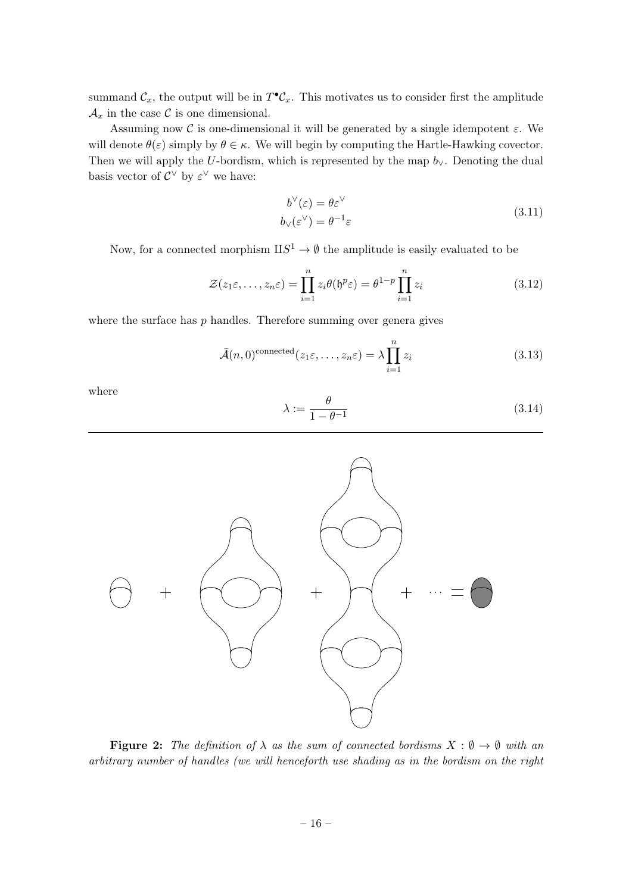summand  $\mathcal{C}_x$ , the output will be in  $T^{\bullet} \mathcal{C}_x$ . This motivates us to consider first the amplitude  $\mathcal{A}_x$  in the case C is one dimensional.

Assuming now C is one-dimensional it will be generated by a single idempotent  $\varepsilon$ . We will denote  $\theta(\varepsilon)$  simply by  $\theta \in \kappa$ . We will begin by computing the Hartle-Hawking covector. Then we will apply the U-bordism, which is represented by the map  $b_{\vee}$ . Denoting the dual basis vector of  $\mathcal{C}^{\vee}$  by  $\varepsilon^{\vee}$  we have:

$$
b^{\vee}(\varepsilon) = \theta \varepsilon^{\vee}
$$
  
\n
$$
b_{\vee}(\varepsilon^{\vee}) = \theta^{-1} \varepsilon
$$
\n(3.11)

Now, for a connected morphism  $\text{II}S^1 \to \emptyset$  the amplitude is easily evaluated to be

$$
\mathcal{Z}(z_1\varepsilon,\ldots,z_n\varepsilon) = \prod_{i=1}^n z_i \theta(\mathfrak{h}^p \varepsilon) = \theta^{1-p} \prod_{i=1}^n z_i
$$
\n(3.12)

where the surface has  $p$  handles. Therefore summing over genera gives

$$
\bar{\mathcal{A}}(n,0)^{\text{connected}}(z_1\varepsilon,\ldots,z_n\varepsilon) = \lambda \prod_{i=1}^n z_i
$$
\n(3.13)

where

$$
\lambda := \frac{\theta}{1 - \theta^{-1}}\tag{3.14}
$$



**Figure 2:** The definition of  $\lambda$  as the sum of connected bordisms  $X : \emptyset \to \emptyset$  with an arbitrary number of handles (we will henceforth use shading as in the bordism on the right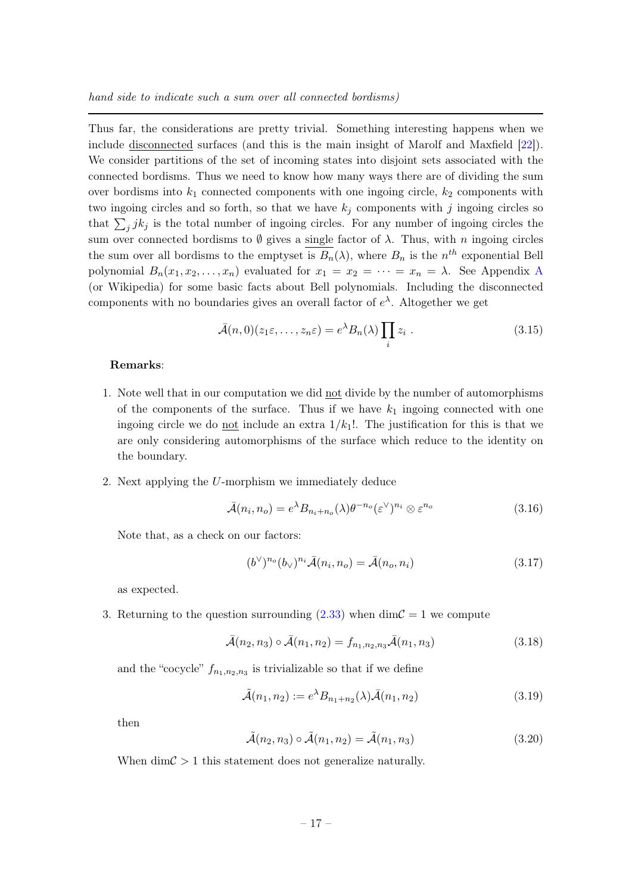Thus far, the considerations are pretty trivial. Something interesting happens when we include disconnected surfaces (and this is the main insight of Marolf and Maxfield [\[22\]](#page-47-5)). We consider partitions of the set of incoming states into disjoint sets associated with the connected bordisms. Thus we need to know how many ways there are of dividing the sum over bordisms into  $k_1$  connected components with one ingoing circle,  $k_2$  components with two ingoing circles and so forth, so that we have  $k_j$  components with j ingoing circles so that  $\sum_j j k_j$  is the total number of ingoing circles. For any number of ingoing circles the sum over connected bordisms to  $\emptyset$  gives a single factor of  $\lambda$ . Thus, with n ingoing circles the sum over all bordisms to the emptyset is  $B_n(\lambda)$ , where  $B_n$  is the  $n^{th}$  exponential Bell polynomial  $B_n(x_1, x_2, \ldots, x_n)$  evaluated for  $x_1 = x_2 = \cdots = x_n = \lambda$ . See [A](#page-42-0)ppendix A (or Wikipedia) for some basic facts about Bell polynomials. Including the disconnected components with no boundaries gives an overall factor of  $e^{\lambda}$ . Altogether we get

$$
\bar{\mathcal{A}}(n,0)(z_1\varepsilon,\ldots,z_n\varepsilon) = e^{\lambda}B_n(\lambda)\prod_i z_i.
$$
 (3.15)

#### Remarks:

- 1. Note well that in our computation we did not divide by the number of automorphisms of the components of the surface. Thus if we have  $k_1$  ingoing connected with one ingoing circle we do not include an extra  $1/k_1!$ . The justification for this is that we are only considering automorphisms of the surface which reduce to the identity on the boundary.
- 2. Next applying the U-morphism we immediately deduce

<span id="page-17-0"></span>
$$
\bar{\mathcal{A}}(n_i, n_o) = e^{\lambda} B_{n_i + n_o}(\lambda) \theta^{-n_o} (\varepsilon^{\vee})^{n_i} \otimes \varepsilon^{n_o}
$$
\n(3.16)

Note that, as a check on our factors:

$$
(b^{\vee})^{n_o}(b_{\vee})^{n_i}\overline{\mathcal{A}}(n_i, n_o) = \overline{\mathcal{A}}(n_o, n_i)
$$
\n(3.17)

as expected.

3. Returning to the question surrounding [\(2.33\)](#page-13-0) when dim $\mathcal{C} = 1$  we compute

$$
\bar{\mathcal{A}}(n_2, n_3) \circ \bar{\mathcal{A}}(n_1, n_2) = f_{n_1, n_2, n_3} \bar{\mathcal{A}}(n_1, n_3)
$$
\n(3.18)

and the "cocycle"  $f_{n_1,n_2,n_3}$  is trivializable so that if we define

$$
\tilde{\mathcal{A}}(n_1, n_2) := e^{\lambda} B_{n_1 + n_2}(\lambda) \bar{\mathcal{A}}(n_1, n_2)
$$
\n(3.19)

then

$$
\tilde{\mathcal{A}}(n_2, n_3) \circ \tilde{\mathcal{A}}(n_1, n_2) = \tilde{\mathcal{A}}(n_1, n_3)
$$
\n(3.20)

When  $\dim \mathcal{C} > 1$  this statement does not generalize naturally.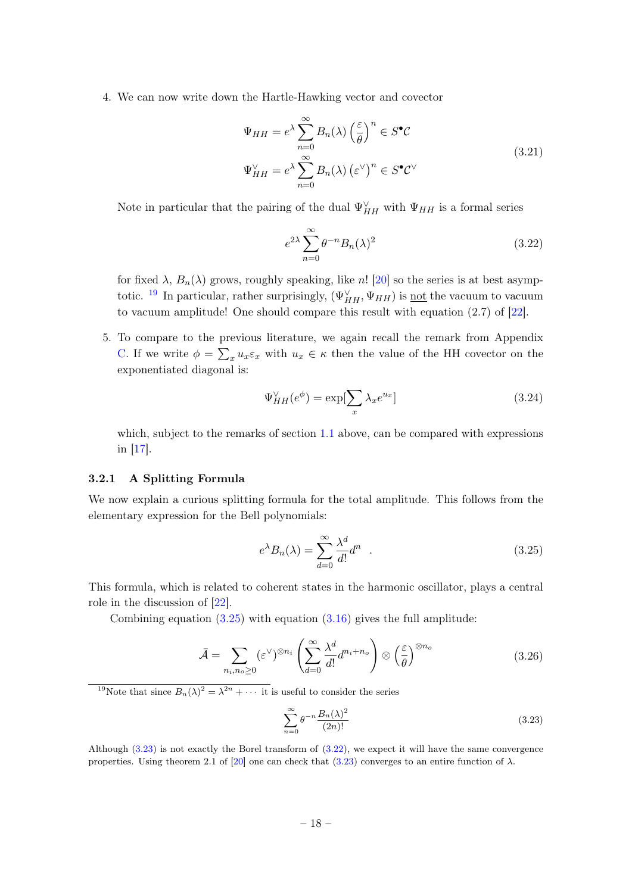4. We can now write down the Hartle-Hawking vector and covector

$$
\Psi_{HH} = e^{\lambda} \sum_{n=0}^{\infty} B_n(\lambda) \left(\frac{\varepsilon}{\theta}\right)^n \in S^{\bullet} C
$$
\n
$$
\Psi_{HH}^{\vee} = e^{\lambda} \sum_{n=0}^{\infty} B_n(\lambda) \left(\varepsilon^{\vee}\right)^n \in S^{\bullet} C^{\vee}
$$
\n(3.21)

Note in particular that the pairing of the dual  $\Psi_{HH}^{\vee}$  with  $\Psi_{HH}$  is a formal series

<span id="page-18-4"></span>
$$
e^{2\lambda} \sum_{n=0}^{\infty} \theta^{-n} B_n(\lambda)^2 \tag{3.22}
$$

for fixed  $\lambda$ ,  $B_n(\lambda)$  grows, roughly speaking, like n! [\[20\]](#page-47-11) so the series is at best asymp-totic. <sup>[19](#page-18-1)</sup> In particular, rather surprisingly,  $(\Psi_{HH}^{\vee}, \Psi_{HH})$  is <u>not</u> the vacuum to vacuum to vacuum amplitude! One should compare this result with equation (2.7) of [\[22\]](#page-47-5).

5. To compare to the previous literature, we again recall the remark from Appendix [C.](#page-44-0) If we write  $\phi = \sum_x u_x \varepsilon_x$  with  $u_x \in \kappa$  then the value of the HH covector on the exponentiated diagonal is:

$$
\Psi_{HH}^{\vee}(e^{\phi}) = \exp[\sum_{x} \lambda_x e^{u_x}] \tag{3.24}
$$

which, subject to the remarks of section [1.1](#page-5-0) above, can be compared with expressions in [\[17\]](#page-47-4).

#### <span id="page-18-0"></span>3.2.1 A Splitting Formula

We now explain a curious splitting formula for the total amplitude. This follows from the elementary expression for the Bell polynomials:

<span id="page-18-2"></span>
$$
e^{\lambda}B_n(\lambda) = \sum_{d=0}^{\infty} \frac{\lambda^d}{d!} d^n \quad . \tag{3.25}
$$

This formula, which is related to coherent states in the harmonic oscillator, plays a central role in the discussion of [\[22\]](#page-47-5).

<span id="page-18-5"></span>Combining equation  $(3.25)$  with equation  $(3.16)$  gives the full amplitude:

$$
\bar{\mathcal{A}} = \sum_{n_i, n_o \ge 0} (\varepsilon^{\vee})^{\otimes n_i} \left( \sum_{d=0}^{\infty} \frac{\lambda^d}{d!} d^{n_i + n_o} \right) \otimes \left( \frac{\varepsilon}{\theta} \right)^{\otimes n_o}
$$
(3.26)

<span id="page-18-1"></span><sup>19</sup>Note that since  $B_n(\lambda)^2 = \lambda^{2n} + \cdots$  it is useful to consider the series

<span id="page-18-3"></span>
$$
\sum_{n=0}^{\infty} \theta^{-n} \frac{B_n(\lambda)^2}{(2n)!}
$$
\n(3.23)

Although [\(3.23\)](#page-18-3) is not exactly the Borel transform of [\(3.22\)](#page-18-4), we expect it will have the same convergence properties. Using theorem 2.1 of [\[20\]](#page-47-11) one can check that [\(3.23\)](#page-18-3) converges to an entire function of  $\lambda$ .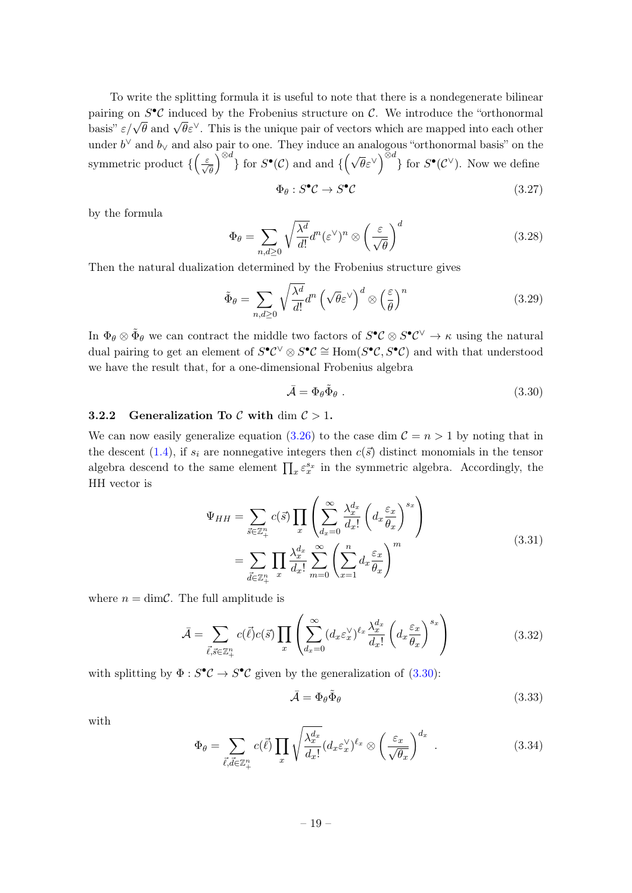To write the splitting formula it is useful to note that there is a nondegenerate bilinear pairing on  $S^{\bullet} \mathcal{C}$  induced by the Frobenius structure on  $\mathcal{C}$ . We introduce the "orthonormal basis"  $\varepsilon/\sqrt{\theta}$  and  $\sqrt{\theta} \varepsilon^{\vee}$ . This is the unique pair of vectors which are mapped into each other under  $b^{\vee}$  and  $b_{\vee}$  and also pair to one. They induce an analogous "orthonormal basis" on the symmetric product  $\{\left(\frac{\varepsilon}{\sqrt{\theta}}\right)$  $\int_{\mathbb{R}^d}$  for  $S^{\bullet}(\mathcal{C})$  and and  $\{(\sqrt{\theta}\varepsilon^{\vee})^{\otimes d}\}$  for  $S^{\bullet}(\mathcal{C}^{\vee})$ . Now we define

$$
\Phi_{\theta}: S^{\bullet} \mathcal{C} \to S^{\bullet} \mathcal{C} \tag{3.27}
$$

by the formula

$$
\Phi_{\theta} = \sum_{n,d \ge 0} \sqrt{\frac{\lambda^d}{d!}} d^n (\varepsilon^{\vee})^n \otimes \left(\frac{\varepsilon}{\sqrt{\theta}}\right)^d \tag{3.28}
$$

Then the natural dualization determined by the Frobenius structure gives

$$
\tilde{\Phi}_{\theta} = \sum_{n,d \ge 0} \sqrt{\frac{\lambda^d}{d!}} d^n \left(\sqrt{\theta} \varepsilon^{\vee}\right)^d \otimes \left(\frac{\varepsilon}{\theta}\right)^n \tag{3.29}
$$

In  $\Phi_{\theta} \otimes \tilde{\Phi}_{\theta}$  we can contract the middle two factors of  $S^{\bullet} \mathcal{C} \otimes S^{\bullet} \mathcal{C}^{\vee} \to \kappa$  using the natural dual pairing to get an element of  $S^{\bullet}C^{\vee} \otimes S^{\bullet}C \cong \text{Hom}(S^{\bullet}C, S^{\bullet}C)$  and with that understood we have the result that, for a one-dimensional Frobenius algebra

<span id="page-19-3"></span>
$$
\bar{\mathcal{A}} = \Phi_{\theta} \tilde{\Phi}_{\theta} . \tag{3.30}
$$

#### <span id="page-19-0"></span>3.2.2 Generalization To  $\mathcal C$  with dim  $\mathcal C > 1$ .

We can now easily generalize equation [\(3.26\)](#page-18-5) to the case dim  $C = n > 1$  by noting that in the descent [\(1.4\)](#page-3-1), if  $s_i$  are nonnegative integers then  $c(\vec{s})$  distinct monomials in the tensor algebra descend to the same element  $\prod_x \varepsilon_x^{s_x}$  in the symmetric algebra. Accordingly, the HH vector is

$$
\Psi_{HH} = \sum_{\vec{s} \in \mathbb{Z}_{+}^{n}} c(\vec{s}) \prod_{x} \left( \sum_{d_x=0}^{\infty} \frac{\lambda_x^{d_x}}{d_x!} \left( d_x \frac{\varepsilon_x}{\theta_x} \right)^{s_x} \right)
$$
\n
$$
= \sum_{\vec{d} \in \mathbb{Z}_{+}^{n}} \prod_{x} \frac{\lambda_x^{d_x}}{d_x!} \sum_{m=0}^{\infty} \left( \sum_{x=1}^{n} d_x \frac{\varepsilon_x}{\theta_x} \right)^m
$$
\n(3.31)

<span id="page-19-1"></span>where  $n = \dim \mathcal{C}$ . The full amplitude is

$$
\bar{\mathcal{A}} = \sum_{\vec{\ell}, \vec{s} \in \mathbb{Z}_+^n} c(\vec{\ell}) c(\vec{s}) \prod_x \left( \sum_{d_x=0}^\infty (d_x \varepsilon_x^\vee)^{\ell_x} \frac{\lambda_x^{d_x}}{d_x!} \left( d_x \frac{\varepsilon_x}{\theta_x} \right)^{s_x} \right) \tag{3.32}
$$

with splitting by  $\Phi : S^{\bullet} \mathcal{C} \to S^{\bullet} \mathcal{C}$  given by the generalization of  $(3.30)$ :

$$
\bar{\mathcal{A}} = \Phi_{\theta} \tilde{\Phi}_{\theta} \tag{3.33}
$$

with

<span id="page-19-2"></span>
$$
\Phi_{\theta} = \sum_{\vec{\ell}, \vec{d} \in \mathbb{Z}_{+}^{n}} c(\vec{\ell}) \prod_{x} \sqrt{\frac{\lambda_x^{d_x}}{d_x!}} (d_x \varepsilon_x^{\vee})^{\ell_x} \otimes \left(\frac{\varepsilon_x}{\sqrt{\theta_x}}\right)^{d_x} . \tag{3.34}
$$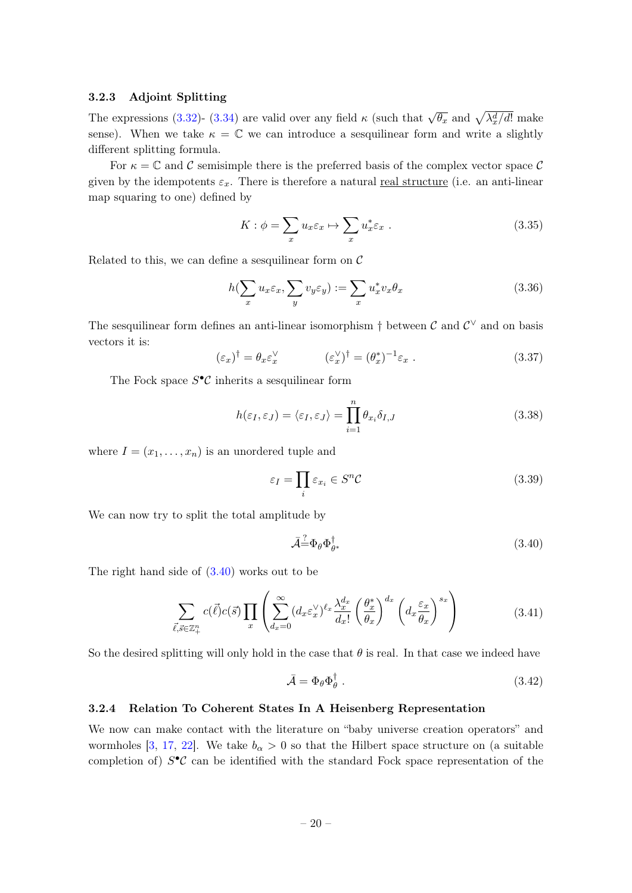#### <span id="page-20-0"></span>3.2.3 Adjoint Splitting

The expressions [\(3.32\)](#page-19-1)- [\(3.34\)](#page-19-2) are valid over any field  $\kappa$  (such that  $\sqrt{\theta_x}$  and  $\sqrt{\lambda_x^d/d!}$  make sense). When we take  $\kappa = \mathbb{C}$  we can introduce a sesquilinear form and write a slightly different splitting formula.

For  $\kappa = \mathbb{C}$  and C semisimple there is the preferred basis of the complex vector space C given by the idempotents  $\varepsilon_x$ . There is therefore a natural real structure (i.e. an anti-linear map squaring to one) defined by

$$
K: \phi = \sum_{x} u_x \varepsilon_x \mapsto \sum_{x} u_x^* \varepsilon_x \ . \tag{3.35}
$$

Related to this, we can define a sesquilinear form on  $\mathcal C$ 

$$
h(\sum_{x} u_x \varepsilon_x, \sum_{y} v_y \varepsilon_y) := \sum_{x} u_x^* v_x \theta_x \tag{3.36}
$$

The sesquilinear form defines an anti-linear isomorphism  $\dagger$  between  $\mathcal{C}$  and  $\mathcal{C}^{\vee}$  and on basis vectors it is:

$$
(\varepsilon_x)^\dagger = \theta_x \varepsilon_x^\vee \qquad (\varepsilon_x^\vee)^\dagger = (\theta_x^*)^{-1} \varepsilon_x \ . \tag{3.37}
$$

The Fock space  $S^{\bullet} \mathcal{C}$  inherits a sesquilinear form

$$
h(\varepsilon_I, \varepsilon_J) = \langle \varepsilon_I, \varepsilon_J \rangle = \prod_{i=1}^n \theta_{x_i} \delta_{I,J}
$$
\n(3.38)

where  $I = (x_1, \ldots, x_n)$  is an unordered tuple and

$$
\varepsilon_I = \prod_i \varepsilon_{x_i} \in S^n \mathcal{C}
$$
\n(3.39)

We can now try to split the total amplitude by

<span id="page-20-2"></span>
$$
\bar{\mathcal{A}} \dot{=} \Phi_{\theta} \Phi_{\theta^*}^{\dagger} \tag{3.40}
$$

The right hand side of  $(3.40)$  works out to be

$$
\sum_{\vec{\ell},\vec{s}\in\mathbb{Z}_{+}^{n}}c(\vec{\ell})c(\vec{s})\prod_{x}\left(\sum_{d_{x}=0}^{\infty}(d_{x}\varepsilon_{x}^{\vee})^{\ell_{x}}\frac{\lambda_{x}^{d_{x}}}{d_{x}!}\left(\frac{\theta_{x}^{*}}{\theta_{x}}\right)^{d_{x}}\left(d_{x}\frac{\varepsilon_{x}}{\theta_{x}}\right)^{s_{x}}\right)
$$
(3.41)

So the desired splitting will only hold in the case that  $\theta$  is real. In that case we indeed have

$$
\bar{\mathcal{A}} = \Phi_{\theta} \Phi_{\theta}^{\dagger} \tag{3.42}
$$

#### <span id="page-20-1"></span>3.2.4 Relation To Coherent States In A Heisenberg Representation

We now can make contact with the literature on "baby universe creation operators" and wormholes [\[3,](#page-46-2) [17,](#page-47-4) [22\]](#page-47-5). We take  $b_{\alpha} > 0$  so that the Hilbert space structure on (a suitable completion of)  $S^{\bullet}C$  can be identified with the standard Fock space representation of the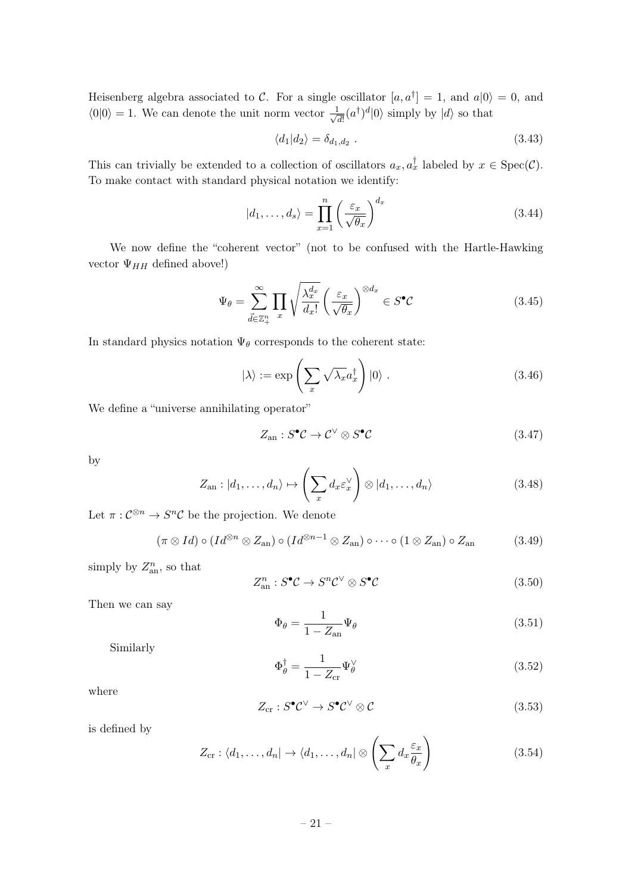Heisenberg algebra associated to C. For a single oscillator  $[a, a^{\dagger}] = 1$ , and  $a|0\rangle = 0$ , and  $\langle 0|0 \rangle = 1$ . We can denote the unit norm vector  $\frac{1}{\sqrt{2}}$  $\frac{1}{\overline{d!}}(a^{\dagger})^d|0\rangle$  simply by  $|d\rangle$  so that

$$
\langle d_1 | d_2 \rangle = \delta_{d_1, d_2} \tag{3.43}
$$

This can trivially be extended to a collection of oscillators  $a_x, a_x^{\dagger}$  labeled by  $x \in \text{Spec}(\mathcal{C})$ . To make contact with standard physical notation we identify:

$$
|d_1, \dots, d_s\rangle = \prod_{x=1}^n \left(\frac{\varepsilon_x}{\sqrt{\theta_x}}\right)^{d_x}
$$
 (3.44)

We now define the "coherent vector" (not to be confused with the Hartle-Hawking vector  $\Psi_{HH}$  defined above!)

$$
\Psi_{\theta} = \sum_{\vec{d} \in \mathbb{Z}_{+}^{n}} \prod_{x} \sqrt{\frac{\lambda_{x}^{d_{x}}}{d_{x}!}} \left(\frac{\varepsilon_{x}}{\sqrt{\theta_{x}}}\right)^{\otimes d_{x}} \in S^{\bullet} \mathcal{C}
$$
\n(3.45)

In standard physics notation  $\Psi_\theta$  corresponds to the coherent state:

$$
|\lambda\rangle := \exp\left(\sum_{x} \sqrt{\lambda_x} a_x^{\dagger}\right) |0\rangle. \tag{3.46}
$$

We define a "universe annihilating operator"

$$
Z_{\rm an}: S^{\bullet} \mathcal{C} \to \mathcal{C}^{\vee} \otimes S^{\bullet} \mathcal{C} \tag{3.47}
$$

by

$$
Z_{\text{an}}: |d_1, \dots, d_n\rangle \mapsto \left(\sum_x d_x \varepsilon_x^{\vee}\right) \otimes |d_1, \dots, d_n\rangle \tag{3.48}
$$

Let  $\pi: \mathcal{C}^{\otimes n} \to S^n \mathcal{C}$  be the projection. We denote

$$
(\pi \otimes Id) \circ (Id^{\otimes n} \otimes Z_{\text{an}}) \circ (Id^{\otimes n-1} \otimes Z_{\text{an}}) \circ \cdots \circ (1 \otimes Z_{\text{an}}) \circ Z_{\text{an}} \tag{3.49}
$$

simply by  $Z_{an}^n$ , so that

$$
Z_{\text{an}}^n : S^{\bullet} \mathcal{C} \to S^n \mathcal{C}^{\vee} \otimes S^{\bullet} \mathcal{C}
$$
 (3.50)

Then we can say

$$
\Phi_{\theta} = \frac{1}{1 - Z_{\text{an}}} \Psi_{\theta} \tag{3.51}
$$

Similarly

$$
\Phi_{\theta}^{\dagger} = \frac{1}{1 - Z_{\rm cr}} \Psi_{\theta}^{\vee} \tag{3.52}
$$

where

$$
Z_{\rm cr}: S^{\bullet} \mathcal{C}^{\vee} \to S^{\bullet} \mathcal{C}^{\vee} \otimes \mathcal{C}
$$
\n
$$
(3.53)
$$

is defined by

$$
Z_{\text{cr}}: \langle d_1, \dots, d_n | \to \langle d_1, \dots, d_n | \otimes \left( \sum_x d_x \frac{\varepsilon_x}{\theta_x} \right) \tag{3.54}
$$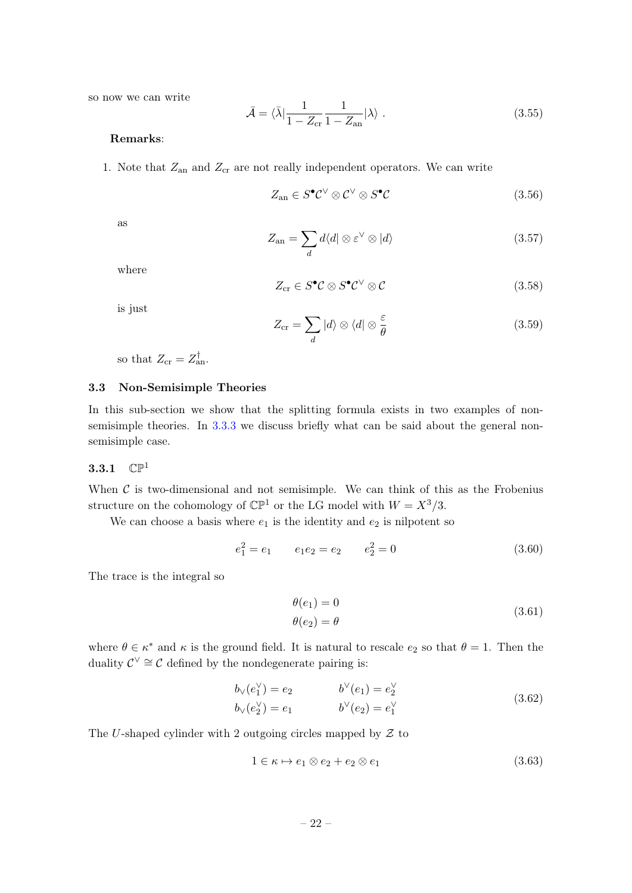so now we can write

<span id="page-22-2"></span>
$$
\bar{\mathcal{A}} = \langle \bar{\lambda} | \frac{1}{1 - Z_{\text{cr}}} \frac{1}{1 - Z_{\text{an}}} | \lambda \rangle . \tag{3.55}
$$

#### Remarks:

1. Note that  $Z_{\text{an}}$  and  $Z_{\text{cr}}$  are not really independent operators. We can write

$$
Z_{\rm an} \in S^{\bullet} \mathcal{C}^{\vee} \otimes \mathcal{C}^{\vee} \otimes S^{\bullet} \mathcal{C}
$$
\n
$$
(3.56)
$$

as

$$
Z_{\rm an} = \sum_{d} d\langle d| \otimes \varepsilon^{\vee} \otimes |d\rangle \tag{3.57}
$$

where

$$
Z_{\rm cr} \in S^{\bullet} \mathcal{C} \otimes S^{\bullet} \mathcal{C}^{\vee} \otimes \mathcal{C}
$$
 (3.58)

is just

$$
Z_{\rm cr} = \sum_{d} |d\rangle \otimes \langle d| \otimes \frac{\varepsilon}{\theta} \tag{3.59}
$$

so that  $Z_{\rm cr} = Z_{\rm an}^{\dagger}$ .

#### <span id="page-22-0"></span>3.3 Non-Semisimple Theories

In this sub-section we show that the splitting formula exists in two examples of nonsemisimple theories. In [3.3.3](#page-28-0) we discuss briefly what can be said about the general nonsemisimple case.

#### <span id="page-22-1"></span>3.3.1  $\mathbb{CP}^1$

When  $\mathcal C$  is two-dimensional and not semisimple. We can think of this as the Frobenius structure on the cohomology of  $\mathbb{CP}^1$  or the LG model with  $W = X^3/3$ .

We can choose a basis where  $e_1$  is the identity and  $e_2$  is nilpotent so

$$
e_1^2 = e_1 \qquad e_1 e_2 = e_2 \qquad e_2^2 = 0 \tag{3.60}
$$

The trace is the integral so

$$
\theta(e_1) = 0
$$
  
\n
$$
\theta(e_2) = \theta
$$
\n(3.61)

where  $\theta \in \kappa^*$  and  $\kappa$  is the ground field. It is natural to rescale  $e_2$  so that  $\theta = 1$ . Then the duality  $\mathcal{C}^{\vee} \cong \mathcal{C}$  defined by the nondegenerate pairing is:

$$
b_{\vee}(e_1^{\vee}) = e_2 \qquad b^{\vee}(e_1) = e_2^{\vee} b_{\vee}(e_2^{\vee}) = e_1 \qquad b^{\vee}(e_2) = e_1^{\vee}
$$
\n(3.62)

The U-shaped cylinder with 2 outgoing circles mapped by  $\mathcal Z$  to

$$
1 \in \kappa \mapsto e_1 \otimes e_2 + e_2 \otimes e_1 \tag{3.63}
$$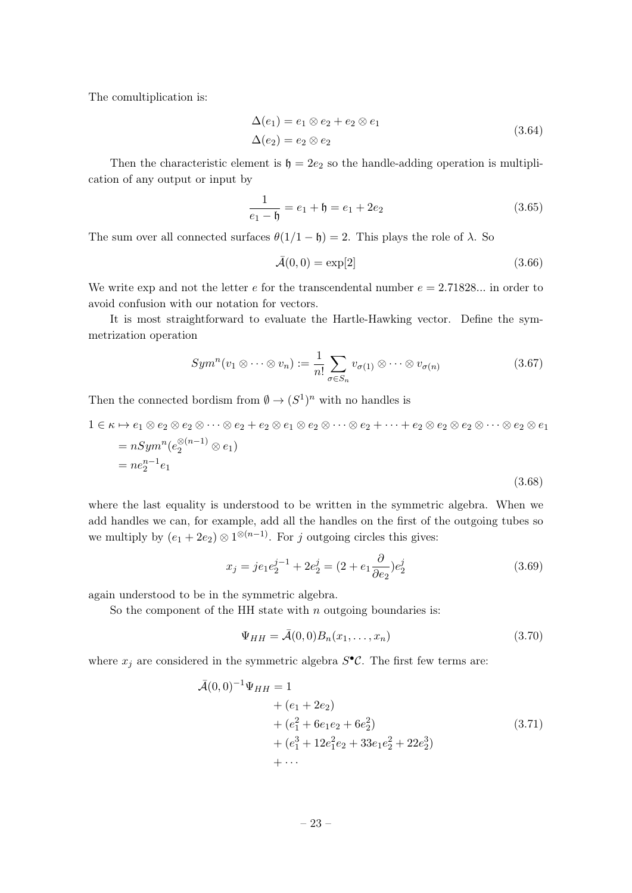The comultiplication is:

$$
\Delta(e_1) = e_1 \otimes e_2 + e_2 \otimes e_1
$$
  
\n
$$
\Delta(e_2) = e_2 \otimes e_2
$$
\n(3.64)

Then the characteristic element is  $\mathfrak{h} = 2e_2$  so the handle-adding operation is multiplication of any output or input by

$$
\frac{1}{e_1 - \mathfrak{h}} = e_1 + \mathfrak{h} = e_1 + 2e_2 \tag{3.65}
$$

The sum over all connected surfaces  $\theta(1/1 - \mathfrak{h}) = 2$ . This plays the role of  $\lambda$ . So

$$
\bar{\mathcal{A}}(0,0) = \exp[2] \tag{3.66}
$$

We write exp and not the letter  $e$  for the transcendental number  $e = 2.71828...$  in order to avoid confusion with our notation for vectors.

It is most straightforward to evaluate the Hartle-Hawking vector. Define the symmetrization operation

$$
Sym^n(v_1 \otimes \cdots \otimes v_n) := \frac{1}{n!} \sum_{\sigma \in S_n} v_{\sigma(1)} \otimes \cdots \otimes v_{\sigma(n)} \tag{3.67}
$$

Then the connected bordism from  $\emptyset \to (S^1)^n$  with no handles is

$$
1 \in \kappa \mapsto e_1 \otimes e_2 \otimes e_2 \otimes \cdots \otimes e_2 + e_2 \otimes e_1 \otimes e_2 \otimes \cdots \otimes e_2 + \cdots + e_2 \otimes e_2 \otimes e_2 \otimes \cdots \otimes e_2 \otimes e_1
$$
  
=  $nSym^n(e_2^{\otimes (n-1)} \otimes e_1)$   
=  $ne_2^{n-1}e_1$  (3.68)

where the last equality is understood to be written in the symmetric algebra. When we add handles we can, for example, add all the handles on the first of the outgoing tubes so we multiply by  $(e_1 + 2e_2) \otimes 1^{\otimes (n-1)}$ . For j outgoing circles this gives:

$$
x_j = je_1 e_2^{j-1} + 2e_2^j = (2 + e_1 \frac{\partial}{\partial e_2}) e_2^j \tag{3.69}
$$

again understood to be in the symmetric algebra.

So the component of the HH state with  $n$  outgoing boundaries is:

$$
\Psi_{HH} = \bar{\mathcal{A}}(0,0)B_n(x_1,\ldots,x_n) \tag{3.70}
$$

where  $x_j$  are considered in the symmetric algebra  $S^{\bullet} \mathcal{C}$ . The first few terms are:

$$
\bar{\mathcal{A}}(0,0)^{-1}\Psi_{HH} = 1 \n+ (e_1 + 2e_2) \n+ (e_1^2 + 6e_1e_2 + 6e_2^2) \n+ (e_1^3 + 12e_1^2e_2 + 33e_1e_2^2 + 22e_2^3) \n+ \cdots
$$
\n(3.71)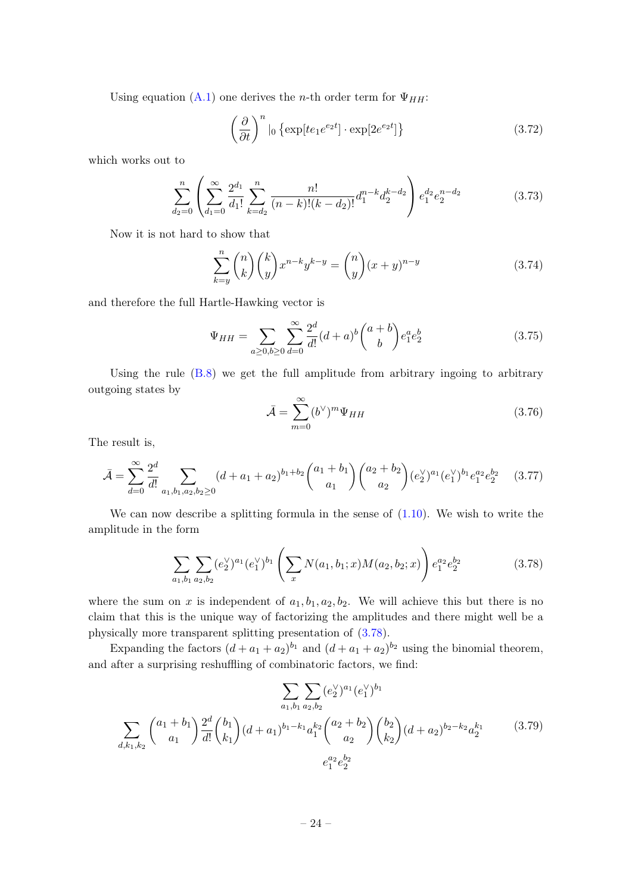Using equation [\(A.1\)](#page-42-1) one derives the *n*-th order term for  $\Psi_{HH}$ :

$$
\left(\frac{\partial}{\partial t}\right)^n \Big|_{0} \left\{ \exp[te_1 e^{e_2 t}] \cdot \exp[2e^{e_2 t}] \right\} \tag{3.72}
$$

which works out to

$$
\sum_{d_2=0}^n \left( \sum_{d_1=0}^\infty \frac{2^{d_1}}{d_1!} \sum_{k=d_2}^n \frac{n!}{(n-k)!(k-d_2)!} d_1^{n-k} d_2^{k-d_2} \right) e_1^{d_2} e_2^{n-d_2}
$$
(3.73)

Now it is not hard to show that

$$
\sum_{k=y}^{n} \binom{n}{k} \binom{k}{y} x^{n-k} y^{k-y} = \binom{n}{y} (x+y)^{n-y}
$$
\n(3.74)

and therefore the full Hartle-Hawking vector is

$$
\Psi_{HH} = \sum_{a \ge 0, b \ge 0} \sum_{d=0}^{\infty} \frac{2^d}{d!} (d+a)^b \binom{a+b}{b} e_1^a e_2^b \tag{3.75}
$$

Using the rule [\(B.8\)](#page-43-1) we get the full amplitude from arbitrary ingoing to arbitrary outgoing states by

$$
\bar{\mathcal{A}} = \sum_{m=0}^{\infty} (b^{\vee})^m \Psi_{HH}
$$
\n(3.76)

The result is,

$$
\bar{\mathcal{A}} = \sum_{d=0}^{\infty} \frac{2^d}{d!} \sum_{a_1, b_1, a_2, b_2 \ge 0} (d + a_1 + a_2)^{b_1 + b_2} \binom{a_1 + b_1}{a_1} \binom{a_2 + b_2}{a_2} (e_2^{\vee})^{a_1} (e_1^{\vee})^{b_1} e_1^{a_2} e_2^{b_2} \tag{3.77}
$$

We can now describe a splitting formula in the sense of  $(1.10)$ . We wish to write the amplitude in the form

<span id="page-24-0"></span>
$$
\sum_{a_1, b_1} \sum_{a_2, b_2} (e_2^{\vee})^{a_1} (e_1^{\vee})^{b_1} \left( \sum_x N(a_1, b_1; x) M(a_2, b_2; x) \right) e_1^{a_2} e_2^{b_2} \tag{3.78}
$$

where the sum on x is independent of  $a_1, b_1, a_2, b_2$ . We will achieve this but there is no claim that this is the unique way of factorizing the amplitudes and there might well be a physically more transparent splitting presentation of [\(3.78\)](#page-24-0).

Expanding the factors  $(d + a_1 + a_2)^{b_1}$  and  $(d + a_1 + a_2)^{b_2}$  using the binomial theorem, and after a surprising reshuffling of combinatoric factors, we find:

$$
\sum_{a_1, b_1} \sum_{a_2, b_2} (e_2^{\vee})^{a_1} (e_1^{\vee})^{b_1}
$$
\n
$$
\sum_{d, k_1, k_2} {a_1 + b_1 \choose a_1} \frac{2^d}{d!} {b_1 \choose k_1} (d + a_1)^{b_1 - k_1} a_1^{k_2} {a_2 + b_2 \choose a_2} {b_2 \choose k_2} (d + a_2)^{b_2 - k_2} a_2^{k_1}
$$
\n
$$
e_1^{a_2} e_2^{b_2}
$$
\n(3.79)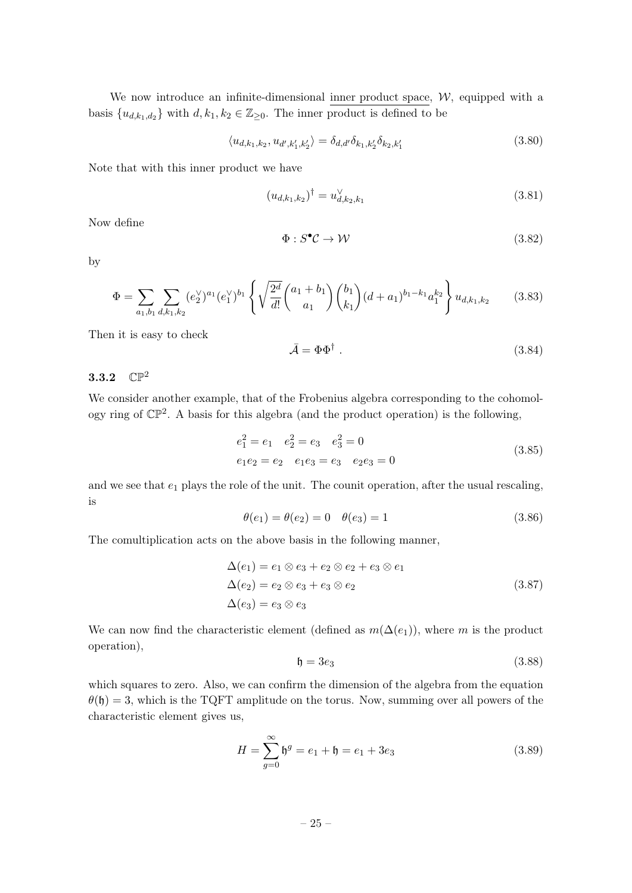We now introduce an infinite-dimensional inner product space,  $W$ , equipped with a basis  $\{u_{d,k_1,d_2}\}\$  with  $d, k_1, k_2 \in \mathbb{Z}_{\geq 0}$ . The inner product is defined to be

$$
\langle u_{d,k_1,k_2}, u_{d',k'_1,k'_2} \rangle = \delta_{d,d'} \delta_{k_1,k'_2} \delta_{k_2,k'_1}
$$
\n(3.80)

Note that with this inner product we have

$$
(u_{d,k_1,k_2})^{\dagger} = u_{d,k_2,k_1}^{\vee} \tag{3.81}
$$

Now define

$$
\Phi: S^{\bullet} \mathcal{C} \to \mathcal{W} \tag{3.82}
$$

by

$$
\Phi = \sum_{a_1, b_1} \sum_{d, k_1, k_2} (e_2^{\vee})^{a_1} (e_1^{\vee})^{b_1} \left\{ \sqrt{\frac{2^d}{d!}} {a_1 + b_1 \choose a_1} {b_1 \choose k_1} (d + a_1)^{b_1 - k_1} a_1^{k_2} \right\} u_{d, k_1, k_2}
$$
(3.83)

Then it is easy to check

$$
\bar{\mathcal{A}} = \Phi \Phi^{\dagger} \tag{3.84}
$$

### <span id="page-25-0"></span>3.3.2  $\mathbb{CP}^2$

We consider another example, that of the Frobenius algebra corresponding to the cohomology ring of  $\mathbb{CP}^2$ . A basis for this algebra (and the product operation) is the following,

$$
e_1^2 = e_1 \t e_2^2 = e_3 \t e_3^2 = 0
$$
  
\n
$$
e_1e_2 = e_2 \t e_1e_3 = e_3 \t e_2e_3 = 0
$$
\n(3.85)

and we see that  $e_1$  plays the role of the unit. The counit operation, after the usual rescaling, is

$$
\theta(e_1) = \theta(e_2) = 0 \quad \theta(e_3) = 1 \tag{3.86}
$$

The comultiplication acts on the above basis in the following manner,

$$
\Delta(e_1) = e_1 \otimes e_3 + e_2 \otimes e_2 + e_3 \otimes e_1
$$
  
\n
$$
\Delta(e_2) = e_2 \otimes e_3 + e_3 \otimes e_2
$$
  
\n
$$
\Delta(e_3) = e_3 \otimes e_3
$$
\n(3.87)

We can now find the characteristic element (defined as  $m(\Delta(e_1))$ , where m is the product operation),

$$
\mathfrak{h} = 3e_3 \tag{3.88}
$$

which squares to zero. Also, we can confirm the dimension of the algebra from the equation  $\theta(\mathfrak{h}) = 3$ , which is the TQFT amplitude on the torus. Now, summing over all powers of the characteristic element gives us,

$$
H = \sum_{g=0}^{\infty} \mathfrak{h}^g = e_1 + \mathfrak{h} = e_1 + 3e_3 \tag{3.89}
$$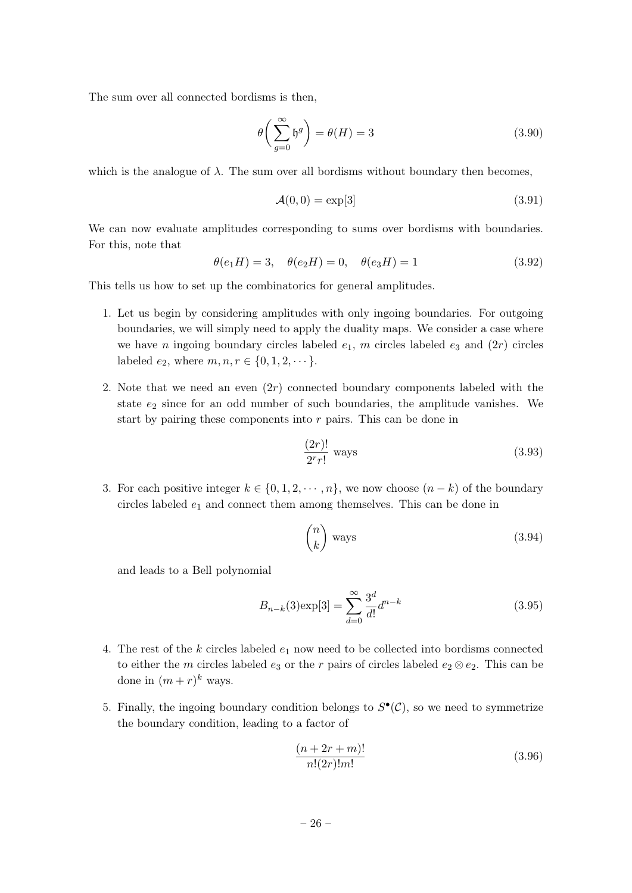The sum over all connected bordisms is then,

$$
\theta\left(\sum_{g=0}^{\infty} \mathfrak{h}^g\right) = \theta(H) = 3\tag{3.90}
$$

which is the analogue of  $\lambda$ . The sum over all bordisms without boundary then becomes,

$$
\mathcal{A}(0,0) = \exp[3] \tag{3.91}
$$

We can now evaluate amplitudes corresponding to sums over bordisms with boundaries. For this, note that

$$
\theta(e_1H) = 3, \quad \theta(e_2H) = 0, \quad \theta(e_3H) = 1 \tag{3.92}
$$

This tells us how to set up the combinatorics for general amplitudes.

- 1. Let us begin by considering amplitudes with only ingoing boundaries. For outgoing boundaries, we will simply need to apply the duality maps. We consider a case where we have n ingoing boundary circles labeled  $e_1$ , m circles labeled  $e_3$  and  $(2r)$  circles labeled  $e_2$ , where  $m, n, r \in \{0, 1, 2, \dots\}$ .
- 2. Note that we need an even  $(2r)$  connected boundary components labeled with the state  $e_2$  since for an odd number of such boundaries, the amplitude vanishes. We start by pairing these components into  $r$  pairs. This can be done in

$$
\frac{(2r)!}{2^r r!} \text{ ways} \tag{3.93}
$$

3. For each positive integer  $k \in \{0, 1, 2, \dots, n\}$ , we now choose  $(n - k)$  of the boundary circles labeled  $e_1$  and connect them among themselves. This can be done in

$$
\binom{n}{k} \text{ ways} \tag{3.94}
$$

and leads to a Bell polynomial

$$
B_{n-k}(3) \exp[3] = \sum_{d=0}^{\infty} \frac{3^d}{d!} d^{n-k}
$$
\n(3.95)

- 4. The rest of the k circles labeled  $e_1$  now need to be collected into bordisms connected to either the m circles labeled  $e_3$  or the r pairs of circles labeled  $e_2 \otimes e_2$ . This can be done in  $(m + r)^k$  ways.
- 5. Finally, the ingoing boundary condition belongs to  $S^{\bullet}(\mathcal{C})$ , so we need to symmetrize the boundary condition, leading to a factor of

$$
\frac{(n+2r+m)!}{n!(2r)!m!} \tag{3.96}
$$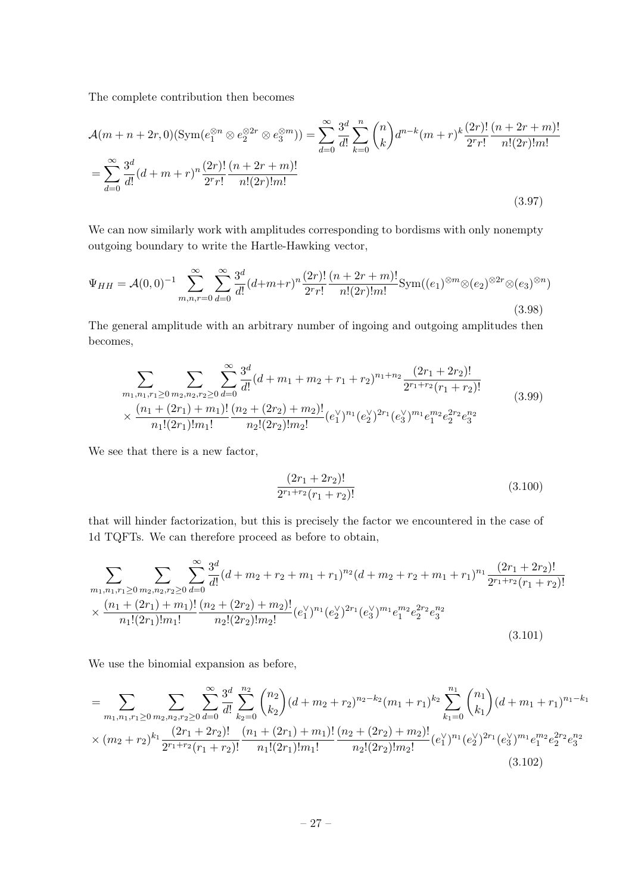The complete contribution then becomes

$$
\mathcal{A}(m+n+2r,0)(\text{Sym}(e_1^{\otimes n}\otimes e_2^{\otimes 2r}\otimes e_3^{\otimes m})) = \sum_{d=0}^{\infty} \frac{3^d}{d!} \sum_{k=0}^n {n \choose k} d^{n-k}(m+r)^k \frac{(2r)!}{2^r r!} \frac{(n+2r+m)!}{n!(2r)!m!}
$$

$$
= \sum_{d=0}^{\infty} \frac{3^d}{d!} (d+m+r)^n \frac{(2r)!}{2^r r!} \frac{(n+2r+m)!}{n!(2r)!m!}
$$
(3.97)

We can now similarly work with amplitudes corresponding to bordisms with only nonempty outgoing boundary to write the Hartle-Hawking vector,

$$
\Psi_{HH} = \mathcal{A}(0,0)^{-1} \sum_{m,n,r=0}^{\infty} \sum_{d=0}^{\infty} \frac{3^d}{d!} (d+m+r)^n \frac{(2r)!}{2^r r!} \frac{(n+2r+m)!}{n!(2r)! m!} \text{Sym}((e_1)^{\otimes m} \otimes (e_2)^{\otimes 2r} \otimes (e_3)^{\otimes n})
$$
\n(3.98)

The general amplitude with an arbitrary number of ingoing and outgoing amplitudes then becomes,

$$
\sum_{m_1,n_1,r_1 \ge 0} \sum_{m_2,n_2,r_2 \ge 0} \sum_{d=0}^{\infty} \frac{3^d}{d!} (d+m_1+m_2+r_1+r_2)^{n_1+n_2} \frac{(2r_1+2r_2)!}{2^{r_1+r_2}(r_1+r_2)!}
$$
\n
$$
\times \frac{(n_1+(2r_1)+m_1)!}{n_1!(2r_1)!m_1!} \frac{(n_2+(2r_2)+m_2)!}{n_2!(2r_2)!m_2!} (e_1^{\vee})^{n_1}(e_2^{\vee})^{2r_1}(e_3^{\vee})^{m_1} e_1^{m_2} e_2^{2r_2} e_3^{n_2}
$$
\n(3.99)

We see that there is a new factor,

$$
\frac{(2r_1+2r_2)!}{2^{r_1+r_2}(r_1+r_2)!}
$$
\n(3.100)

that will hinder factorization, but this is precisely the factor we encountered in the case of 1d TQFTs. We can therefore proceed as before to obtain,

$$
\sum_{m_1, n_1, r_1 \ge 0} \sum_{m_2, n_2, r_2 \ge 0} \sum_{d=0}^{\infty} \frac{3^d}{d!} (d + m_2 + r_2 + m_1 + r_1)^{n_2} (d + m_2 + r_2 + m_1 + r_1)^{n_1} \frac{(2r_1 + 2r_2)!}{2^{r_1 + r_2} (r_1 + r_2)!} \times \frac{(n_1 + (2r_1) + m_1)!}{n_1! (2r_1)! m_1!} \frac{(n_2 + (2r_2) + m_2)!}{n_2! (2r_2)! m_2!} (e_1^{\vee})^{n_1} (e_2^{\vee})^{2r_1} (e_3^{\vee})^{m_1} e_1^{m_2} e_2^{2r_2} e_3^{n_2}
$$
\n(3.101)

We use the binomial expansion as before,

$$
= \sum_{m_1,n_1,r_1 \ge 0} \sum_{m_2,n_2,r_2 \ge 0} \sum_{d=0}^{\infty} \frac{3^d}{d!} \sum_{k_2=0}^{n_2} {n_2 \choose k_2} (d+m_2+r_2)^{n_2-k_2} (m_1+r_1)^{k_2} \sum_{k_1=0}^{n_1} {n_1 \choose k_1} (d+m_1+r_1)^{n_1-k_1}
$$
  
 
$$
\times (m_2+r_2)^{k_1} \frac{(2r_1+2r_2)!}{2^{r_1+r_2}(r_1+r_2)!} \frac{(n_1+(2r_1)+m_1)!}{n_1!(2r_1)!m_1!} \frac{(n_2+(2r_2)+m_2)!}{n_2!(2r_2)!m_2!} (e_1^{\vee})^{n_1} (e_2^{\vee})^{2r_1} (e_3^{\vee})^{m_1} e_1^{m_2} e_2^{2r_2} e_3^{n_2}
$$
  
(3.102)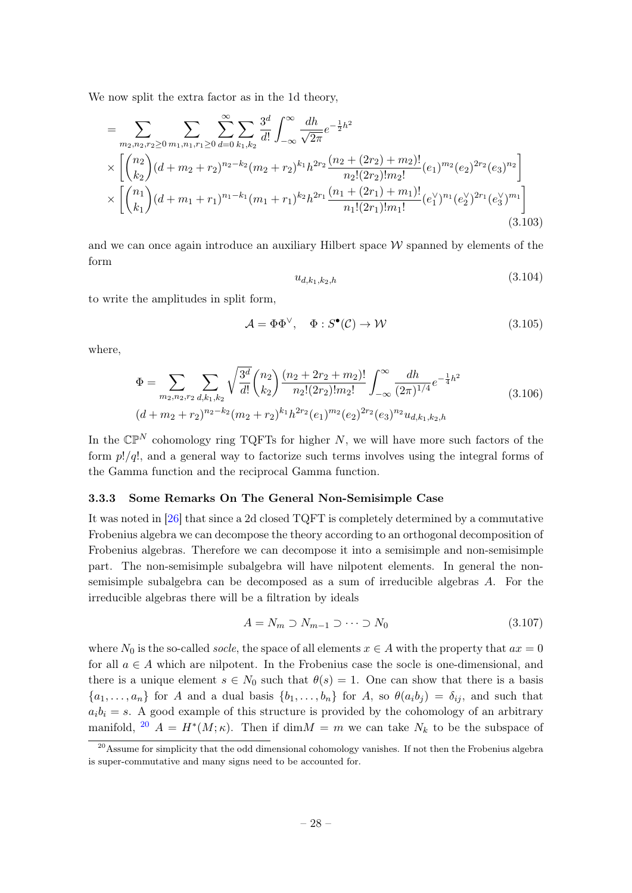We now split the extra factor as in the 1d theory,

$$
= \sum_{m_2,n_2,r_2 \ge 0} \sum_{m_1,n_1,r_1 \ge 0} \sum_{d=0}^{\infty} \sum_{k_1,k_2} \frac{3^d}{d!} \int_{-\infty}^{\infty} \frac{dh}{\sqrt{2\pi}} e^{-\frac{1}{2}h^2} \times \left[ \binom{n_2}{k_2} (d+m_2+r_2)^{n_2-k_2} (m_2+r_2)^{k_1} h^{2r_2} \frac{(n_2+(2r_2)+m_2)!}{n_2!(2r_2)!m_2!} (e_1)^{m_2} (e_2)^{2r_2} (e_3)^{n_2} \right] \times \left[ \binom{n_1}{k_1} (d+m_1+r_1)^{n_1-k_1} (m_1+r_1)^{k_2} h^{2r_1} \frac{(n_1+(2r_1)+m_1)!}{n_1!(2r_1)!m_1!} (e_1^{\vee})^{n_1} (e_2^{\vee})^{2r_1} (e_3^{\vee})^{m_1} \right] \tag{3.103}
$$

and we can once again introduce an auxiliary Hilbert space  $W$  spanned by elements of the form

$$
u_{d,k_1,k_2,h} \tag{3.104}
$$

to write the amplitudes in split form,

$$
\mathcal{A} = \Phi \Phi^{\vee}, \quad \Phi : S^{\bullet}(\mathcal{C}) \to \mathcal{W} \tag{3.105}
$$

where,

$$
\Phi = \sum_{m_2, n_2, r_2} \sum_{d, k_1, k_2} \sqrt{\frac{3^d}{d!}} {n_2 \choose k_2} \frac{(n_2 + 2r_2 + m_2)!}{n_2!(2r_2)! m_2!} \int_{-\infty}^{\infty} \frac{dh}{(2\pi)^{1/4}} e^{-\frac{1}{4}h^2}
$$
\n
$$
(d + m_2 + r_2)^{n_2 - k_2} (m_2 + r_2)^{k_1} h^{2r_2}(e_1)^{m_2}(e_2)^{2r_2}(e_3)^{n_2} u_{d, k_1, k_2, h}
$$
\n
$$
(3.106)
$$

In the  $\mathbb{CP}^N$  cohomology ring TQFTs for higher N, we will have more such factors of the form  $p!/q!$ , and a general way to factorize such terms involves using the integral forms of the Gamma function and the reciprocal Gamma function.

#### <span id="page-28-0"></span>3.3.3 Some Remarks On The General Non-Semisimple Case

It was noted in [\[26\]](#page-48-3) that since a 2d closed TQFT is completely determined by a commutative Frobenius algebra we can decompose the theory according to an orthogonal decomposition of Frobenius algebras. Therefore we can decompose it into a semisimple and non-semisimple part. The non-semisimple subalgebra will have nilpotent elements. In general the nonsemisimple subalgebra can be decomposed as a sum of irreducible algebras A. For the irreducible algebras there will be a filtration by ideals

$$
A = N_m \supset N_{m-1} \supset \cdots \supset N_0 \tag{3.107}
$$

where  $N_0$  is the so-called *socle*, the space of all elements  $x \in A$  with the property that  $ax = 0$ for all  $a \in A$  which are nilpotent. In the Frobenius case the socle is one-dimensional, and there is a unique element  $s \in N_0$  such that  $\theta(s) = 1$ . One can show that there is a basis  $\{a_1, \ldots, a_n\}$  for A and a dual basis  $\{b_1, \ldots, b_n\}$  for A, so  $\theta(a_i b_j) = \delta_{ij}$ , and such that  $a_i b_i = s$ . A good example of this structure is provided by the cohomology of an arbitrary manifold, <sup>[20](#page-28-1)</sup>  $A = H^*(M; \kappa)$ . Then if dim $M = m$  we can take  $N_k$  to be the subspace of

<span id="page-28-1"></span><sup>&</sup>lt;sup>20</sup>Assume for simplicity that the odd dimensional cohomology vanishes. If not then the Frobenius algebra is super-commutative and many signs need to be accounted for.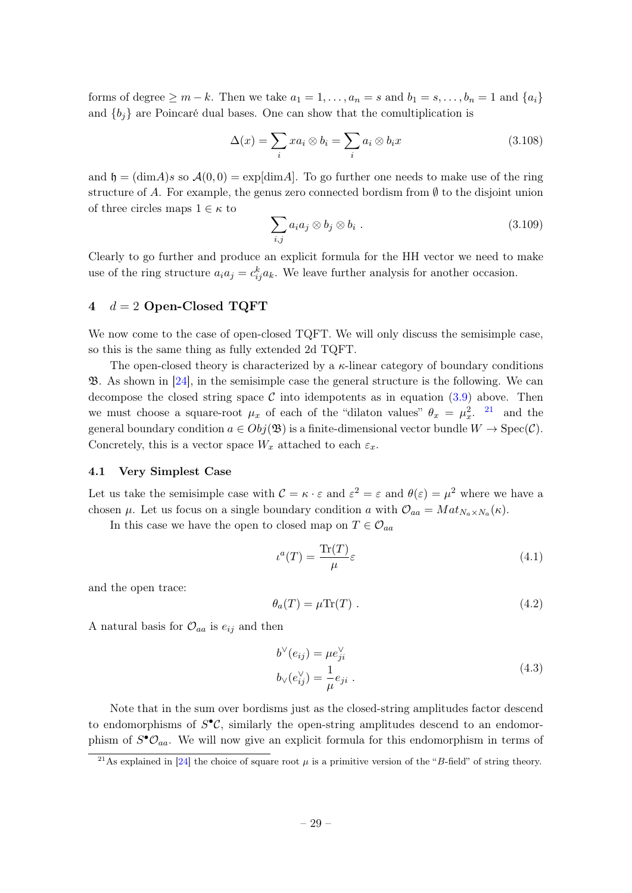forms of degree  $\geq m - k$ . Then we take  $a_1 = 1, \ldots, a_n = s$  and  $b_1 = s, \ldots, b_n = 1$  and  $\{a_i\}$ and  ${b_i}$  are Poincaré dual bases. One can show that the comultiplication is

$$
\Delta(x) = \sum_{i} x a_i \otimes b_i = \sum_{i} a_i \otimes b_i x \tag{3.108}
$$

and  $\mathfrak{h} = (\dim A)s$  so  $\mathcal{A}(0, 0) = \exp[\dim A]$ . To go further one needs to make use of the ring structure of A. For example, the genus zero connected bordism from  $\emptyset$  to the disjoint union of three circles maps  $1 \in \kappa$  to

$$
\sum_{i,j} a_i a_j \otimes b_j \otimes b_i . \tag{3.109}
$$

Clearly to go further and produce an explicit formula for the HH vector we need to make use of the ring structure  $a_i a_j = c_{ij}^k a_k$ . We leave further analysis for another occasion.

#### <span id="page-29-0"></span>4  $d = 2$  Open-Closed TQFT

We now come to the case of open-closed TQFT. We will only discuss the semisimple case, so this is the same thing as fully extended 2d TQFT.

The open-closed theory is characterized by a  $\kappa$ -linear category of boundary conditions  $\mathfrak{B}$ . As shown in [\[24\]](#page-48-0), in the semisimple case the general structure is the following. We can decompose the closed string space  $\mathcal C$  into idempotents as in equation [\(3.9\)](#page-15-3) above. Then we must choose a square-root  $\mu_x$  of each of the "dilaton values"  $\theta_x = \mu_x^2$ . <sup>[21](#page-29-2)</sup> and the general boundary condition  $a \in Obj(\mathfrak{B})$  is a finite-dimensional vector bundle  $W \to \text{Spec}(\mathcal{C})$ . Concretely, this is a vector space  $W_x$  attached to each  $\varepsilon_x$ .

#### <span id="page-29-1"></span>4.1 Very Simplest Case

Let us take the semisimple case with  $\mathcal{C} = \kappa \cdot \varepsilon$  and  $\varepsilon^2 = \varepsilon$  and  $\theta(\varepsilon) = \mu^2$  where we have a chosen  $\mu$ . Let us focus on a single boundary condition a with  $\mathcal{O}_{aa} = Mat_{N_a \times N_a}(\kappa)$ .

In this case we have the open to closed map on  $T \in \mathcal{O}_{aa}$ 

$$
\iota^{a}(T) = \frac{\text{Tr}(T)}{\mu} \varepsilon \tag{4.1}
$$

and the open trace:

$$
\theta_a(T) = \mu \text{Tr}(T) \tag{4.2}
$$

A natural basis for  $\mathcal{O}_{aa}$  is  $e_{ij}$  and then

$$
b^{\vee}(e_{ij}) = \mu e_{ji}^{\vee}
$$
  

$$
b_{\vee}(e_{ij}^{\vee}) = \frac{1}{\mu} e_{ji} .
$$
 (4.3)

Note that in the sum over bordisms just as the closed-string amplitudes factor descend to endomorphisms of  $S^{\bullet}C$ , similarly the open-string amplitudes descend to an endomorphism of  $S^{\bullet}\mathcal{O}_{aa}$ . We will now give an explicit formula for this endomorphism in terms of

<span id="page-29-2"></span><sup>&</sup>lt;sup>21</sup>As explained in [\[24\]](#page-48-0) the choice of square root  $\mu$  is a primitive version of the "B-field" of string theory.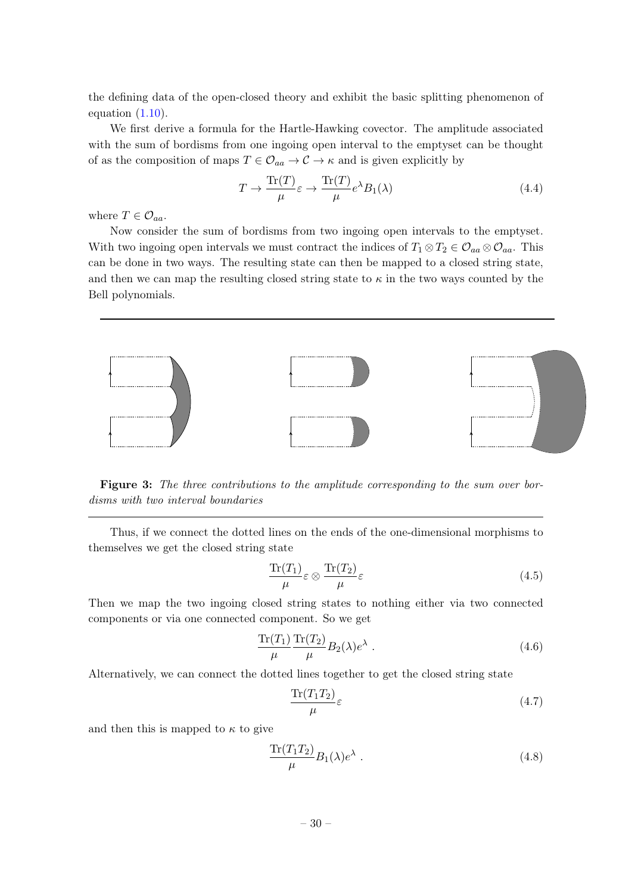the defining data of the open-closed theory and exhibit the basic splitting phenomenon of equation  $(1.10)$ .

We first derive a formula for the Hartle-Hawking covector. The amplitude associated with the sum of bordisms from one ingoing open interval to the emptyset can be thought of as the composition of maps  $T \in \mathcal{O}_{aa} \to \mathcal{C} \to \kappa$  and is given explicitly by

$$
T \to \frac{\text{Tr}(T)}{\mu} \varepsilon \to \frac{\text{Tr}(T)}{\mu} e^{\lambda} B_1(\lambda)
$$
\n(4.4)

where  $T \in \mathcal{O}_{aa}$ .

Now consider the sum of bordisms from two ingoing open intervals to the emptyset. With two ingoing open intervals we must contract the indices of  $T_1 \otimes T_2 \in \mathcal{O}_{aa} \otimes \mathcal{O}_{aa}$ . This can be done in two ways. The resulting state can then be mapped to a closed string state, and then we can map the resulting closed string state to  $\kappa$  in the two ways counted by the Bell polynomials.



Figure 3: The three contributions to the amplitude corresponding to the sum over bordisms with two interval boundaries

Thus, if we connect the dotted lines on the ends of the one-dimensional morphisms to themselves we get the closed string state

$$
\frac{\text{Tr}(T_1)}{\mu} \varepsilon \otimes \frac{\text{Tr}(T_2)}{\mu} \varepsilon \tag{4.5}
$$

Then we map the two ingoing closed string states to nothing either via two connected components or via one connected component. So we get

$$
\frac{\text{Tr}(T_1)}{\mu} \frac{\text{Tr}(T_2)}{\mu} B_2(\lambda) e^{\lambda} . \tag{4.6}
$$

Alternatively, we can connect the dotted lines together to get the closed string state

$$
\frac{\text{Tr}(T_1 T_2)}{\mu} \varepsilon \tag{4.7}
$$

and then this is mapped to  $\kappa$  to give

$$
\frac{\text{Tr}(T_1 T_2)}{\mu} B_1(\lambda) e^{\lambda} \tag{4.8}
$$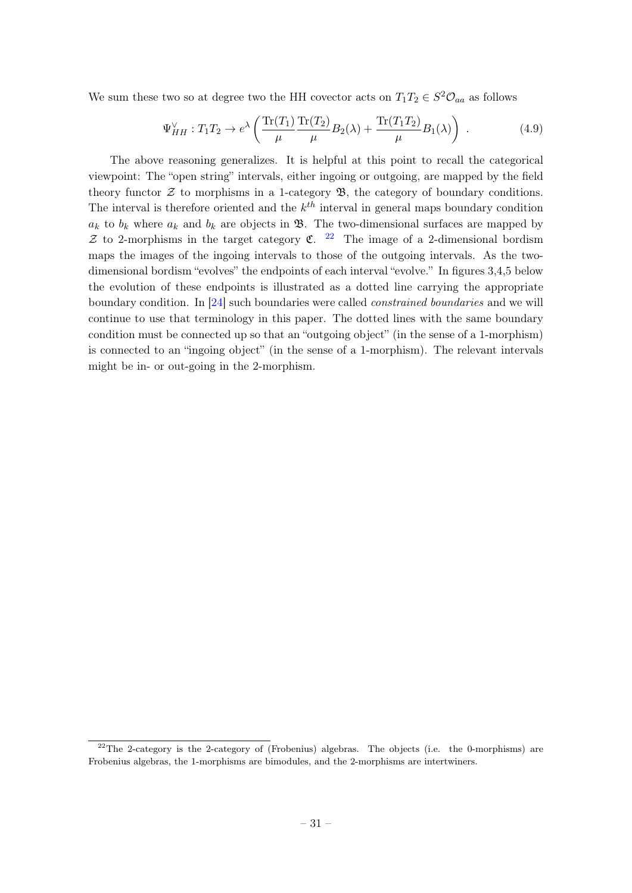We sum these two so at degree two the HH covector acts on  $T_1T_2 \in S^2\mathcal{O}_{aa}$  as follows

$$
\Psi_{HH}^{\vee}: T_1 T_2 \to e^{\lambda} \left( \frac{\text{Tr}(T_1)}{\mu} \frac{\text{Tr}(T_2)}{\mu} B_2(\lambda) + \frac{\text{Tr}(T_1 T_2)}{\mu} B_1(\lambda) \right) . \tag{4.9}
$$

The above reasoning generalizes. It is helpful at this point to recall the categorical viewpoint: The "open string" intervals, either ingoing or outgoing, are mapped by the field theory functor  $\mathcal Z$  to morphisms in a 1-category  $\mathfrak B$ , the category of boundary conditions. The interval is therefore oriented and the  $k^{th}$  interval in general maps boundary condition  $a_k$  to  $b_k$  where  $a_k$  and  $b_k$  are objects in  $\mathfrak{B}$ . The two-dimensional surfaces are mapped by  $\mathcal Z$  to 2-morphisms in the target category  $\mathfrak C$ . <sup>[22](#page-31-0)</sup> The image of a 2-dimensional bordism maps the images of the ingoing intervals to those of the outgoing intervals. As the twodimensional bordism "evolves" the endpoints of each interval "evolve." In figures 3,4,5 below the evolution of these endpoints is illustrated as a dotted line carrying the appropriate boundary condition. In [\[24\]](#page-48-0) such boundaries were called constrained boundaries and we will continue to use that terminology in this paper. The dotted lines with the same boundary condition must be connected up so that an "outgoing object" (in the sense of a 1-morphism) is connected to an "ingoing object" (in the sense of a 1-morphism). The relevant intervals might be in- or out-going in the 2-morphism.

<span id="page-31-0"></span><sup>&</sup>lt;sup>22</sup>The 2-category is the 2-category of (Frobenius) algebras. The objects (i.e. the 0-morphisms) are Frobenius algebras, the 1-morphisms are bimodules, and the 2-morphisms are intertwiners.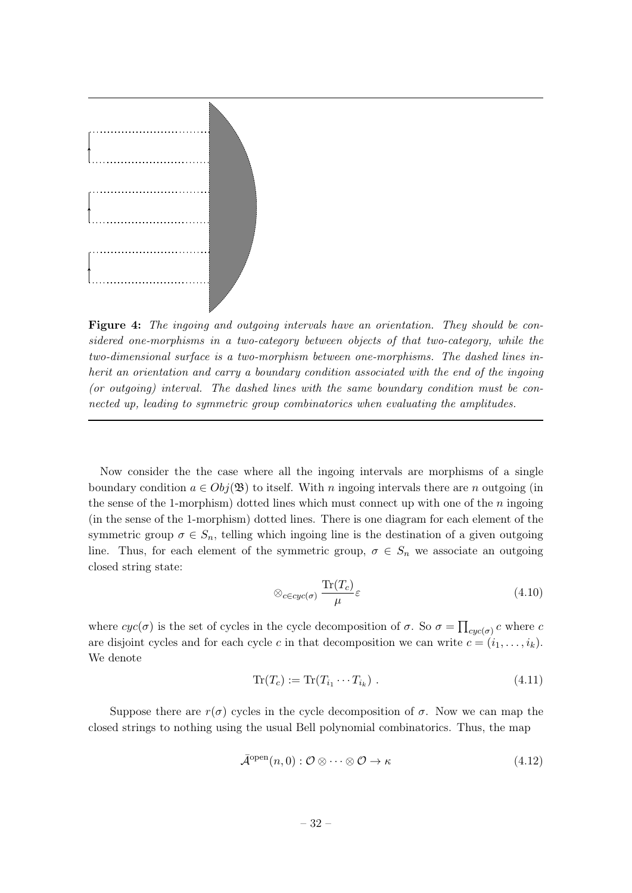

Figure 4: The ingoing and outgoing intervals have an orientation. They should be considered one-morphisms in a two-category between objects of that two-category, while the two-dimensional surface is a two-morphism between one-morphisms. The dashed lines inherit an orientation and carry a boundary condition associated with the end of the ingoing (or outgoing) interval. The dashed lines with the same boundary condition must be connected up, leading to symmetric group combinatorics when evaluating the amplitudes.

Now consider the the case where all the ingoing intervals are morphisms of a single boundary condition  $a \in Obj(\mathfrak{B})$  to itself. With n ingoing intervals there are n outgoing (in the sense of the 1-morphism) dotted lines which must connect up with one of the  $n$  ingoing (in the sense of the 1-morphism) dotted lines. There is one diagram for each element of the symmetric group  $\sigma \in S_n$ , telling which ingoing line is the destination of a given outgoing line. Thus, for each element of the symmetric group,  $\sigma \in S_n$  we associate an outgoing closed string state:

$$
\otimes_{c \in cyc(\sigma)} \frac{\text{Tr}(T_c)}{\mu} \varepsilon \tag{4.10}
$$

where  $cyc(\sigma)$  is the set of cycles in the cycle decomposition of  $\sigma$ . So  $\sigma = \prod_{cyc(\sigma)} c$  where  $c$ are disjoint cycles and for each cycle c in that decomposition we can write  $c = (i_1, \ldots, i_k)$ . We denote

$$
\operatorname{Tr}(T_c) := \operatorname{Tr}(T_{i_1} \cdots T_{i_k}) \tag{4.11}
$$

Suppose there are  $r(\sigma)$  cycles in the cycle decomposition of  $\sigma$ . Now we can map the closed strings to nothing using the usual Bell polynomial combinatorics. Thus, the map

$$
\bar{\mathcal{A}}^{\text{open}}(n,0) : \mathcal{O} \otimes \cdots \otimes \mathcal{O} \to \kappa \tag{4.12}
$$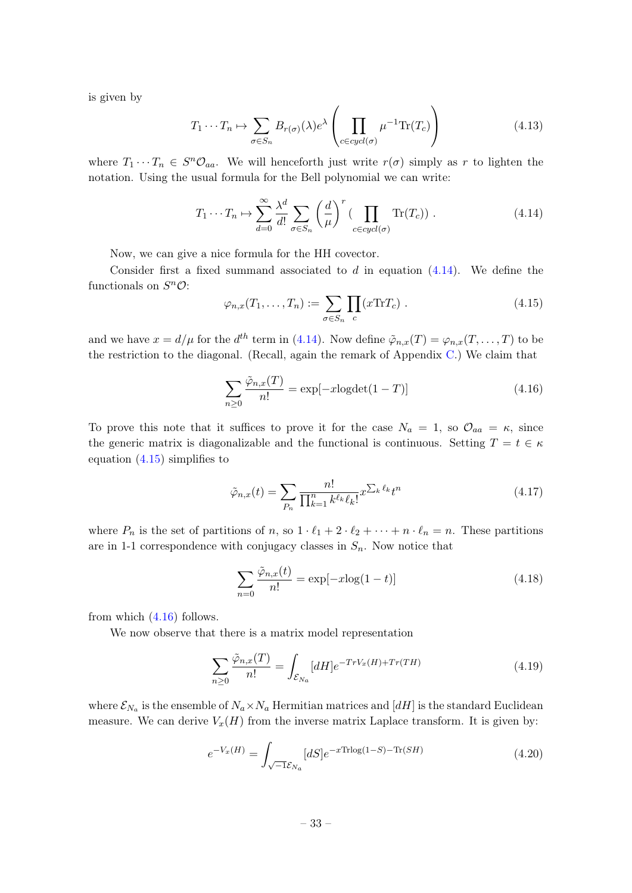is given by

$$
T_1 \cdots T_n \mapsto \sum_{\sigma \in S_n} B_{r(\sigma)}(\lambda) e^{\lambda} \left( \prod_{c \in cycl(\sigma)} \mu^{-1} \text{Tr}(T_c) \right)
$$
(4.13)

where  $T_1 \cdots T_n \in S^n \mathcal{O}_{aa}$ . We will henceforth just write  $r(\sigma)$  simply as r to lighten the notation. Using the usual formula for the Bell polynomial we can write:

<span id="page-33-0"></span>
$$
T_1 \cdots T_n \mapsto \sum_{d=0}^{\infty} \frac{\lambda^d}{d!} \sum_{\sigma \in S_n} \left(\frac{d}{\mu}\right)^r \left(\prod_{c \in cycl(\sigma)} \text{Tr}(T_c)\right). \tag{4.14}
$$

Now, we can give a nice formula for the HH covector.

Consider first a fixed summand associated to  $d$  in equation  $(4.14)$ . We define the functionals on  $S^n \mathcal{O}$ :

<span id="page-33-1"></span>
$$
\varphi_{n,x}(T_1,\ldots,T_n) := \sum_{\sigma \in S_n} \prod_c (x \text{Tr} T_c) \ . \tag{4.15}
$$

and we have  $x = d/\mu$  for the  $d^{th}$  term in [\(4.14\)](#page-33-0). Now define  $\tilde{\varphi}_{n,x}(T) = \varphi_{n,x}(T,\ldots,T)$  to be the restriction to the diagonal. (Recall, again the remark of Appendix [C.](#page-44-0)) We claim that

<span id="page-33-2"></span>
$$
\sum_{n\geq 0} \frac{\tilde{\varphi}_{n,x}(T)}{n!} = \exp[-x\text{logdet}(1-T)] \tag{4.16}
$$

To prove this note that it suffices to prove it for the case  $N_a = 1$ , so  $\mathcal{O}_{aa} = \kappa$ , since the generic matrix is diagonalizable and the functional is continuous. Setting  $T = t \in \kappa$ equation [\(4.15\)](#page-33-1) simplifies to

$$
\tilde{\varphi}_{n,x}(t) = \sum_{P_n} \frac{n!}{\prod_{k=1}^n k^{\ell_k} \ell_k!} x^{\sum_k \ell_k} t^n
$$
\n(4.17)

where  $P_n$  is the set of partitions of n, so  $1 \cdot \ell_1 + 2 \cdot \ell_2 + \cdots + n \cdot \ell_n = n$ . These partitions are in 1-1 correspondence with conjugacy classes in  $S_n$ . Now notice that

$$
\sum_{n=0} \frac{\tilde{\varphi}_{n,x}(t)}{n!} = \exp[-x\log(1-t)]\tag{4.18}
$$

from which  $(4.16)$  follows.

We now observe that there is a matrix model representation

$$
\sum_{n\geq 0} \frac{\tilde{\varphi}_{n,x}(T)}{n!} = \int_{\mathcal{E}_{N_a}} [dH] e^{-TrV_x(H) + Tr(TH)} \tag{4.19}
$$

where  $\mathcal{E}_{N_a}$  is the ensemble of  $N_a \times N_a$  Hermitian matrices and  $[dH]$  is the standard Euclidean measure. We can derive  $V_x(H)$  from the inverse matrix Laplace transform. It is given by:

$$
e^{-V_x(H)} = \int_{\sqrt{-1}\mathcal{E}_{N_a}} [dS] e^{-x \text{Tr} \log(1-S) - \text{Tr}(SH)} \tag{4.20}
$$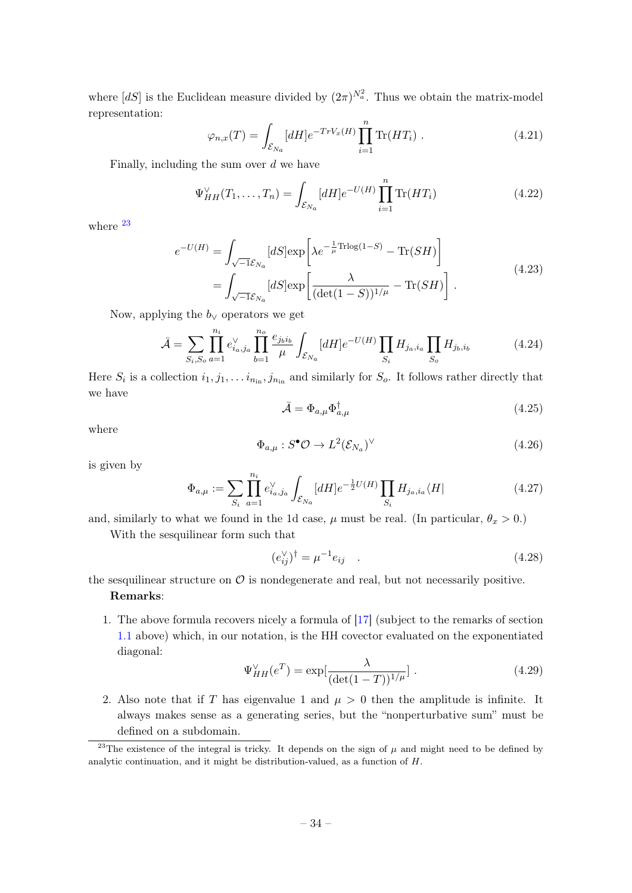where  $[dS]$  is the Euclidean measure divided by  $(2\pi)^{N_a^2}$ . Thus we obtain the matrix-model representation:

$$
\varphi_{n,x}(T) = \int_{\mathcal{E}_{N_a}} [dH] e^{-Tr V_x(H)} \prod_{i=1}^n \text{Tr}(HT_i) . \qquad (4.21)
$$

Finally, including the sum over  $d$  we have

$$
\Psi_{HH}^{\vee}(T_1, \dots, T_n) = \int_{\mathcal{E}_{Na}} [dH] e^{-U(H)} \prod_{i=1}^n \text{Tr}(HT_i)
$$
\n(4.22)

where  $^{23}$  $^{23}$  $^{23}$ 

$$
e^{-U(H)} = \int_{\sqrt{-1}\mathcal{E}_{N_a}} [dS] \exp\left[\lambda e^{-\frac{1}{\mu}\text{Thog}(1-S)} - \text{Tr}(SH)\right]
$$
  
= 
$$
\int_{\sqrt{-1}\mathcal{E}_{N_a}} [dS] \exp\left[\frac{\lambda}{(\det(1-S))^{1/\mu}} - \text{Tr}(SH)\right].
$$
 (4.23)

Now, applying the  $b_{\vee}$  operators we get

$$
\bar{\mathcal{A}} = \sum_{S_i, S_o} \prod_{a=1}^{n_i} e_{i_a, j_a}^{\vee} \prod_{b=1}^{n_o} \frac{e_{j_b i_b}}{\mu} \int_{\mathcal{E}_{N_a}} [dH] e^{-U(H)} \prod_{S_i} H_{j_a, i_a} \prod_{S_o} H_{j_b, i_b}
$$
(4.24)

Here  $S_i$  is a collection  $i_1, j_1, \ldots i_{n_{\text{in}}}, j_{n_{\text{in}}}$  and similarly for  $S_o$ . It follows rather directly that we have

<span id="page-34-0"></span>
$$
\bar{\mathcal{A}} = \Phi_{a,\mu} \Phi_{a,\mu}^{\dagger} \tag{4.25}
$$

where

$$
\Phi_{a,\mu}: S^{\bullet}\mathcal{O} \to L^2(\mathcal{E}_{N_a})^{\vee} \tag{4.26}
$$

is given by

$$
\Phi_{a,\mu} := \sum_{S_i} \prod_{a=1}^{n_i} e_{i_a,j_a}^{\vee} \int_{\mathcal{E}_{N_a}} [dH] e^{-\frac{1}{2}U(H)} \prod_{S_i} H_{j_a,i_a} \langle H| \tag{4.27}
$$

and, similarly to what we found in the 1d case,  $\mu$  must be real. (In particular,  $\theta_x > 0$ .) With the sesquilinear form such that

<span id="page-34-3"></span>
$$
(e_{ij}^{\vee})^{\dagger} = \mu^{-1} e_{ij} \quad . \tag{4.28}
$$

### the sesquilinear structure on  $\mathcal O$  is nondegenerate and real, but not necessarily positive. Remarks:

1. The above formula recovers nicely a formula of [\[17\]](#page-47-4) (subject to the remarks of section [1.1](#page-5-0) above) which, in our notation, is the HH covector evaluated on the exponentiated diagonal:

<span id="page-34-1"></span>
$$
\Psi_{HH}^{\vee}(e^T) = \exp[\frac{\lambda}{(\det(1-T))^{1/\mu}}] \ . \tag{4.29}
$$

2. Also note that if T has eigenvalue 1 and  $\mu > 0$  then the amplitude is infinite. It always makes sense as a generating series, but the "nonperturbative sum" must be defined on a subdomain.

<span id="page-34-2"></span><sup>&</sup>lt;sup>23</sup>The existence of the integral is tricky. It depends on the sign of  $\mu$  and might need to be defined by analytic continuation, and it might be distribution-valued, as a function of H.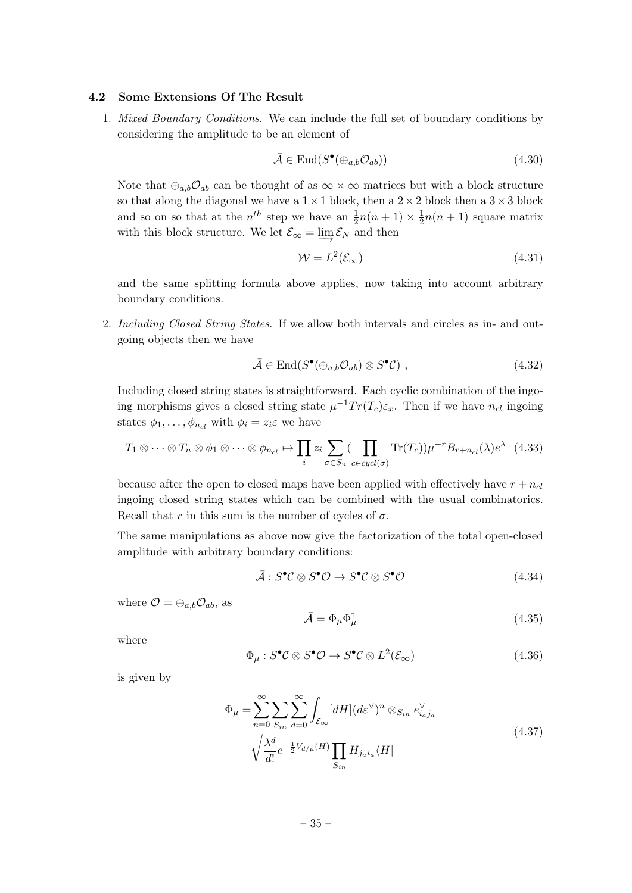#### <span id="page-35-0"></span>4.2 Some Extensions Of The Result

1. Mixed Boundary Conditions. We can include the full set of boundary conditions by considering the amplitude to be an element of

$$
\bar{\mathcal{A}} \in \text{End}(S^{\bullet}(\oplus_{a,b}\mathcal{O}_{ab}))\tag{4.30}
$$

Note that  $\oplus_{a,b}\mathcal{O}_{ab}$  can be thought of as  $\infty \times \infty$  matrices but with a block structure so that along the diagonal we have a  $1 \times 1$  block, then a  $2 \times 2$  block then a  $3 \times 3$  block and so on so that at the  $n^{th}$  step we have an  $\frac{1}{2}n(n+1) \times \frac{1}{2}$  $\frac{1}{2}n(n+1)$  square matrix with this block structure. We let  $\mathcal{E}_{\infty} = \varinjlim \mathcal{E}_N$  and then

$$
\mathcal{W} = L^2(\mathcal{E}_{\infty})\tag{4.31}
$$

and the same splitting formula above applies, now taking into account arbitrary boundary conditions.

2. Including Closed String States. If we allow both intervals and circles as in- and outgoing objects then we have

$$
\bar{\mathcal{A}} \in \text{End}(S^{\bullet}(\oplus_{a,b}\mathcal{O}_{ab}) \otimes S^{\bullet}\mathcal{C}), \qquad (4.32)
$$

Including closed string states is straightforward. Each cyclic combination of the ingoing morphisms gives a closed string state  $\mu^{-1} Tr(T_c) \varepsilon_x$ . Then if we have  $n_{cl}$  ingoing states  $\phi_1, \ldots, \phi_{n_{cl}}$  with  $\phi_i = z_i \varepsilon$  we have

<span id="page-35-2"></span>
$$
T_1 \otimes \cdots \otimes T_n \otimes \phi_1 \otimes \cdots \otimes \phi_{n_{cl}} \mapsto \prod_i z_i \sum_{\sigma \in S_n} (\prod_{c \in cycl(\sigma)} \text{Tr}(T_c)) \mu^{-r} B_{r+n_{cl}}(\lambda) e^{\lambda} \tag{4.33}
$$

because after the open to closed maps have been applied with effectively have  $r + n_{cl}$ ingoing closed string states which can be combined with the usual combinatorics. Recall that r in this sum is the number of cycles of  $\sigma$ .

The same manipulations as above now give the factorization of the total open-closed amplitude with arbitrary boundary conditions:

$$
\bar{\mathcal{A}}: S^{\bullet} \mathcal{C} \otimes S^{\bullet} \mathcal{O} \to S^{\bullet} \mathcal{C} \otimes S^{\bullet} \mathcal{O}
$$
\n
$$
(4.34)
$$

where  $\mathcal{O} = \bigoplus_{a,b} \mathcal{O}_{ab}$ , as

<span id="page-35-1"></span>
$$
\bar{\mathcal{A}} = \Phi_{\mu} \Phi_{\mu}^{\dagger} \tag{4.35}
$$

where

$$
\Phi_{\mu}: S^{\bullet} \mathcal{C} \otimes S^{\bullet} \mathcal{O} \to S^{\bullet} \mathcal{C} \otimes L^2(\mathcal{E}_{\infty})
$$
\n
$$
(4.36)
$$

<span id="page-35-3"></span>is given by

$$
\Phi_{\mu} = \sum_{n=0}^{\infty} \sum_{S_{in}} \sum_{d=0}^{\infty} \int_{\mathcal{E}_{\infty}} [dH] (d\varepsilon^{\vee})^n \otimes_{S_{in}} e_{i_a j_a}^{\vee}
$$
\n
$$
\sqrt{\frac{\lambda^d}{d!}} e^{-\frac{1}{2}V_{d/\mu}(H)} \prod_{S_{in}} H_{j_a i_a} \langle H|
$$
\n(4.37)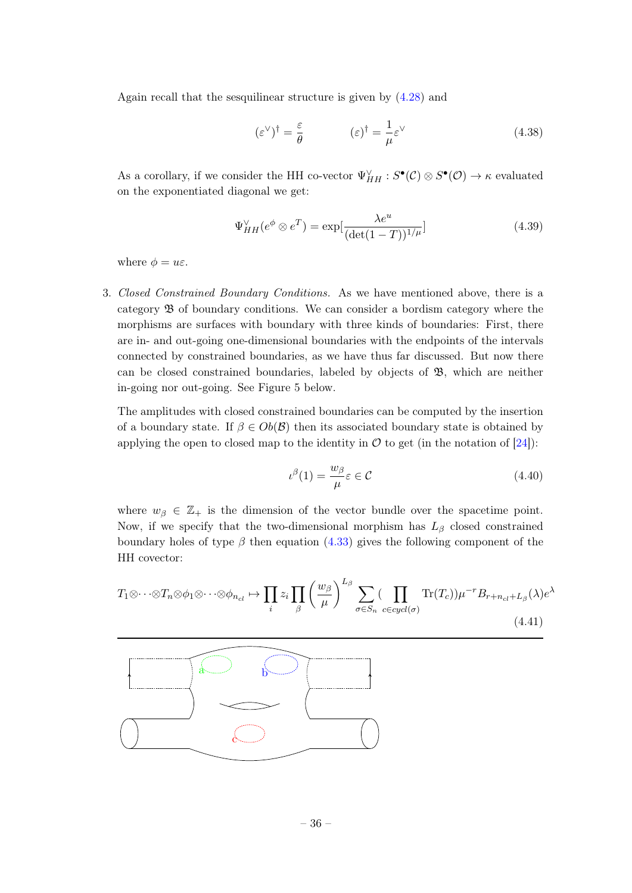Again recall that the sesquilinear structure is given by [\(4.28\)](#page-34-3) and

$$
(\varepsilon^{\vee})^{\dagger} = \frac{\varepsilon}{\theta} \qquad (\varepsilon)^{\dagger} = \frac{1}{\mu} \varepsilon^{\vee} \qquad (4.38)
$$

As a corollary, if we consider the HH co-vector  $\Psi_{HH}^{\vee} : S^{\bullet}(\mathcal{C}) \otimes S^{\bullet}(\mathcal{O}) \to \kappa$  evaluated on the exponentiated diagonal we get:

$$
\Psi_{HH}^{\vee}(e^{\phi} \otimes e^T) = \exp[\frac{\lambda e^u}{(\det(1-T))^{1/\mu}}]
$$
\n(4.39)

where  $\phi = u\varepsilon$ .

3. Closed Constrained Boundary Conditions. As we have mentioned above, there is a category B of boundary conditions. We can consider a bordism category where the morphisms are surfaces with boundary with three kinds of boundaries: First, there are in- and out-going one-dimensional boundaries with the endpoints of the intervals connected by constrained boundaries, as we have thus far discussed. But now there can be closed constrained boundaries, labeled by objects of B, which are neither in-going nor out-going. See Figure 5 below.

The amplitudes with closed constrained boundaries can be computed by the insertion of a boundary state. If  $\beta \in Ob(\mathcal{B})$  then its associated boundary state is obtained by applying the open to closed map to the identity in  $\mathcal O$  to get (in the notation of [\[24\]](#page-48-0)):

$$
\iota^{\beta}(1) = \frac{w_{\beta}}{\mu} \varepsilon \in \mathcal{C}
$$
\n(4.40)

where  $w_{\beta} \in \mathbb{Z}_+$  is the dimension of the vector bundle over the spacetime point. Now, if we specify that the two-dimensional morphism has  $L_\beta$  closed constrained boundary holes of type  $\beta$  then equation [\(4.33\)](#page-35-2) gives the following component of the HH covector:

$$
T_1 \otimes \cdots \otimes T_n \otimes \phi_1 \otimes \cdots \otimes \phi_{n_{cl}} \mapsto \prod_i z_i \prod_{\beta} \left(\frac{w_{\beta}}{\mu}\right)^{L_{\beta}} \sum_{\sigma \in S_n} \left(\prod_{c \in cycl(\sigma)} \text{Tr}(T_c)\right) \mu^{-r} B_{r+n_{cl}+L_{\beta}}(\lambda) e^{\lambda}
$$
\n(4.41)

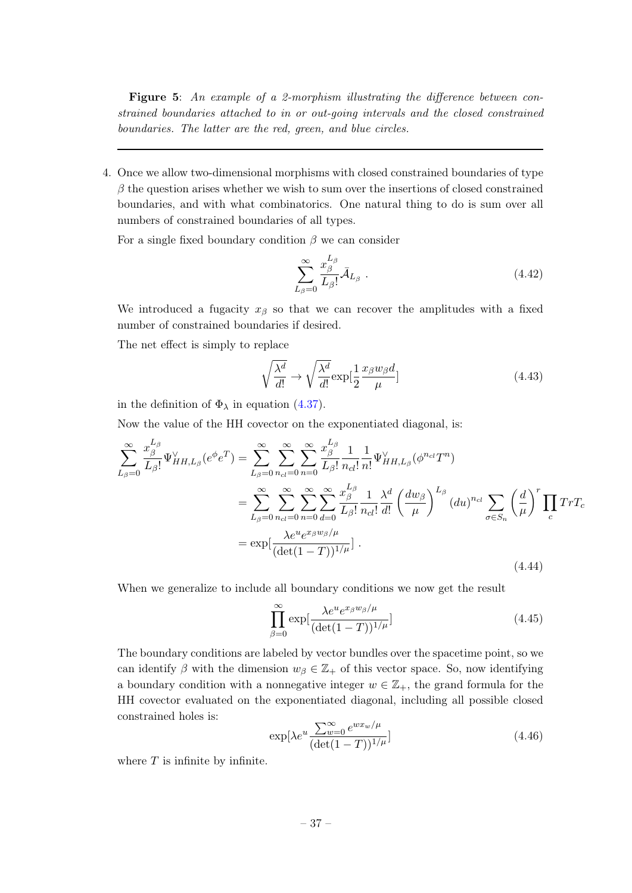Figure 5: An example of a 2-morphism illustrating the difference between constrained boundaries attached to in or out-going intervals and the closed constrained boundaries. The latter are the red, green, and blue circles.

4. Once we allow two-dimensional morphisms with closed constrained boundaries of type  $\beta$  the question arises whether we wish to sum over the insertions of closed constrained boundaries, and with what combinatorics. One natural thing to do is sum over all numbers of constrained boundaries of all types.

For a single fixed boundary condition  $\beta$  we can consider

<span id="page-37-1"></span>
$$
\sum_{L_{\beta}=0}^{\infty} \frac{x_{\beta}^{L_{\beta}}}{L_{\beta}!} \bar{\mathcal{A}}_{L_{\beta}} \tag{4.42}
$$

We introduced a fugacity  $x_\beta$  so that we can recover the amplitudes with a fixed number of constrained boundaries if desired.

The net effect is simply to replace

$$
\sqrt{\frac{\lambda^d}{d!}} \to \sqrt{\frac{\lambda^d}{d!}} \exp[\frac{1}{2} \frac{x_\beta w_\beta d}{\mu}]
$$
\n(4.43)

in the definition of  $\Phi_{\lambda}$  in equation [\(4.37\)](#page-35-3).

Now the value of the HH covector on the exponentiated diagonal, is:

<span id="page-37-0"></span>
$$
\sum_{L_{\beta}=0}^{\infty} \frac{x_{\beta}^{L_{\beta}}}{L_{\beta}!} \Psi_{HH,L_{\beta}}^{\vee}(e^{\phi}e^{T}) = \sum_{L_{\beta}=0}^{\infty} \sum_{n_{cl}=0}^{\infty} \sum_{n_{cl}=0}^{\infty} \frac{x_{\beta}^{L_{\beta}}}{L_{\beta}!} \frac{1}{n_{cl}!} \frac{1}{n!} \Psi_{HH,L_{\beta}}^{\vee}(\phi^{n_{cl}}T^{n})
$$
\n
$$
= \sum_{L_{\beta}=0}^{\infty} \sum_{n_{cl}=0}^{\infty} \sum_{n_{cl}=0}^{\infty} \sum_{n_{cl}=0}^{\infty} \frac{x_{\beta}^{L_{\beta}}}{L_{\beta}!} \frac{1}{n_{cl}!} \frac{\lambda^{d}}{d!} \left(\frac{dw_{\beta}}{\mu}\right)^{L_{\beta}} (du)^{n_{cl}} \sum_{\sigma \in S_{n}} \left(\frac{d}{\mu}\right)^{r} \prod_{c} TrT_{c}
$$
\n
$$
= \exp\left[\frac{\lambda e^{u}e^{x_{\beta}w_{\beta}/\mu}}{(\det(1-T))^{1/\mu}}\right].
$$
\n(4.44)

When we generalize to include all boundary conditions we now get the result

$$
\prod_{\beta=0}^{\infty} \exp\left[\frac{\lambda e^u e^{x_{\beta}w_{\beta}/\mu}}{(\det(1-T))^{1/\mu}}\right]
$$
\n(4.45)

The boundary conditions are labeled by vector bundles over the spacetime point, so we can identify  $\beta$  with the dimension  $w_{\beta} \in \mathbb{Z}_+$  of this vector space. So, now identifying a boundary condition with a nonnegative integer  $w \in \mathbb{Z}_+$ , the grand formula for the HH covector evaluated on the exponentiated diagonal, including all possible closed constrained holes is:

$$
\exp[\lambda e^u \frac{\sum_{w=0}^{\infty} e^{w x_w / \mu}}{(\det(1-T))^{1/\mu}}]
$$
\n(4.46)

where  $T$  is infinite by infinite.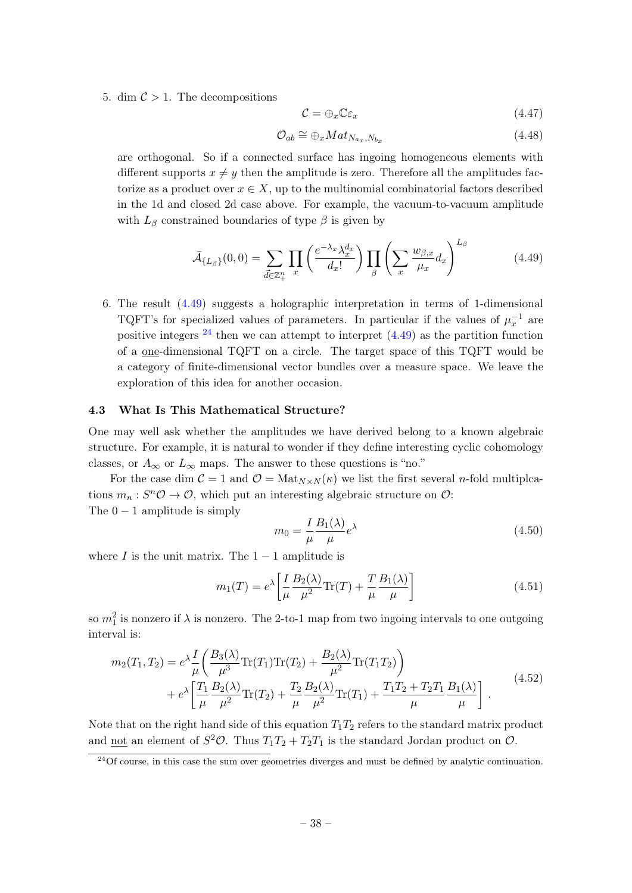5. dim  $\mathcal{C} > 1$ . The decompositions

$$
\mathcal{C} = \bigoplus_{x} \mathbb{C}\varepsilon_x \tag{4.47}
$$

$$
\mathcal{O}_{ab} \cong \bigoplus_{x} Mat_{N_{a_x}, N_{b_x}} \tag{4.48}
$$

are orthogonal. So if a connected surface has ingoing homogeneous elements with different supports  $x \neq y$  then the amplitude is zero. Therefore all the amplitudes factorize as a product over  $x \in X$ , up to the multinomial combinatorial factors described in the 1d and closed 2d case above. For example, the vacuum-to-vacuum amplitude with  $L_{\beta}$  constrained boundaries of type  $\beta$  is given by

<span id="page-38-1"></span>
$$
\bar{\mathcal{A}}_{\{L_{\beta}\}}(0,0) = \sum_{\vec{d} \in \mathbb{Z}_+^n} \prod_x \left( \frac{e^{-\lambda_x} \lambda_x^{d_x}}{d_x!} \right) \prod_{\beta} \left( \sum_x \frac{w_{\beta,x}}{\mu_x} d_x \right)^{L_{\beta}} \tag{4.49}
$$

6. The result [\(4.49\)](#page-38-1) suggests a holographic interpretation in terms of 1-dimensional TQFT's for specialized values of parameters. In particular if the values of  $\mu_x^{-1}$  are positive integers  $^{24}$  $^{24}$  $^{24}$  then we can attempt to interpret  $(4.49)$  as the partition function of a one-dimensional TQFT on a circle. The target space of this TQFT would be a category of finite-dimensional vector bundles over a measure space. We leave the exploration of this idea for another occasion.

#### <span id="page-38-0"></span>4.3 What Is This Mathematical Structure?

One may well ask whether the amplitudes we have derived belong to a known algebraic structure. For example, it is natural to wonder if they define interesting cyclic cohomology classes, or  $A_{\infty}$  or  $L_{\infty}$  maps. The answer to these questions is "no."

For the case dim  $C = 1$  and  $\mathcal{O} = \text{Mat}_{N \times N}(\kappa)$  we list the first several *n*-fold multiplcations  $m_n: S^n\mathcal{O} \to \mathcal{O}$ , which put an interesting algebraic structure on  $\mathcal{O}$ : The  $0 - 1$  amplitude is simply

$$
m_0 = \frac{I}{\mu} \frac{B_1(\lambda)}{\mu} e^{\lambda}
$$
\n(4.50)

where I is the unit matrix. The  $1 - 1$  amplitude is

$$
m_1(T) = e^{\lambda} \left[ \frac{I}{\mu} \frac{B_2(\lambda)}{\mu^2} \text{Tr}(T) + \frac{T}{\mu} \frac{B_1(\lambda)}{\mu} \right]
$$
(4.51)

so  $m_1^2$  is nonzero if  $\lambda$  is nonzero. The 2-to-1 map from two ingoing intervals to one outgoing interval is:

$$
m_2(T_1, T_2) = e^{\lambda} \frac{I}{\mu} \left( \frac{B_3(\lambda)}{\mu^3} \text{Tr}(T_1) \text{Tr}(T_2) + \frac{B_2(\lambda)}{\mu^2} \text{Tr}(T_1 T_2) \right) + e^{\lambda} \left[ \frac{T_1}{\mu} \frac{B_2(\lambda)}{\mu^2} \text{Tr}(T_2) + \frac{T_2}{\mu} \frac{B_2(\lambda)}{\mu^2} \text{Tr}(T_1) + \frac{T_1 T_2 + T_2 T_1}{\mu} \frac{B_1(\lambda)}{\mu} \right].
$$
 (4.52)

Note that on the right hand side of this equation  $T_1T_2$  refers to the standard matrix product and <u>not</u> an element of  $S^2 \mathcal{O}$ . Thus  $T_1 T_2 + T_2 T_1$  is the standard Jordan product on  $\mathcal{O}$ .

<span id="page-38-2"></span> $^{24}$ Of course, in this case the sum over geometries diverges and must be defined by analytic continuation.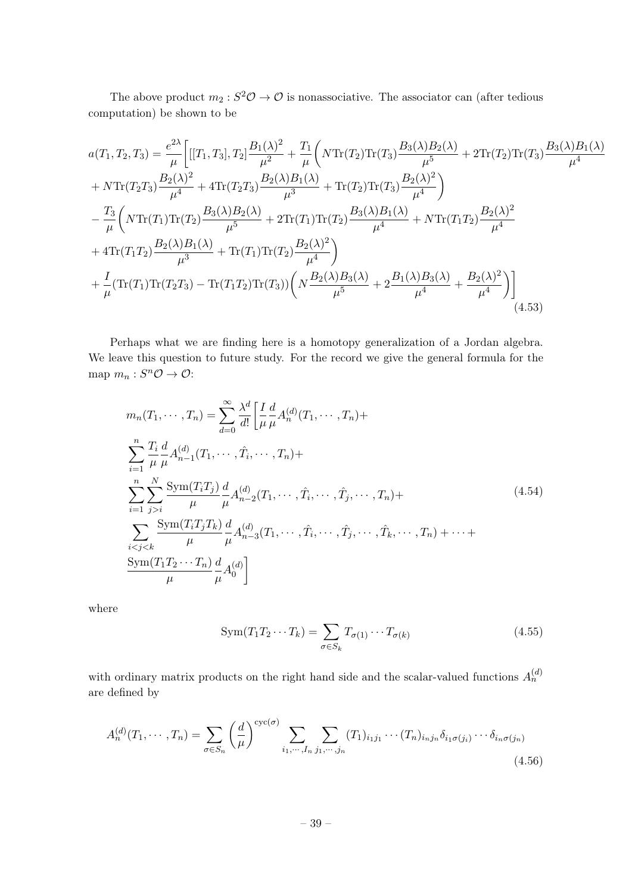The above product  $m_2: S^2\mathcal{O} \to \mathcal{O}$  is nonassociative. The associator can (after tedious computation) be shown to be

$$
a(T_1, T_2, T_3) = \frac{e^{2\lambda}}{\mu} \Big[ [[T_1, T_3], T_2] \frac{B_1(\lambda)^2}{\mu^2} + \frac{T_1}{\mu} \Big( N \text{Tr}(T_2) \text{Tr}(T_3) \frac{B_3(\lambda) B_2(\lambda)}{\mu^5} + 2 \text{Tr}(T_2) \text{Tr}(T_3) \frac{B_3(\lambda) B_1(\lambda)}{\mu^4} + N \text{Tr}(T_2 T_3) \frac{B_2(\lambda)^2}{\mu^4} + 4 \text{Tr}(T_2 T_3) \frac{B_2(\lambda) B_1(\lambda)}{\mu^3} + \text{Tr}(T_2) \text{Tr}(T_3) \frac{B_2(\lambda)^2}{\mu^4} \Big)
$$
  

$$
- \frac{T_3}{\mu} \Big( N \text{Tr}(T_1) \text{Tr}(T_2) \frac{B_3(\lambda) B_2(\lambda)}{\mu^5} + 2 \text{Tr}(T_1) \text{Tr}(T_2) \frac{B_3(\lambda) B_1(\lambda)}{\mu^4} + N \text{Tr}(T_1 T_2) \frac{B_2(\lambda)^2}{\mu^4} + 4 \text{Tr}(T_1 T_2) \frac{B_2(\lambda) B_1(\lambda)}{\mu^3} + \text{Tr}(T_1) \text{Tr}(T_2) \frac{B_2(\lambda)^2}{\mu^4} \Big)
$$
  

$$
+ \frac{I}{\mu} (\text{Tr}(T_1) \text{Tr}(T_2 T_3) - \text{Tr}(T_1 T_2) \text{Tr}(T_3) \Big( N \frac{B_2(\lambda) B_3(\lambda)}{\mu^5} + 2 \frac{B_1(\lambda) B_3(\lambda)}{\mu^4} + \frac{B_2(\lambda)^2}{\mu^4} \Big) \Big] \Big| (4.53)
$$

Perhaps what we are finding here is a homotopy generalization of a Jordan algebra. We leave this question to future study. For the record we give the general formula for the map  $m_n: S^n \mathcal{O} \to \mathcal{O}$ :

$$
m_n(T_1, \dots, T_n) = \sum_{d=0}^{\infty} \frac{\lambda^d}{d!} \left[ \frac{I}{\mu} \frac{d}{\mu} A_n^{(d)}(T_1, \dots, T_n) + \sum_{i=1}^n \frac{T_i}{\mu} \frac{d}{\mu} A_{n-1}^{(d)}(T_1, \dots, \hat{T}_i, \dots, T_n) + \sum_{i=1}^n \sum_{j>i}^N \frac{\text{Sym}(T_i T_j)}{\mu} \frac{d}{\mu} A_{n-2}^{(d)}(T_1, \dots, \hat{T}_i, \dots, \hat{T}_j, \dots, T_n) + \sum_{i\n(4.54)
$$

where

$$
Sym(T_1 T_2 \cdots T_k) = \sum_{\sigma \in S_k} T_{\sigma(1)} \cdots T_{\sigma(k)}
$$
\n(4.55)

with ordinary matrix products on the right hand side and the scalar-valued functions  $A_n^{(d)}$ are defined by

$$
A_n^{(d)}(T_1,\dots,T_n) = \sum_{\sigma \in S_n} \left(\frac{d}{\mu}\right)^{\operatorname{cyc}(\sigma)} \sum_{i_1,\dots,i_n} \sum_{j_1,\dots,j_n} (T_1)_{i_1j_1} \cdots (T_n)_{i_nj_n} \delta_{i_1\sigma(j_i)} \cdots \delta_{i_n\sigma(j_n)}
$$
\n(4.56)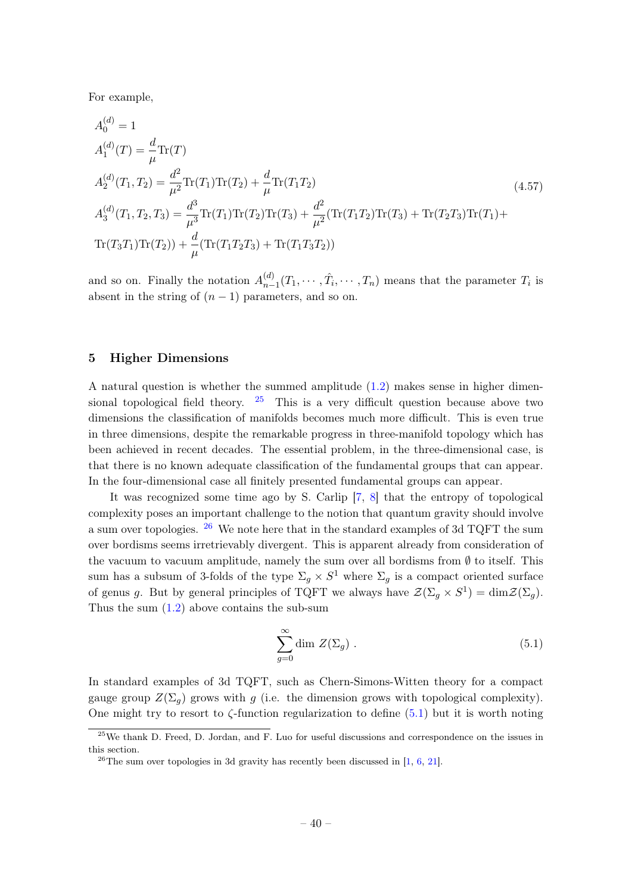For example,

$$
A_0^{(d)} = 1
$$
  
\n
$$
A_1^{(d)}(T) = \frac{d}{\mu} \text{Tr}(T)
$$
  
\n
$$
A_2^{(d)}(T_1, T_2) = \frac{d^2}{\mu^2} \text{Tr}(T_1) \text{Tr}(T_2) + \frac{d}{\mu} \text{Tr}(T_1 T_2)
$$
  
\n
$$
A_3^{(d)}(T_1, T_2, T_3) = \frac{d^3}{\mu^3} \text{Tr}(T_1) \text{Tr}(T_2) \text{Tr}(T_3) + \frac{d^2}{\mu^2} (\text{Tr}(T_1 T_2) \text{Tr}(T_3) + \text{Tr}(T_2 T_3) \text{Tr}(T_1) + \text{Tr}(T_3 T_1) \text{Tr}(T_2)) + \frac{d}{\mu} (\text{Tr}(T_1 T_2 T_3) + \text{Tr}(T_1 T_3 T_2))
$$
\n(4.57)

and so on. Finally the notation  $A_{n-}^{(d)}$  $\hat{T}_{n-1}(T_1,\cdots,\hat{T}_i,\cdots,T_n)$  means that the parameter  $T_i$  is absent in the string of  $(n-1)$  parameters, and so on.

#### <span id="page-40-0"></span>5 Higher Dimensions

A natural question is whether the summed amplitude [\(1.2\)](#page-2-4) makes sense in higher dimensional topological field theory.  $25$  This is a very difficult question because above two dimensions the classification of manifolds becomes much more difficult. This is even true in three dimensions, despite the remarkable progress in three-manifold topology which has been achieved in recent decades. The essential problem, in the three-dimensional case, is that there is no known adequate classification of the fundamental groups that can appear. In the four-dimensional case all finitely presented fundamental groups can appear.

It was recognized some time ago by S. Carlip [\[7,](#page-47-12) [8\]](#page-47-13) that the entropy of topological complexity poses an important challenge to the notion that quantum gravity should involve a sum over topologies. [26](#page-40-2) We note here that in the standard examples of 3d TQFT the sum over bordisms seems irretrievably divergent. This is apparent already from consideration of the vacuum to vacuum amplitude, namely the sum over all bordisms from  $\emptyset$  to itself. This sum has a subsum of 3-folds of the type  $\Sigma_g \times S^1$  where  $\Sigma_g$  is a compact oriented surface of genus g. But by general principles of TQFT we always have  $\mathcal{Z}(\Sigma_g \times S^1) = \dim \mathcal{Z}(\Sigma_g)$ . Thus the sum  $(1.2)$  above contains the sub-sum

<span id="page-40-3"></span>
$$
\sum_{g=0}^{\infty} \dim Z(\Sigma_g) . \tag{5.1}
$$

In standard examples of 3d TQFT, such as Chern-Simons-Witten theory for a compact gauge group  $Z(\Sigma_q)$  grows with g (i.e. the dimension grows with topological complexity). One might try to resort to  $\zeta$ -function regularization to define [\(5.1\)](#page-40-3) but it is worth noting

<span id="page-40-1"></span> $^{25}$ We thank D. Freed, D. Jordan, and F. Luo for useful discussions and correspondence on the issues in this section.

<span id="page-40-2"></span><sup>&</sup>lt;sup>26</sup>The sum over topologies in 3d gravity has recently been discussed in  $[1, 6, 21]$  $[1, 6, 21]$  $[1, 6, 21]$  $[1, 6, 21]$  $[1, 6, 21]$ .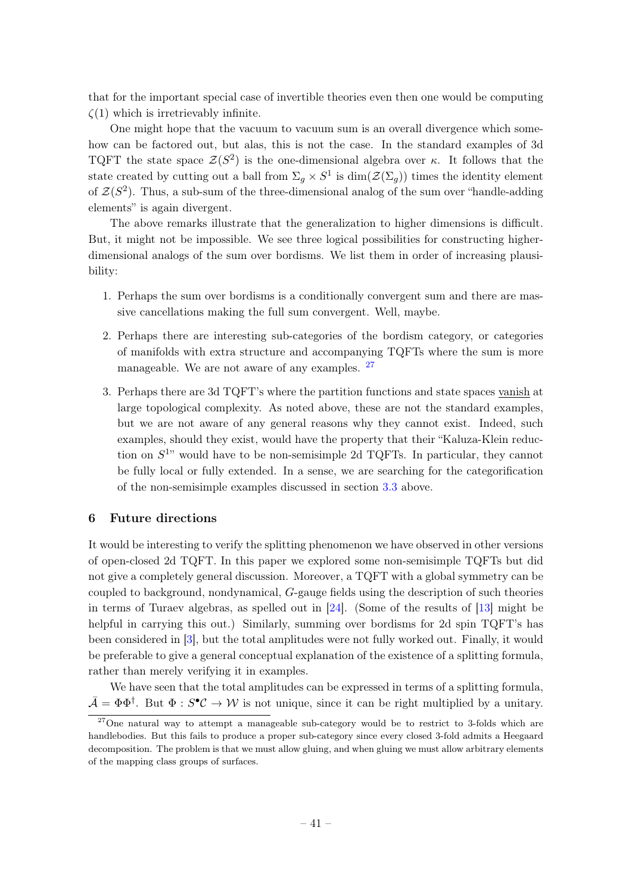that for the important special case of invertible theories even then one would be computing  $\zeta(1)$  which is irretrievably infinite.

One might hope that the vacuum to vacuum sum is an overall divergence which somehow can be factored out, but alas, this is not the case. In the standard examples of 3d TQFT the state space  $\mathcal{Z}(S^2)$  is the one-dimensional algebra over κ. It follows that the state created by cutting out a ball from  $\Sigma_g \times S^1$  is  $\dim(\mathcal{Z}(\Sigma_g))$  times the identity element of  $\mathcal{Z}(S^2)$ . Thus, a sub-sum of the three-dimensional analog of the sum over "handle-adding" elements" is again divergent.

The above remarks illustrate that the generalization to higher dimensions is difficult. But, it might not be impossible. We see three logical possibilities for constructing higherdimensional analogs of the sum over bordisms. We list them in order of increasing plausibility:

- 1. Perhaps the sum over bordisms is a conditionally convergent sum and there are massive cancellations making the full sum convergent. Well, maybe.
- 2. Perhaps there are interesting sub-categories of the bordism category, or categories of manifolds with extra structure and accompanying TQFTs where the sum is more manageable. We are not aware of any examples. [27](#page-41-1)
- 3. Perhaps there are 3d TQFT's where the partition functions and state spaces vanish at large topological complexity. As noted above, these are not the standard examples, but we are not aware of any general reasons why they cannot exist. Indeed, such examples, should they exist, would have the property that their "Kaluza-Klein reduction on  $S^{1}$  would have to be non-semisimple 2d TQFTs. In particular, they cannot be fully local or fully extended. In a sense, we are searching for the categorification of the non-semisimple examples discussed in section [3.3](#page-22-0) above.

#### <span id="page-41-0"></span>6 Future directions

It would be interesting to verify the splitting phenomenon we have observed in other versions of open-closed 2d TQFT. In this paper we explored some non-semisimple TQFTs but did not give a completely general discussion. Moreover, a TQFT with a global symmetry can be coupled to background, nondynamical, G-gauge fields using the description of such theories in terms of Turaev algebras, as spelled out in [\[24\]](#page-48-0). (Some of the results of [\[13\]](#page-47-3) might be helpful in carrying this out.) Similarly, summing over bordisms for 2d spin TQFT's has been considered in [\[3\]](#page-46-2), but the total amplitudes were not fully worked out. Finally, it would be preferable to give a general conceptual explanation of the existence of a splitting formula, rather than merely verifying it in examples.

We have seen that the total amplitudes can be expressed in terms of a splitting formula,  $\bar{\mathcal{A}} = \Phi \Phi^{\dagger}$ . But  $\Phi : S^{\bullet} \mathcal{C} \to \mathcal{W}$  is not unique, since it can be right multiplied by a unitary.

<span id="page-41-1"></span> $27$ One natural way to attempt a manageable sub-category would be to restrict to 3-folds which are handlebodies. But this fails to produce a proper sub-category since every closed 3-fold admits a Heegaard decomposition. The problem is that we must allow gluing, and when gluing we must allow arbitrary elements of the mapping class groups of surfaces.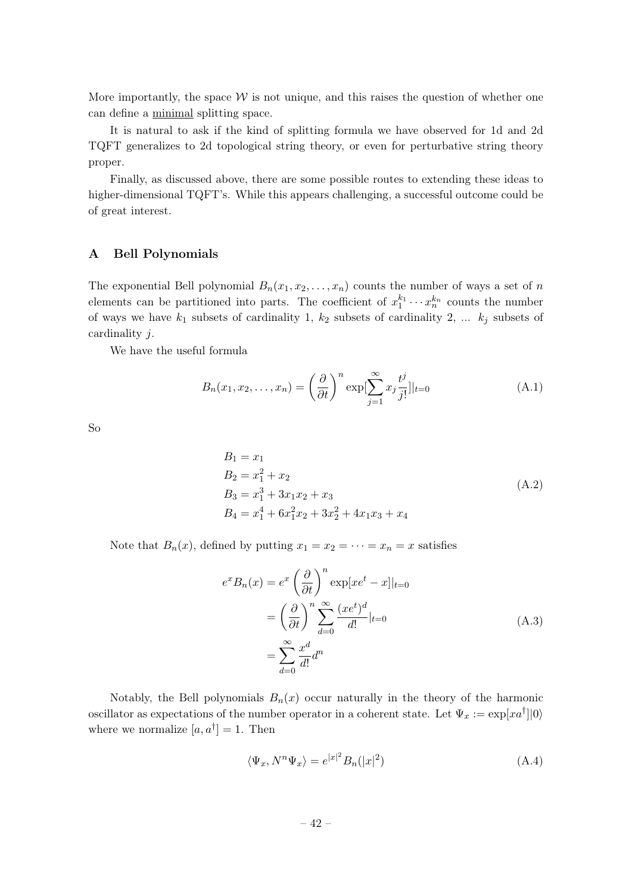More importantly, the space  $W$  is not unique, and this raises the question of whether one can define a minimal splitting space.

It is natural to ask if the kind of splitting formula we have observed for 1d and 2d TQFT generalizes to 2d topological string theory, or even for perturbative string theory proper.

Finally, as discussed above, there are some possible routes to extending these ideas to higher-dimensional TQFT's. While this appears challenging, a successful outcome could be of great interest.

#### <span id="page-42-0"></span>A Bell Polynomials

The exponential Bell polynomial  $B_n(x_1, x_2, \ldots, x_n)$  counts the number of ways a set of n elements can be partitioned into parts. The coefficient of  $x_1^{k_1} \cdots x_n^{k_n}$  counts the number of ways we have  $k_1$  subsets of cardinality 1,  $k_2$  subsets of cardinality 2, ...  $k_j$  subsets of cardinality j.

We have the useful formula

<span id="page-42-1"></span>
$$
B_n(x_1, x_2, \dots, x_n) = \left(\frac{\partial}{\partial t}\right)^n \exp\left[\sum_{j=1}^\infty x_j \frac{t^j}{j!}\right]|_{t=0}
$$
\n(A.1)

So

$$
B_1 = x_1
$$
  
\n
$$
B_2 = x_1^2 + x_2
$$
  
\n
$$
B_3 = x_1^3 + 3x_1x_2 + x_3
$$
  
\n
$$
B_4 = x_1^4 + 6x_1^2x_2 + 3x_2^2 + 4x_1x_3 + x_4
$$
\n(A.2)

Note that  $B_n(x)$ , defined by putting  $x_1 = x_2 = \cdots = x_n = x$  satisfies

$$
e^x B_n(x) = e^x \left(\frac{\partial}{\partial t}\right)^n \exp[xe^t - x]|_{t=0}
$$
  
=  $\left(\frac{\partial}{\partial t}\right)^n \sum_{d=0}^{\infty} \frac{(xe^t)^d}{d!} |_{t=0}$   
=  $\sum_{d=0}^{\infty} \frac{x^d}{d!} d^n$  (A.3)

Notably, the Bell polynomials  $B_n(x)$  occur naturally in the theory of the harmonic oscillator as expectations of the number operator in a coherent state. Let  $\Psi_x := \exp[xa^{\dagger}]|0\rangle$ where we normalize  $[a, a^{\dagger}] = 1$ . Then

$$
\langle \Psi_x, N^n \Psi_x \rangle = e^{|x|^2} B_n(|x|^2)
$$
\n(A.4)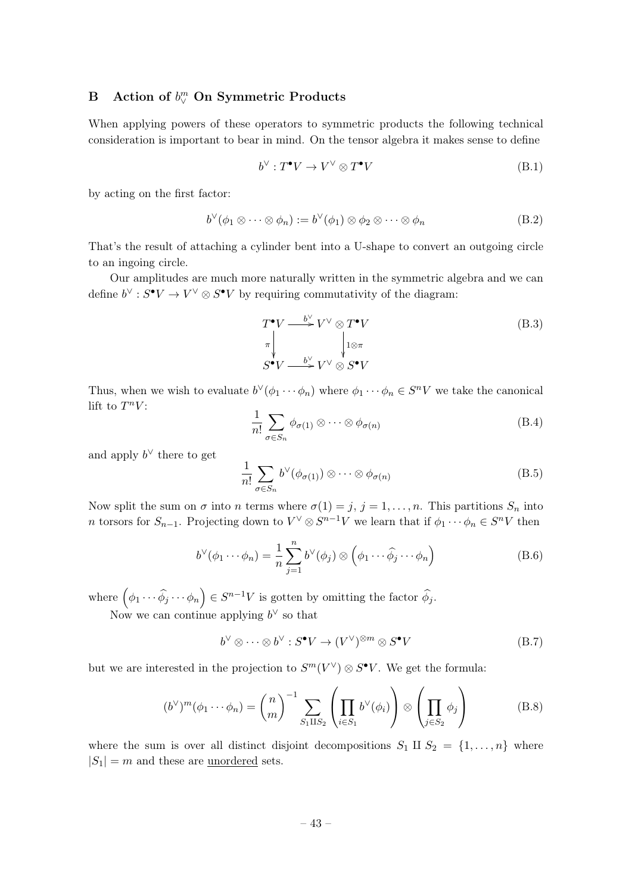## <span id="page-43-0"></span>B Action of  $b^m_\vee$  On Symmetric Products

When applying powers of these operators to symmetric products the following technical consideration is important to bear in mind. On the tensor algebra it makes sense to define

$$
b^{\vee}: T^{\bullet}V \to V^{\vee} \otimes T^{\bullet}V \tag{B.1}
$$

by acting on the first factor:

$$
b^{\vee}(\phi_1 \otimes \cdots \otimes \phi_n) := b^{\vee}(\phi_1) \otimes \phi_2 \otimes \cdots \otimes \phi_n
$$
 (B.2)

That's the result of attaching a cylinder bent into a U-shape to convert an outgoing circle to an ingoing circle.

Our amplitudes are much more naturally written in the symmetric algebra and we can define  $b^{\vee}: S^{\bullet}V \to V^{\vee} \otimes S^{\bullet}V$  by requiring commutativity of the diagram:

$$
T^{\bullet}V \xrightarrow{\qquad b^{\vee} \atop \pi} V^{\vee} \otimes T^{\bullet}V
$$
  
\n
$$
\pi \downarrow \qquad \qquad \downarrow 1 \otimes \pi
$$
  
\n
$$
S^{\bullet}V \xrightarrow{\qquad b^{\vee} \atop \pi} V^{\vee} \otimes S^{\bullet}V
$$
 (B.3)

Thus, when we wish to evaluate  $b^{\vee}(\phi_1 \cdots \phi_n)$  where  $\phi_1 \cdots \phi_n \in S^nV$  we take the canonical lift to  $T^nV$ :

$$
\frac{1}{n!} \sum_{\sigma \in S_n} \phi_{\sigma(1)} \otimes \cdots \otimes \phi_{\sigma(n)} \tag{B.4}
$$

and apply  $b^{\vee}$  there to get

$$
\frac{1}{n!} \sum_{\sigma \in S_n} b^{\vee}(\phi_{\sigma(1)}) \otimes \cdots \otimes \phi_{\sigma(n)}
$$
(B.5)

Now split the sum on  $\sigma$  into *n* terms where  $\sigma(1) = j, j = 1, ..., n$ . This partitions  $S_n$  into n torsors for  $S_{n-1}$ . Projecting down to  $V^{\vee} \otimes S^{n-1}V$  we learn that if  $\phi_1 \cdots \phi_n \in S^nV$  then

$$
b^{\vee}(\phi_1 \cdots \phi_n) = \frac{1}{n} \sum_{j=1}^n b^{\vee}(\phi_j) \otimes (\phi_1 \cdots \widehat{\phi_j} \cdots \phi_n)
$$
 (B.6)

where  $(\phi_1 \cdots \widehat{\phi_j} \cdots \phi_n) \in S^{n-1}V$  is gotten by omitting the factor  $\widehat{\phi_j}$ .

Now we can continue applying  $b^{\vee}$  so that

$$
b^{\vee} \otimes \cdots \otimes b^{\vee} : S^{\bullet}V \to (V^{\vee})^{\otimes m} \otimes S^{\bullet}V
$$
 (B.7)

but we are interested in the projection to  $S^{m}(V^{\vee})\otimes S^{\bullet}V$ . We get the formula:

<span id="page-43-1"></span>
$$
(b^{\vee})^m(\phi_1 \cdots \phi_n) = {n \choose m}^{-1} \sum_{S_1 \amalg S_2} \left( \prod_{i \in S_1} b^{\vee}(\phi_i) \right) \otimes \left( \prod_{j \in S_2} \phi_j \right)
$$
(B.8)

where the sum is over all distinct disjoint decompositions  $S_1 \amalg S_2 = \{1, \ldots, n\}$  where  $|S_1| = m$  and these are unordered sets.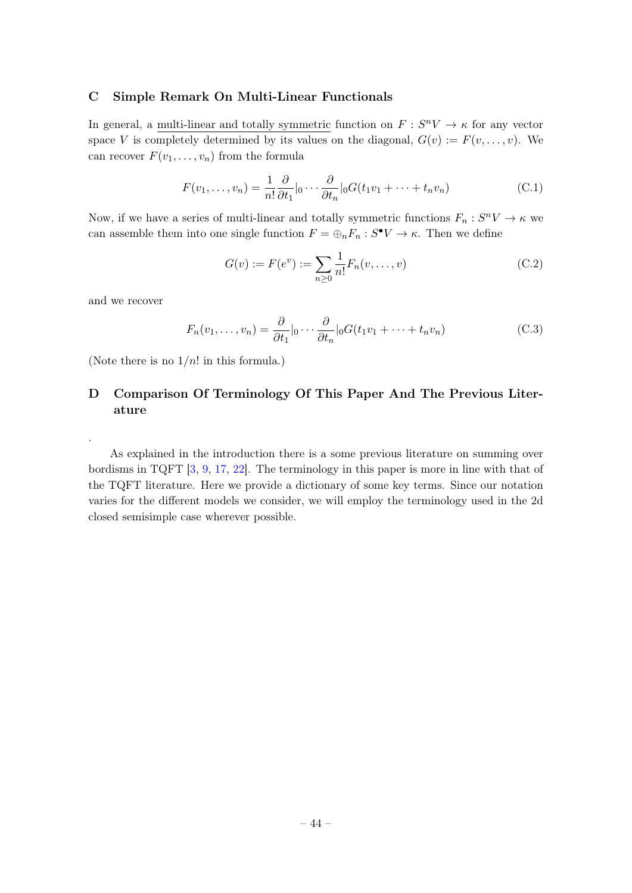#### <span id="page-44-0"></span>C Simple Remark On Multi-Linear Functionals

In general, a multi-linear and totally symmetric function on  $F: S^nV \to \kappa$  for any vector space V is completely determined by its values on the diagonal,  $G(v) := F(v, \ldots, v)$ . We can recover  $F(v_1, \ldots, v_n)$  from the formula

$$
F(v_1, \dots, v_n) = \frac{1}{n!} \frac{\partial}{\partial t_1} |_0 \dots \frac{\partial}{\partial t_n} |_0 G(t_1 v_1 + \dots + t_n v_n)
$$
 (C.1)

Now, if we have a series of multi-linear and totally symmetric functions  $F_n: S^nV \to \kappa$  we can assemble them into one single function  $F = \bigoplus_n F_n : S^{\bullet}V \to \kappa$ . Then we define

$$
G(v) := F(e^v) := \sum_{n \ge 0} \frac{1}{n!} F_n(v, \dots, v)
$$
 (C.2)

and we recover

.

$$
F_n(v_1,\ldots,v_n) = \frac{\partial}{\partial t_1}|_0\cdots\frac{\partial}{\partial t_n}|_0 G(t_1v_1+\cdots+t_nv_n)
$$
 (C.3)

(Note there is no  $1/n!$  in this formula.)

### <span id="page-44-1"></span>D Comparison Of Terminology Of This Paper And The Previous Literature

As explained in the introduction there is a some previous literature on summing over bordisms in TQFT [\[3,](#page-46-2) [9,](#page-47-16) [17,](#page-47-4) [22\]](#page-47-5). The terminology in this paper is more in line with that of the TQFT literature. Here we provide a dictionary of some key terms. Since our notation varies for the different models we consider, we will employ the terminology used in the 2d closed semisimple case wherever possible.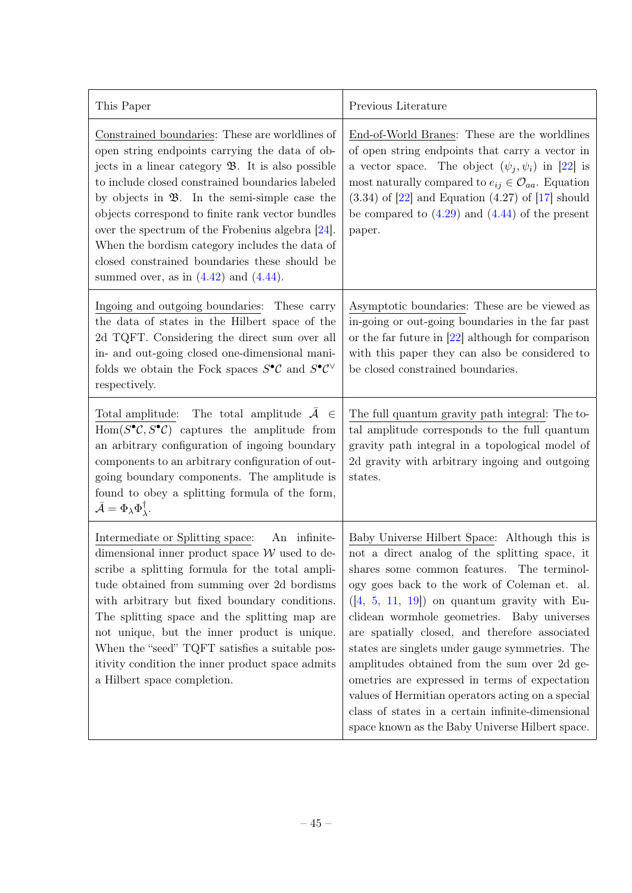| This Paper                                                                                                                                                                                                                                                                                                                                                                                                                                                                                                                                         | Previous Literature                                                                                                                                                                                                                                                                                                                                                                                                                                                                                                                                                                                                                                                |
|----------------------------------------------------------------------------------------------------------------------------------------------------------------------------------------------------------------------------------------------------------------------------------------------------------------------------------------------------------------------------------------------------------------------------------------------------------------------------------------------------------------------------------------------------|--------------------------------------------------------------------------------------------------------------------------------------------------------------------------------------------------------------------------------------------------------------------------------------------------------------------------------------------------------------------------------------------------------------------------------------------------------------------------------------------------------------------------------------------------------------------------------------------------------------------------------------------------------------------|
| Constrained boundaries: These are worldlines of<br>open string endpoints carrying the data of ob-<br>jects in a linear category $\mathfrak{B}$ . It is also possible<br>to include closed constrained boundaries labeled<br>by objects in $\mathfrak{B}$ . In the semi-simple case the<br>objects correspond to finite rank vector bundles<br>over the spectrum of the Frobenius algebra $[24]$ .<br>When the bordism category includes the data of<br>closed constrained boundaries these should be<br>summed over, as in $(4.42)$ and $(4.44)$ . | End-of-World Branes: These are the worldlines<br>of open string endpoints that carry a vector in<br>a vector space. The object $(\psi_i, \psi_i)$ in [22] is<br>most naturally compared to $e_{ij} \in \mathcal{O}_{aa}$ . Equation<br>$(3.34)$ of $[22]$ and Equation $(4.27)$ of $[17]$ should<br>be compared to $(4.29)$ and $(4.44)$ of the present<br>paper.                                                                                                                                                                                                                                                                                                  |
| Ingoing and outgoing boundaries: These carry<br>the data of states in the Hilbert space of the<br>2d TQFT. Considering the direct sum over all<br>in- and out-going closed one-dimensional mani-<br>folds we obtain the Fock spaces $S^{\bullet}C$ and $S^{\bullet}C^{\vee}$<br>respectively.                                                                                                                                                                                                                                                      | Asymptotic boundaries: These are be viewed as<br>in-going or out-going boundaries in the far past<br>or the far future in $[22]$ although for comparison<br>with this paper they can also be considered to<br>be closed constrained boundaries.                                                                                                                                                                                                                                                                                                                                                                                                                    |
| Total amplitude: The total amplitude $A \in$<br>Hom( $S^{\bullet}C, S^{\bullet}C$ ) captures the amplitude from<br>an arbitrary configuration of ingoing boundary<br>components to an arbitrary configuration of out-<br>going boundary components. The amplitude is<br>found to obey a splitting formula of the form,<br>$\bar{\mathcal{A}} = \Phi_{\lambda} \Phi_{\lambda}^{\dagger}.$                                                                                                                                                           | The full quantum gravity path integral: The to-<br>tal amplitude corresponds to the full quantum<br>gravity path integral in a topological model of<br>2d gravity with arbitrary ingoing and outgoing<br>states.                                                                                                                                                                                                                                                                                                                                                                                                                                                   |
| Intermediate or Splitting space:<br>An infinite-<br>dimensional inner product space $\mathcal W$ used to de-<br>scribe a splitting formula for the total ampli-<br>tude obtained from summing over 2d bordisms<br>with arbitrary but fixed boundary conditions.<br>The splitting space and the splitting map are<br>not unique, but the inner product is unique.<br>When the "seed" TQFT satisfies a suitable pos-<br>itivity condition the inner product space admits<br>a Hilbert space completion.                                              | Baby Universe Hilbert Space: Although this is<br>not a direct analog of the splitting space, it<br>shares some common features. The terminol-<br>ogy goes back to the work of Coleman et. al.<br>$([4, 5, 11, 19])$ on quantum gravity with Eu-<br>clidean wormhole geometries. Baby universes<br>are spatially closed, and therefore associated<br>states are singlets under gauge symmetries. The<br>amplitudes obtained from the sum over 2d ge-<br>ometries are expressed in terms of expectation<br>values of Hermitian operators acting on a special<br>class of states in a certain infinite-dimensional<br>space known as the Baby Universe Hilbert space. |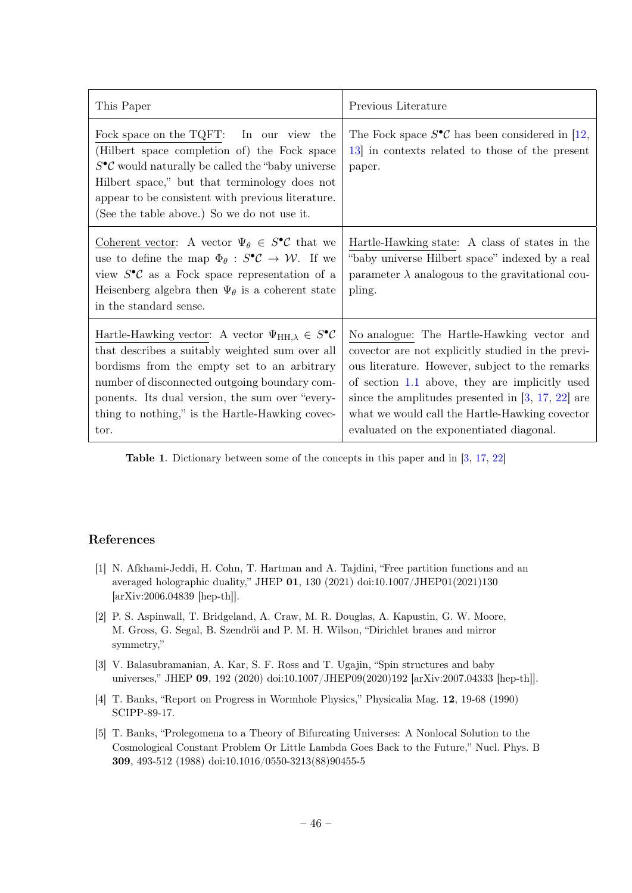| This Paper                                                                                                                                                                                                                                                                                                                             | Previous Literature                                                                                                                                                                                                                                                                                                                                         |
|----------------------------------------------------------------------------------------------------------------------------------------------------------------------------------------------------------------------------------------------------------------------------------------------------------------------------------------|-------------------------------------------------------------------------------------------------------------------------------------------------------------------------------------------------------------------------------------------------------------------------------------------------------------------------------------------------------------|
| Fock space on the TQFT: In our view the<br>(Hilbert space completion of) the Fock space<br>$S^{\bullet} \mathcal{C}$ would naturally be called the "baby universe"<br>Hilbert space," but that terminology does not<br>appear to be consistent with previous literature.<br>(See the table above.) So we do not use it.                | The Fock space $S^{\bullet} \mathcal{C}$ has been considered in [12,<br>13 in contexts related to those of the present<br>paper.                                                                                                                                                                                                                            |
| Coherent vector: A vector $\Psi_{\theta} \in S^{\bullet} \mathcal{C}$ that we<br>use to define the map $\Phi_{\theta}: S^{\bullet} \mathcal{C} \to \mathcal{W}$ . If we<br>view $S^{\bullet} \mathcal{C}$ as a Fock space representation of a<br>Heisenberg algebra then $\Psi_{\theta}$ is a coherent state<br>in the standard sense. | Hartle-Hawking state: A class of states in the<br>"baby universe Hilbert space" indexed by a real<br>parameter $\lambda$ analogous to the gravitational cou-<br>pling.                                                                                                                                                                                      |
| Hartle-Hawking vector: A vector $\Psi_{HH,\lambda} \in S^{\bullet}C$<br>that describes a suitably weighted sum over all<br>bordisms from the empty set to an arbitrary<br>number of disconnected outgoing boundary com-<br>ponents. Its dual version, the sum over "every-<br>thing to nothing," is the Hartle-Hawking covec-<br>tor.  | No analogue: The Hartle-Hawking vector and<br>covector are not explicitly studied in the previ-<br>ous literature. However, subject to the remarks<br>of section $1.1$ above, they are implicitly used<br>since the amplitudes presented in $[3, 17, 22]$ are<br>what we would call the Hartle-Hawking covector<br>evaluated on the exponentiated diagonal. |

Table 1. Dictionary between some of the concepts in this paper and in [\[3,](#page-46-2) [17,](#page-47-4) [22\]](#page-47-5)

### References

- <span id="page-46-4"></span>[1] N. Afkhami-Jeddi, H. Cohn, T. Hartman and A. Tajdini, "Free partition functions and an averaged holographic duality," JHEP 01, 130 (2021) doi:10.1007/JHEP01(2021)130 [arXiv:2006.04839 [hep-th]].
- <span id="page-46-3"></span>[2] P. S. Aspinwall, T. Bridgeland, A. Craw, M. R. Douglas, A. Kapustin, G. W. Moore, M. Gross, G. Segal, B. Szendröi and P. M. H. Wilson, "Dirichlet branes and mirror symmetry,"
- <span id="page-46-2"></span>[3] V. Balasubramanian, A. Kar, S. F. Ross and T. Ugajin, "Spin structures and baby universes," JHEP 09, 192 (2020) doi:10.1007/JHEP09(2020)192 [arXiv:2007.04333 [hep-th]].
- <span id="page-46-0"></span>[4] T. Banks, "Report on Progress in Wormhole Physics," Physicalia Mag. 12, 19-68 (1990) SCIPP-89-17.
- <span id="page-46-1"></span>[5] T. Banks, "Prolegomena to a Theory of Bifurcating Universes: A Nonlocal Solution to the Cosmological Constant Problem Or Little Lambda Goes Back to the Future," Nucl. Phys. B 309, 493-512 (1988) doi:10.1016/0550-3213(88)90455-5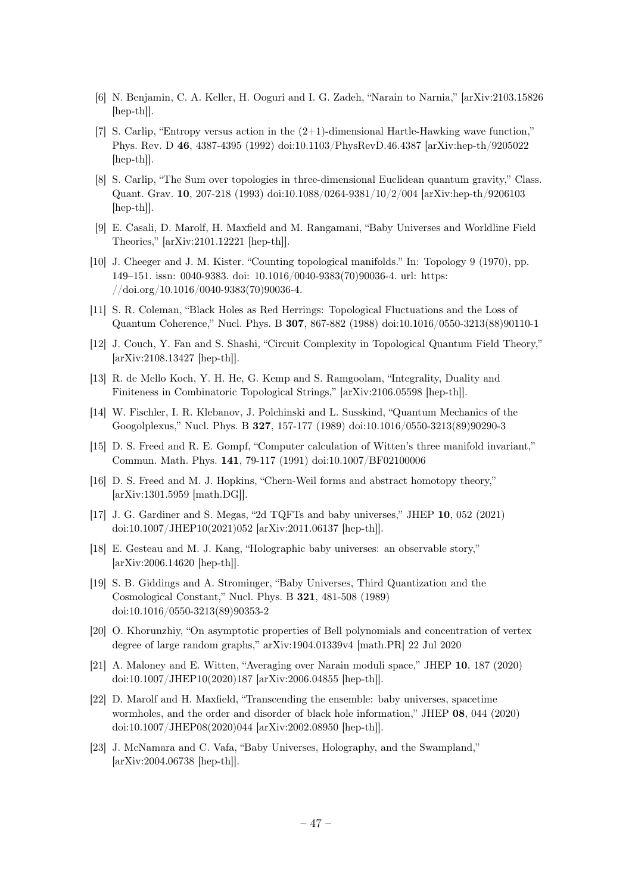- <span id="page-47-14"></span>[6] N. Benjamin, C. A. Keller, H. Ooguri and I. G. Zadeh, "Narain to Narnia," [arXiv:2103.15826 [hep-th]].
- <span id="page-47-12"></span>[7] S. Carlip, "Entropy versus action in the (2+1)-dimensional Hartle-Hawking wave function," Phys. Rev. D 46, 4387-4395 (1992) doi:10.1103/PhysRevD.46.4387 [arXiv:hep-th/9205022 [hep-th]].
- <span id="page-47-13"></span>[8] S. Carlip, "The Sum over topologies in three-dimensional Euclidean quantum gravity," Class. Quant. Grav. 10, 207-218 (1993) doi:10.1088/0264-9381/10/2/004 [arXiv:hep-th/9206103 [hep-th]].
- <span id="page-47-16"></span>[9] E. Casali, D. Marolf, H. Maxfield and M. Rangamani, "Baby Universes and Worldline Field Theories," [arXiv:2101.12221 [hep-th]].
- <span id="page-47-7"></span>[10] J. Cheeger and J. M. Kister. "Counting topological manifolds." In: Topology 9 (1970), pp. 149–151. issn: 0040-9383. doi: 10.1016/0040-9383(70)90036-4. url: https: //doi.org/10.1016/0040-9383(70)90036-4.
- <span id="page-47-0"></span>[11] S. R. Coleman, "Black Holes as Red Herrings: Topological Fluctuations and the Loss of Quantum Coherence," Nucl. Phys. B 307, 867-882 (1988) doi:10.1016/0550-3213(88)90110-1
- <span id="page-47-17"></span>[12] J. Couch, Y. Fan and S. Shashi, "Circuit Complexity in Topological Quantum Field Theory," [arXiv:2108.13427 [hep-th]].
- <span id="page-47-3"></span>[13] R. de Mello Koch, Y. H. He, G. Kemp and S. Ramgoolam, "Integrality, Duality and Finiteness in Combinatoric Topological Strings," [arXiv:2106.05598 [hep-th]].
- <span id="page-47-1"></span>[14] W. Fischler, I. R. Klebanov, J. Polchinski and L. Susskind, "Quantum Mechanics of the Googolplexus," Nucl. Phys. B 327, 157-177 (1989) doi:10.1016/0550-3213(89)90290-3
- <span id="page-47-9"></span>[15] D. S. Freed and R. E. Gompf, "Computer calculation of Witten's three manifold invariant," Commun. Math. Phys. 141, 79-117 (1991) doi:10.1007/BF02100006
- <span id="page-47-6"></span>[16] D. S. Freed and M. J. Hopkins, "Chern-Weil forms and abstract homotopy theory," [arXiv:1301.5959 [math.DG]].
- <span id="page-47-4"></span>[17] J. G. Gardiner and S. Megas, "2d TQFTs and baby universes," JHEP 10, 052 (2021) doi:10.1007/JHEP10(2021)052 [arXiv:2011.06137 [hep-th]].
- <span id="page-47-10"></span>[18] E. Gesteau and M. J. Kang, "Holographic baby universes: an observable story," [arXiv:2006.14620 [hep-th]].
- <span id="page-47-2"></span>[19] S. B. Giddings and A. Strominger, "Baby Universes, Third Quantization and the Cosmological Constant," Nucl. Phys. B 321, 481-508 (1989) doi:10.1016/0550-3213(89)90353-2
- <span id="page-47-11"></span>[20] O. Khorunzhiy, "On asymptotic properties of Bell polynomials and concentration of vertex degree of large random graphs," arXiv:1904.01339v4 [math.PR] 22 Jul 2020
- <span id="page-47-15"></span>[21] A. Maloney and E. Witten, "Averaging over Narain moduli space," JHEP 10, 187 (2020) doi:10.1007/JHEP10(2020)187 [arXiv:2006.04855 [hep-th]].
- <span id="page-47-5"></span>[22] D. Marolf and H. Maxfield, "Transcending the ensemble: baby universes, spacetime wormholes, and the order and disorder of black hole information," JHEP 08, 044 (2020) doi:10.1007/JHEP08(2020)044 [arXiv:2002.08950 [hep-th]].
- <span id="page-47-8"></span>[23] J. McNamara and C. Vafa, "Baby Universes, Holography, and the Swampland," [arXiv:2004.06738 [hep-th]].